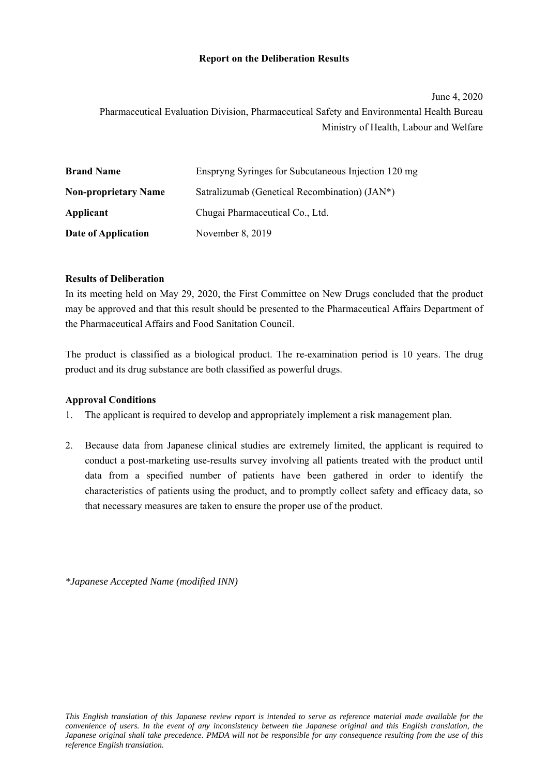#### **Report on the Deliberation Results**

# June 4, 2020 Pharmaceutical Evaluation Division, Pharmaceutical Safety and Environmental Health Bureau Ministry of Health, Labour and Welfare

| <b>Brand Name</b>           | Enspryng Syringes for Subcutaneous Injection 120 mg |
|-----------------------------|-----------------------------------------------------|
| <b>Non-proprietary Name</b> | Satralizumab (Genetical Recombination) (JAN*)       |
| Applicant                   | Chugai Pharmaceutical Co., Ltd.                     |
| Date of Application         | November 8, 2019                                    |

## **Results of Deliberation**

In its meeting held on May 29, 2020, the First Committee on New Drugs concluded that the product may be approved and that this result should be presented to the Pharmaceutical Affairs Department of the Pharmaceutical Affairs and Food Sanitation Council.

The product is classified as a biological product. The re-examination period is 10 years. The drug product and its drug substance are both classified as powerful drugs.

## **Approval Conditions**

- 1. The applicant is required to develop and appropriately implement a risk management plan.
- 2. Because data from Japanese clinical studies are extremely limited, the applicant is required to conduct a post-marketing use-results survey involving all patients treated with the product until data from a specified number of patients have been gathered in order to identify the characteristics of patients using the product, and to promptly collect safety and efficacy data, so that necessary measures are taken to ensure the proper use of the product.

*\*Japanese Accepted Name (modified INN)*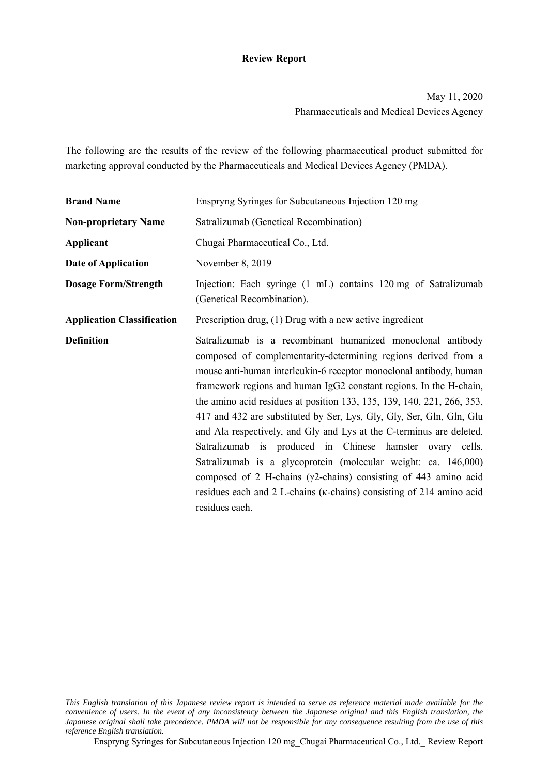### **Review Report**

May 11, 2020 Pharmaceuticals and Medical Devices Agency

The following are the results of the review of the following pharmaceutical product submitted for marketing approval conducted by the Pharmaceuticals and Medical Devices Agency (PMDA).

| <b>Brand Name</b>                 | Enspryng Syringes for Subcutaneous Injection 120 mg                                                                                                                                                                                                                                                                                                                                                                                                                                                                                                                                                                                                                                                                                                                                                      |  |  |  |
|-----------------------------------|----------------------------------------------------------------------------------------------------------------------------------------------------------------------------------------------------------------------------------------------------------------------------------------------------------------------------------------------------------------------------------------------------------------------------------------------------------------------------------------------------------------------------------------------------------------------------------------------------------------------------------------------------------------------------------------------------------------------------------------------------------------------------------------------------------|--|--|--|
| <b>Non-proprietary Name</b>       | Satralizumab (Genetical Recombination)                                                                                                                                                                                                                                                                                                                                                                                                                                                                                                                                                                                                                                                                                                                                                                   |  |  |  |
| Applicant                         | Chugai Pharmaceutical Co., Ltd.                                                                                                                                                                                                                                                                                                                                                                                                                                                                                                                                                                                                                                                                                                                                                                          |  |  |  |
| Date of Application               | November 8, 2019                                                                                                                                                                                                                                                                                                                                                                                                                                                                                                                                                                                                                                                                                                                                                                                         |  |  |  |
| <b>Dosage Form/Strength</b>       | Injection: Each syringe (1 mL) contains 120 mg of Satralizumab<br>(Genetical Recombination).                                                                                                                                                                                                                                                                                                                                                                                                                                                                                                                                                                                                                                                                                                             |  |  |  |
| <b>Application Classification</b> | Prescription drug, (1) Drug with a new active ingredient                                                                                                                                                                                                                                                                                                                                                                                                                                                                                                                                                                                                                                                                                                                                                 |  |  |  |
| <b>Definition</b>                 | Satralizumab is a recombinant humanized monoclonal antibody<br>composed of complementarity-determining regions derived from a<br>mouse anti-human interleukin-6 receptor monoclonal antibody, human<br>framework regions and human IgG2 constant regions. In the H-chain,<br>the amino acid residues at position 133, 135, 139, 140, 221, 266, 353,<br>417 and 432 are substituted by Ser, Lys, Gly, Gly, Ser, Gln, Gln, Glu<br>and Ala respectively, and Gly and Lys at the C-terminus are deleted.<br>Satralizumab is produced in Chinese hamster ovary cells.<br>Satralizumab is a glycoprotein (molecular weight: ca. 146,000)<br>composed of 2 H-chains ( $\gamma$ 2-chains) consisting of 443 amino acid<br>residues each and 2 L-chains (k-chains) consisting of 214 amino acid<br>residues each. |  |  |  |

Enspryng Syringes for Subcutaneous Injection 120 mg\_Chugai Pharmaceutical Co., Ltd.\_ Review Report

*This English translation of this Japanese review report is intended to serve as reference material made available for the convenience of users. In the event of any inconsistency between the Japanese original and this English translation, the Japanese original shall take precedence. PMDA will not be responsible for any consequence resulting from the use of this reference English translation.*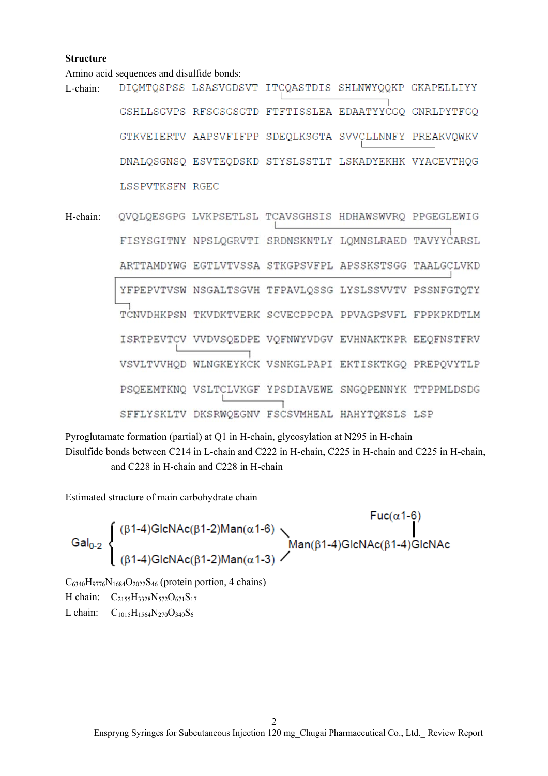#### **Structure**

Amino acid sequences and disulfide bonds:

- DIQMTQSPSS LSASVGDSVT ITCQASTDIS SHLNWYQQKP GKAPELLIYY L-chain: GSHLLSGVPS RFSGSGSGTD FTFTISSLEA EDAATYYCGO GNRLPYTFGO GTKVEIERTV AAPSVFIFPP SDEQLKSGTA SVVCLLNNFY PREAKVQWKV DNALQSGNSQ ESVTEQDSKD STYSLSSTLT LSKADYEKHK VYACEVTHQG LSSPVTKSFN RGEC
- QVQLQESGPG LVKPSETLSL TCAVSGHSIS HDHAWSWVRQ PPGEGLEWIG H-chain: FISYSGITNY NPSLOGRVTI SRDNSKNTLY LOMNSLRAED TAVYYCARSL ARTTAMDYWG EGTLVTVSSA STKGPSVFPL APSSKSTSGG TAALGCLVKD YFPEPVTVSW NSGALTSGVH TFPAVLQSSG LYSLSSVVTV PSSNFGTQTY TCNVDHKPSN TKVDKTVERK SCVECPPCPA PPVAGPSVFL FPPKPKDTLM ISRTPEVTCV VVDVSQEDPE VQFNWYVDGV EVHNAKTKPR EEQFNSTFRV VSVLTVVHQD WLNGKEYKCK VSNKGLPAPI EKTISKTKGQ PREPQVYTLP PSQEEMTKNQ VSLTCLVKGF YPSDIAVEWE SNGQPENNYK TTPPMLDSDG SFFLYSKLTV DKSRWQEGNV FSCSVMHEAL HAHYTQKSLS LSP

Pyroglutamate formation (partial) at Q1 in H-chain, glycosylation at N295 in H-chain Disulfide bonds between C214 in L-chain and C222 in H-chain, C225 in H-chain and C225 in H-chain, and C228 in H-chain and C228 in H-chain

Estimated structure of main carbohydrate chain

$$
\text{Gal}_{0\text{-}2}\left\{\begin{array}{l}(\beta 1\text{-}4)\text{GlcNAc}(\beta 1\text{-}2)\text{Man}(\alpha 1\text{-}6)\\ \text{Man}(\beta 1\text{-}4)\text{GlcNAc}(\beta 1\text{-}2)\text{Man}(\alpha 1\text{-}3)\end{array}\right.\!\!\!\!\!\!\!\!\!\!\!\!\!\!\!\!\text{Man}(\beta 1\text{-}4)\text{GlcNAc}(\beta 1\text{-}4)\text{GlcNAc}
$$

 $C_{6340}H_{9776}N_{1684}O_{2022}S_{46}$  (protein portion, 4 chains)

H chain:  $C_{2155}H_{3328}N_{572}O_{671}S_{17}$ 

L chain:  $C_{1015}H_{1564}N_{270}O_{340}S_6$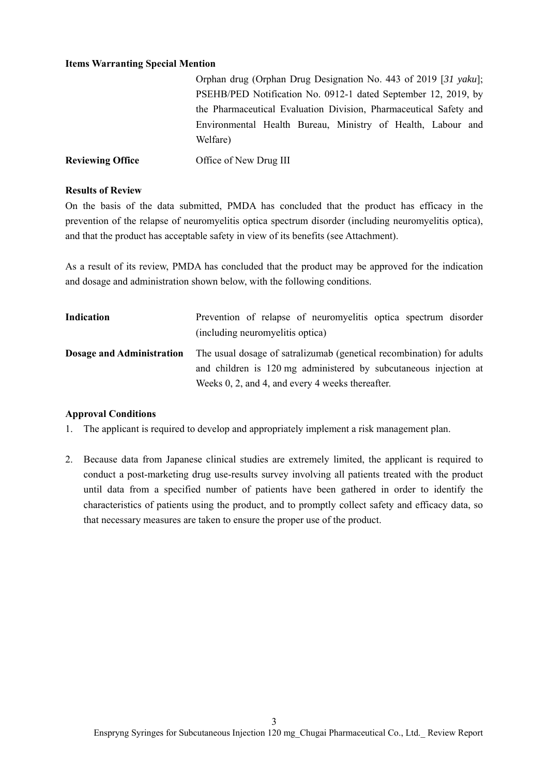#### **Items Warranting Special Mention**

|                         | Orphan drug (Orphan Drug Designation No. 443 of 2019 [31 yaku];         |  |  |  |
|-------------------------|-------------------------------------------------------------------------|--|--|--|
|                         | PSEHB/PED Notification No. 0912-1 dated September 12, 2019, by          |  |  |  |
|                         | the Pharmaceutical Evaluation Division, Pharmaceutical Safety and       |  |  |  |
|                         | Environmental Health Bureau, Ministry of Health, Labour and<br>Welfare) |  |  |  |
| <b>Reviewing Office</b> | Office of New Drug III                                                  |  |  |  |

#### **Results of Review**

On the basis of the data submitted, PMDA has concluded that the product has efficacy in the prevention of the relapse of neuromyelitis optica spectrum disorder (including neuromyelitis optica), and that the product has acceptable safety in view of its benefits (see Attachment).

As a result of its review, PMDA has concluded that the product may be approved for the indication and dosage and administration shown below, with the following conditions.

| Indication | Prevention of relapse of neuromyelitis optica spectrum disorder<br>(including neuromyelitis optica)                                                                                                                            |  |  |  |
|------------|--------------------------------------------------------------------------------------------------------------------------------------------------------------------------------------------------------------------------------|--|--|--|
|            | <b>Dosage and Administration</b> The usual dosage of satralizumab (genetical recombination) for adults<br>and children is 120 mg administered by subcutaneous injection at<br>Weeks 0, 2, and 4, and every 4 weeks thereafter. |  |  |  |

#### **Approval Conditions**

- 1. The applicant is required to develop and appropriately implement a risk management plan.
- 2. Because data from Japanese clinical studies are extremely limited, the applicant is required to conduct a post-marketing drug use-results survey involving all patients treated with the product until data from a specified number of patients have been gathered in order to identify the characteristics of patients using the product, and to promptly collect safety and efficacy data, so that necessary measures are taken to ensure the proper use of the product.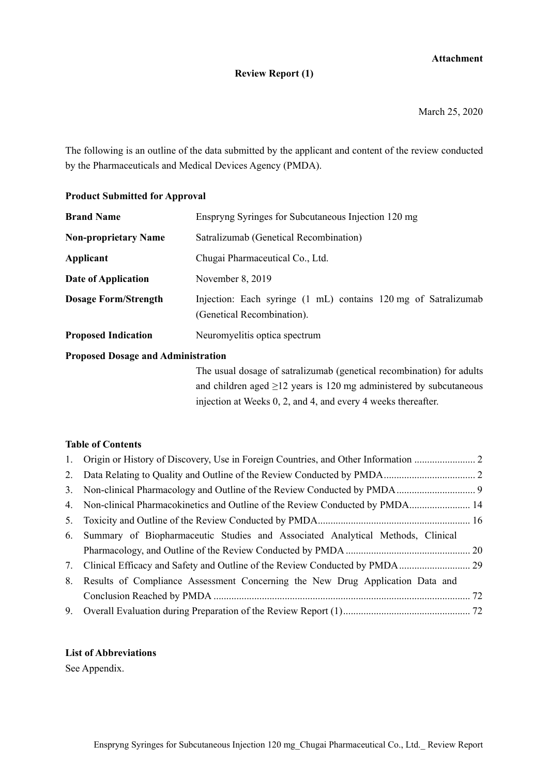# **Attachment**

#### **Review Report (1)**

March 25, 2020

The following is an outline of the data submitted by the applicant and content of the review conducted by the Pharmaceuticals and Medical Devices Agency (PMDA).

## **Product Submitted for Approval**

| <b>Brand Name</b>           | Enspryng Syringes for Subcutaneous Injection 120 mg                                          |  |  |  |
|-----------------------------|----------------------------------------------------------------------------------------------|--|--|--|
| <b>Non-proprietary Name</b> | Satralizumab (Genetical Recombination)                                                       |  |  |  |
| Applicant                   | Chugai Pharmaceutical Co., Ltd.                                                              |  |  |  |
| Date of Application         | November 8, 2019                                                                             |  |  |  |
| <b>Dosage Form/Strength</b> | Injection: Each syringe (1 mL) contains 120 mg of Satralizumab<br>(Genetical Recombination). |  |  |  |
| <b>Proposed Indication</b>  | Neuromyelitis optica spectrum                                                                |  |  |  |

## **Proposed Dosage and Administration**

The usual dosage of satralizumab (genetical recombination) for adults and children aged  $\geq$ 12 years is 120 mg administered by subcutaneous injection at Weeks 0, 2, and 4, and every 4 weeks thereafter.

#### **Table of Contents**

| 4. Non-clinical Pharmacokinetics and Outline of the Review Conducted by PMDA 14   |  |
|-----------------------------------------------------------------------------------|--|
|                                                                                   |  |
| 6. Summary of Biopharmaceutic Studies and Associated Analytical Methods, Clinical |  |
|                                                                                   |  |
| 7. Clinical Efficacy and Safety and Outline of the Review Conducted by PMDA       |  |
| 8. Results of Compliance Assessment Concerning the New Drug Application Data and  |  |
|                                                                                   |  |
|                                                                                   |  |
|                                                                                   |  |

## **List of Abbreviations**

See Appendix.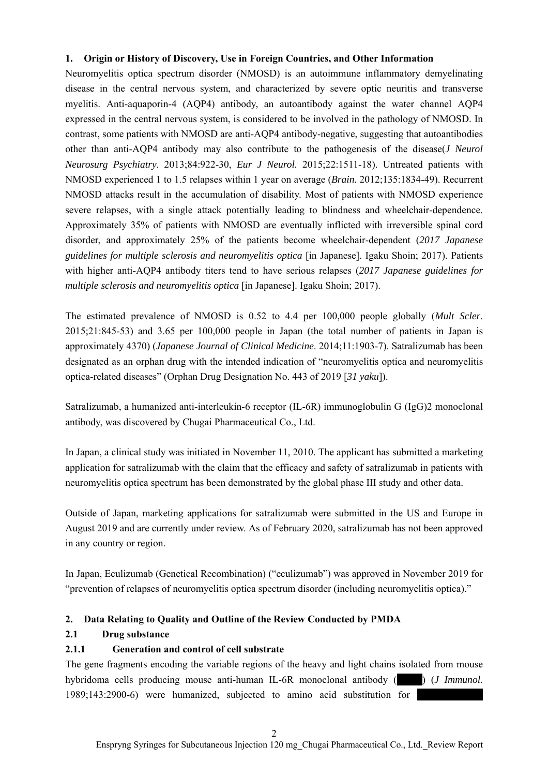## **1. Origin or History of Discovery, Use in Foreign Countries, and Other Information**

Neuromyelitis optica spectrum disorder (NMOSD) is an autoimmune inflammatory demyelinating disease in the central nervous system, and characterized by severe optic neuritis and transverse myelitis. Anti-aquaporin-4 (AQP4) antibody, an autoantibody against the water channel AQP4 expressed in the central nervous system, is considered to be involved in the pathology of NMOSD. In contrast, some patients with NMOSD are anti-AQP4 antibody-negative, suggesting that autoantibodies other than anti-AQP4 antibody may also contribute to the pathogenesis of the disease(*J Neurol Neurosurg Psychiatry*. 2013;84:922-30, *Eur J Neurol.* 2015;22:1511-18). Untreated patients with NMOSD experienced 1 to 1.5 relapses within 1 year on average (*Brain.* 2012;135:1834-49). Recurrent NMOSD attacks result in the accumulation of disability. Most of patients with NMOSD experience severe relapses, with a single attack potentially leading to blindness and wheelchair-dependence. Approximately 35% of patients with NMOSD are eventually inflicted with irreversible spinal cord disorder, and approximately 25% of the patients become wheelchair-dependent (*2017 Japanese guidelines for multiple sclerosis and neuromyelitis optica* [in Japanese]. Igaku Shoin; 2017). Patients with higher anti-AQP4 antibody titers tend to have serious relapses (*2017 Japanese guidelines for multiple sclerosis and neuromyelitis optica* [in Japanese]. Igaku Shoin; 2017).

The estimated prevalence of NMOSD is 0.52 to 4.4 per 100,000 people globally (*Mult Scler*. 2015;21:845-53) and 3.65 per 100,000 people in Japan (the total number of patients in Japan is approximately 4370) (*Japanese Journal of Clinical Medicine*. 2014;11:1903-7). Satralizumab has been designated as an orphan drug with the intended indication of "neuromyelitis optica and neuromyelitis optica-related diseases" (Orphan Drug Designation No. 443 of 2019 [*31 yaku*]).

Satralizumab, a humanized anti-interleukin-6 receptor (IL-6R) immunoglobulin G (IgG)2 monoclonal antibody, was discovered by Chugai Pharmaceutical Co., Ltd.

In Japan, a clinical study was initiated in November 11, 2010. The applicant has submitted a marketing application for satralizumab with the claim that the efficacy and safety of satralizumab in patients with neuromyelitis optica spectrum has been demonstrated by the global phase III study and other data.

Outside of Japan, marketing applications for satralizumab were submitted in the US and Europe in August 2019 and are currently under review. As of February 2020, satralizumab has not been approved in any country or region.

In Japan, Eculizumab (Genetical Recombination) ("eculizumab") was approved in November 2019 for "prevention of relapses of neuromyelitis optica spectrum disorder (including neuromyelitis optica)."

## **2. Data Relating to Quality and Outline of the Review Conducted by PMDA**

## **2.1 Drug substance**

## **2.1.1 Generation and control of cell substrate**

The gene fragments encoding the variable regions of the heavy and light chains isolated from mouse hybridoma cells producing mouse anti-human IL-6R monoclonal antibody (\*\*\*\*\*) (*J Immunol.* 1989;143:2900-6) were humanized, subjected to amino acid substitution for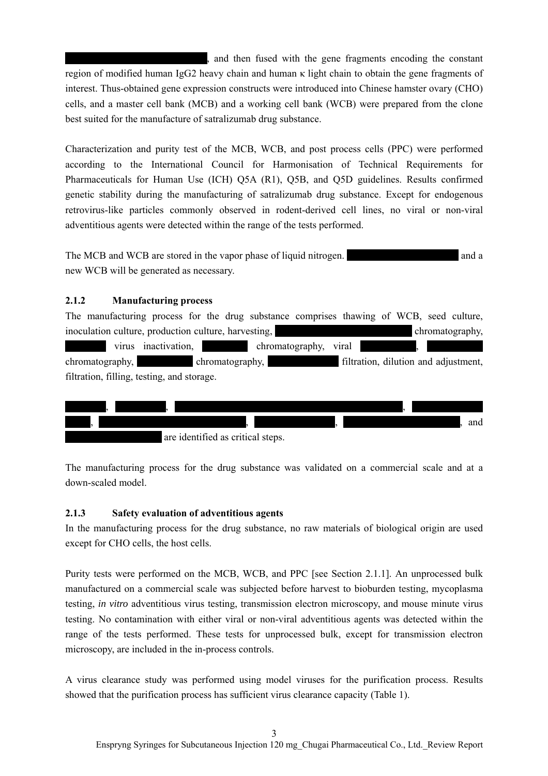\*\*\*\*\*\*\*\*\*\*\*\*\*\*\*\*\*\*\*\*\*\*\*\*\*\*\*\*, and then fused with the gene fragments encoding the constant region of modified human IgG2 heavy chain and human κ light chain to obtain the gene fragments of interest. Thus-obtained gene expression constructs were introduced into Chinese hamster ovary (CHO) cells, and a master cell bank (MCB) and a working cell bank (WCB) were prepared from the clone best suited for the manufacture of satralizumab drug substance.

Characterization and purity test of the MCB, WCB, and post process cells (PPC) were performed according to the International Council for Harmonisation of Technical Requirements for Pharmaceuticals for Human Use (ICH) Q5A (R1), Q5B, and Q5D guidelines. Results confirmed genetic stability during the manufacturing of satralizumab drug substance. Except for endogenous retrovirus-like particles commonly observed in rodent-derived cell lines, no viral or non-viral adventitious agents were detected within the range of the tests performed.

The MCB and WCB are stored in the vapor phase of liquid nitrogen.  $\blacksquare$ new WCB will be generated as necessary.

## **2.1.2 Manufacturing process**

The manufacturing process for the drug substance comprises thawing of WCB, seed culture, inoculation culture, production culture, harvesting, \*\*\*\*\*\*\*\*\*\*\*\*\*\*\*\*\*\*\*\*\*\*\*\*\*\*\* chromatography, \*\*\*\*\*\*\*\* virus inactivation, \*\*\*\*\*\*\*\*\* chromatography, viral \*\*\*\*\*\*\*\*\*\*\*, \*\*\*\*\*\*\*\*\*\*\*

chromatography,  $\blacksquare$  chromatography,  $\blacksquare$  filtration, dilution and adjustment, filtration, filling, testing, and storage.





The manufacturing process for the drug substance was validated on a commercial scale and at a down-scaled model.

#### **2.1.3 Safety evaluation of adventitious agents**

In the manufacturing process for the drug substance, no raw materials of biological origin are used except for CHO cells, the host cells.

Purity tests were performed on the MCB, WCB, and PPC [see Section 2.1.1]. An unprocessed bulk manufactured on a commercial scale was subjected before harvest to bioburden testing, mycoplasma testing, *in vitro* adventitious virus testing, transmission electron microscopy, and mouse minute virus testing. No contamination with either viral or non-viral adventitious agents was detected within the range of the tests performed. These tests for unprocessed bulk, except for transmission electron microscopy, are included in the in-process controls.

A virus clearance study was performed using model viruses for the purification process. Results showed that the purification process has sufficient virus clearance capacity (Table 1).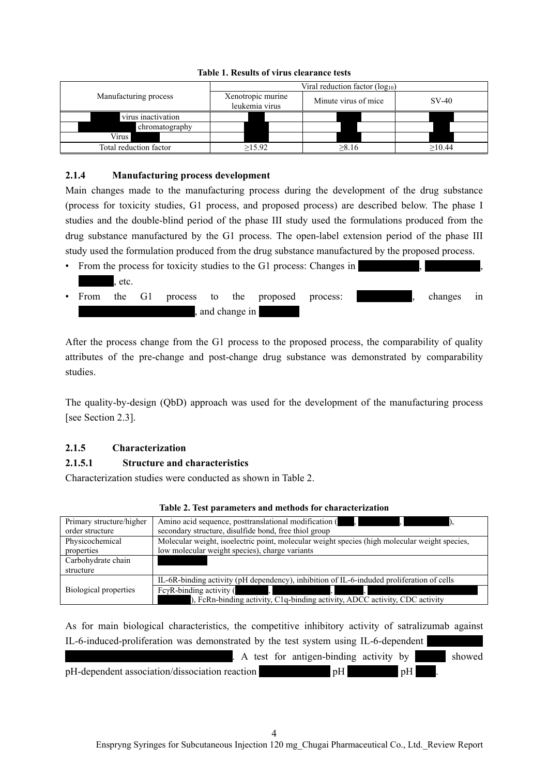|                        | Viral reduction factor $(log_{10})$ |                      |         |  |  |
|------------------------|-------------------------------------|----------------------|---------|--|--|
| Manufacturing process  | Xenotropic murine<br>leukemia virus | Minute virus of mice | $SV-40$ |  |  |
| virus inactivation     |                                     |                      |         |  |  |
| chromatography         |                                     |                      |         |  |  |
| <b>Virus</b>           |                                     |                      |         |  |  |
| Total reduction factor | $\geq$ 15.92                        | >8.16                | >10.44  |  |  |

#### **Table 1. Results of virus clearance tests**

## **2.1.4 Manufacturing process development**

Main changes made to the manufacturing process during the development of the drug substance (process for toxicity studies, G1 process, and proposed process) are described below. The phase I studies and the double-blind period of the phase III study used the formulations produced from the drug substance manufactured by the G1 process. The open-label extension period of the phase III study used the formulation produced from the drug substance manufactured by the proposed process.

• From the process for toxicity studies to the G1 process: Changes in  $.$  etc. • From the G1 process to the proposed process:  $\blacksquare$ , changes in and change in

After the process change from the G1 process to the proposed process, the comparability of quality attributes of the pre-change and post-change drug substance was demonstrated by comparability studies.

The quality-by-design (QbD) approach was used for the development of the manufacturing process [see Section 2.3].

# **2.1.5 Characterization**

## **2.1.5.1 Structure and characteristics**

Characterization studies were conducted as shown in Table 2.

| Primary structure/higher | Amino acid sequence, posttranslational modification (                                         |
|--------------------------|-----------------------------------------------------------------------------------------------|
| order structure          | secondary structure, disulfide bond, free thiol group                                         |
| Physicochemical          | Molecular weight, isoelectric point, molecular weight species (high molecular weight species, |
| properties               | low molecular weight species), charge variants                                                |
| Carbohydrate chain       |                                                                                               |
| structure                |                                                                                               |
|                          | IL-6R-binding activity (pH dependency), inhibition of IL-6-induded proliferation of cells     |
| Biological properties    | FcγR-binding activity (                                                                       |
|                          | ), FcRn-binding activity, C1q-binding activity, ADCC activity, CDC activity                   |

#### **Table 2. Test parameters and methods for characterization**

As for main biological characteristics, the competitive inhibitory activity of satralizumab against IL-6-induced-proliferation was demonstrated by the test system using IL-6-dependent  $\mathbf{A}$  test for antigen-binding activity by  $\mathbf{B}$  showed pH-dependent association/dissociation reaction \*\*\*\*\*\*\*\*\*\*\*\* pH

4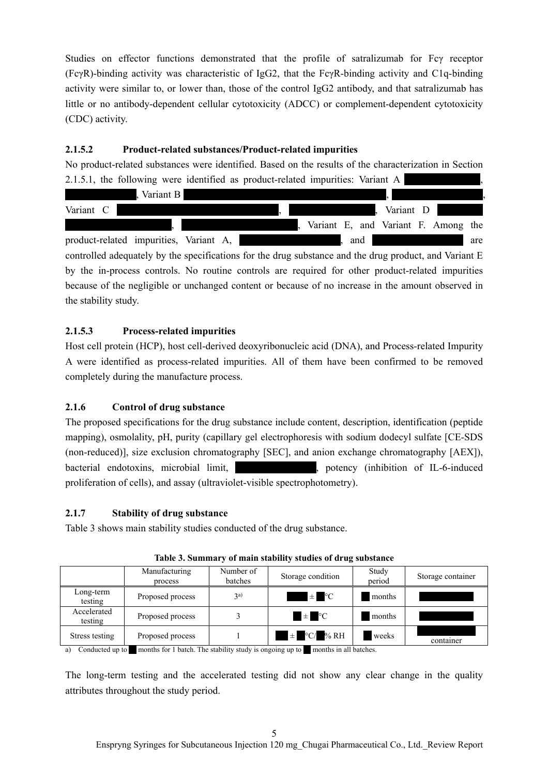Studies on effector functions demonstrated that the profile of satralizumab for Fcγ receptor (FcγR)-binding activity was characteristic of IgG2, that the FcγR-binding activity and C1q-binding activity were similar to, or lower than, those of the control IgG2 antibody, and that satralizumab has little or no antibody-dependent cellular cytotoxicity (ADCC) or complement-dependent cytotoxicity (CDC) activity.

# **2.1.5.2 Product-related substances/Product-related impurities**

No product-related substances were identified. Based on the results of the characterization in Section 2.1.5.1, the following were identified as product-related impurities: Variant A



# **2.1.5.3 Process-related impurities**

Host cell protein (HCP), host cell-derived deoxyribonucleic acid (DNA), and Process-related Impurity A were identified as process-related impurities. All of them have been confirmed to be removed completely during the manufacture process.

# **2.1.6 Control of drug substance**

The proposed specifications for the drug substance include content, description, identification (peptide mapping), osmolality, pH, purity (capillary gel electrophoresis with sodium dodecyl sulfate [CE-SDS (non-reduced)], size exclusion chromatography [SEC], and anion exchange chromatography [AEX]), bacterial endotoxins, microbial limit,  $\blacksquare$ , potency (inhibition of IL-6-induced proliferation of cells), and assay (ultraviolet-visible spectrophotometry).

## **2.1.7 Stability of drug substance**

Table 3 shows main stability studies conducted of the drug substance.

|                        | Manufacturing<br>process | Number of<br>batches | Storage condition | Study<br>period | Storage container |
|------------------------|--------------------------|----------------------|-------------------|-----------------|-------------------|
| Long-term<br>testing   | Proposed process         | $\mathfrak{a}$       | $\pm$ °C          | months          |                   |
| Accelerated<br>testing | Proposed process         |                      | $\pm$ °C          | months          |                   |
| Stress testing         | Proposed process         |                      | $\pm$ °C/ % RH    | weeks           | container         |

**Table 3. Summary of main stability studies of drug substance** 

a) Conducted up to \*\* months for 1 batch. The stability study is ongoing up to \*\* months in all batches.

The long-term testing and the accelerated testing did not show any clear change in the quality attributes throughout the study period.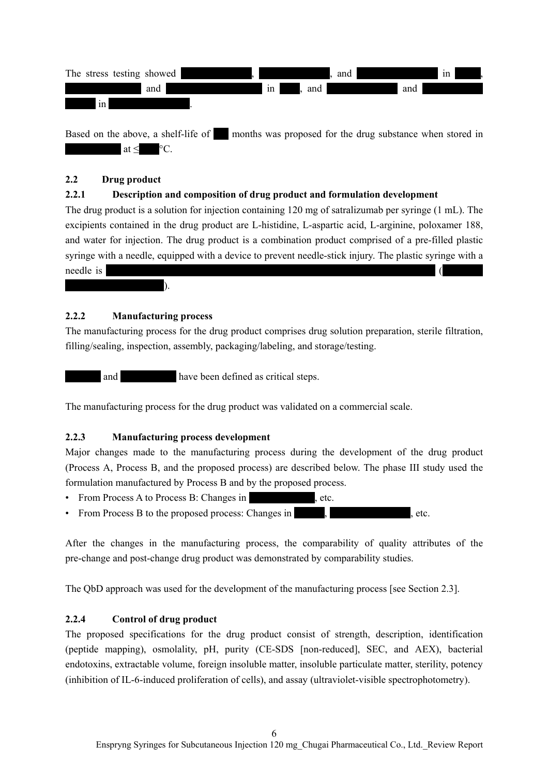

Based on the above, a shelf-life of  $\blacksquare$  months was proposed for the drug substance when stored in  $at <$   $\degree$ C.

## **2.2 Drug product**

# **2.2.1 Description and composition of drug product and formulation development**

The drug product is a solution for injection containing 120 mg of satralizumab per syringe (1 mL). The excipients contained in the drug product are L-histidine, L-aspartic acid, L-arginine, poloxamer 188, and water for injection. The drug product is a combination product comprised of a pre-filled plastic syringe with a needle, equipped with a device to prevent needle-stick injury. The plastic syringe with a needle is \*\*\*\*\*\*\*\*\*\*\*\*\*\*\*\*\*\*\*\*\*\*\*\*\*\*\*\*\*\*\*\*\*\*\*\*\*\*\*\*\*\*\*\*\*\*\*\*\*\*\*\*\*\*\*\*\*\*\*\*\*\*\*\*\* (\*\*\*\*\*\*\*\*

## **2.2.2 Manufacturing process**

 $\;$  ).

The manufacturing process for the drug product comprises drug solution preparation, sterile filtration, filling/sealing, inspection, assembly, packaging/labeling, and storage/testing.

and  $*$  have been defined as critical steps.

The manufacturing process for the drug product was validated on a commercial scale.

#### **2.2.3 Manufacturing process development**

Major changes made to the manufacturing process during the development of the drug product (Process A, Process B, and the proposed process) are described below. The phase III study used the formulation manufactured by Process B and by the proposed process.

- From Process A to Process B: Changes in , etc.
- From Process B to the proposed process: Changes in  $\bullet$ , etc.

After the changes in the manufacturing process, the comparability of quality attributes of the pre-change and post-change drug product was demonstrated by comparability studies.

The QbD approach was used for the development of the manufacturing process [see Section 2.3].

## **2.2.4 Control of drug product**

The proposed specifications for the drug product consist of strength, description, identification (peptide mapping), osmolality, pH, purity (CE-SDS [non-reduced], SEC, and AEX), bacterial endotoxins, extractable volume, foreign insoluble matter, insoluble particulate matter, sterility, potency (inhibition of IL-6-induced proliferation of cells), and assay (ultraviolet-visible spectrophotometry).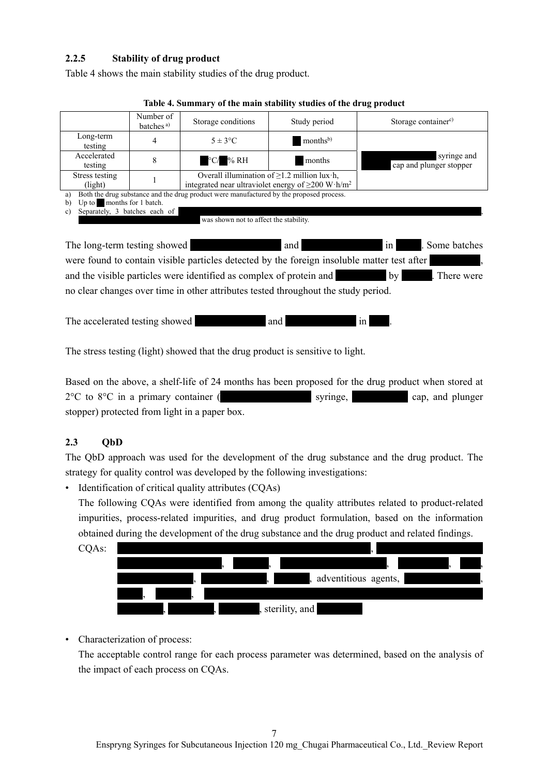## **2.2.5 Stability of drug product**

Table 4 shows the main stability studies of the drug product.

|                                     | Number of<br>batches <sup>a)</sup>     | Storage conditions                                                                      | Study period                                                                                                                     | Storage container <sup>c)</sup>        |  |  |
|-------------------------------------|----------------------------------------|-----------------------------------------------------------------------------------------|----------------------------------------------------------------------------------------------------------------------------------|----------------------------------------|--|--|
| Long-term<br>testing                | 4                                      | $5 \pm 3$ °C                                                                            | months <sup>b)</sup>                                                                                                             |                                        |  |  |
| Accelerated<br>testing              | 8                                      | $\rm ^{\circ}C/$ % RH                                                                   | months                                                                                                                           | syringe and<br>cap and plunger stopper |  |  |
| Stress testing<br>(light)           |                                        |                                                                                         | Overall illumination of $\geq$ 1.2 million lux $\cdot$ h,<br>integrated near ultraviolet energy of $\geq$ 200 W·h/m <sup>2</sup> |                                        |  |  |
| a)                                  |                                        | Both the drug substance and the drug product were manufactured by the proposed process. |                                                                                                                                  |                                        |  |  |
| Up to months for 1 batch.<br>b)     |                                        |                                                                                         |                                                                                                                                  |                                        |  |  |
| Separately, 3 batches each of<br>c) |                                        |                                                                                         |                                                                                                                                  |                                        |  |  |
|                                     | was shown not to affect the stability. |                                                                                         |                                                                                                                                  |                                        |  |  |
|                                     |                                        |                                                                                         |                                                                                                                                  |                                        |  |  |
|                                     |                                        |                                                                                         |                                                                                                                                  | $\alpha$ 1.1                           |  |  |

**Table 4. Summary of the main stability studies of the drug product** 

The long-term testing showed and and  $\frac{1}{x}$  and  $\frac{1}{x}$ . Some batches were found to contain visible particles detected by the foreign insoluble matter test after and the visible particles were identified as complex of protein and \*\*\*\*\*\* by \*\*\*\*. There were no clear changes over time in other attributes tested throughout the study period.

The accelerated testing showed \*\*\*\*\*\*\*\*\*\*\*\*\*\* and \*\*\*\*\*\*\*\*\*\*\*\*\*\* in \*\*\*\*.

The stress testing (light) showed that the drug product is sensitive to light.

Based on the above, a shelf-life of 24 months has been proposed for the drug product when stored at 2°C to 8°C in a primary container (\*\*\*\*\*\*\*\*\*\*\*\*\*\*\*\*\*\* syringe, \*\*\*\*\*\*\*\*\*\*\* cap, and plunger stopper) protected from light in a paper box.

# **2.3 QbD**

The QbD approach was used for the development of the drug substance and the drug product. The strategy for quality control was developed by the following investigations:

• Identification of critical quality attributes (CQAs)

The following CQAs were identified from among the quality attributes related to product-related impurities, process-related impurities, and drug product formulation, based on the information obtained during the development of the drug substance and the drug product and related findings.



• Characterization of process:

The acceptable control range for each process parameter was determined, based on the analysis of the impact of each process on CQAs.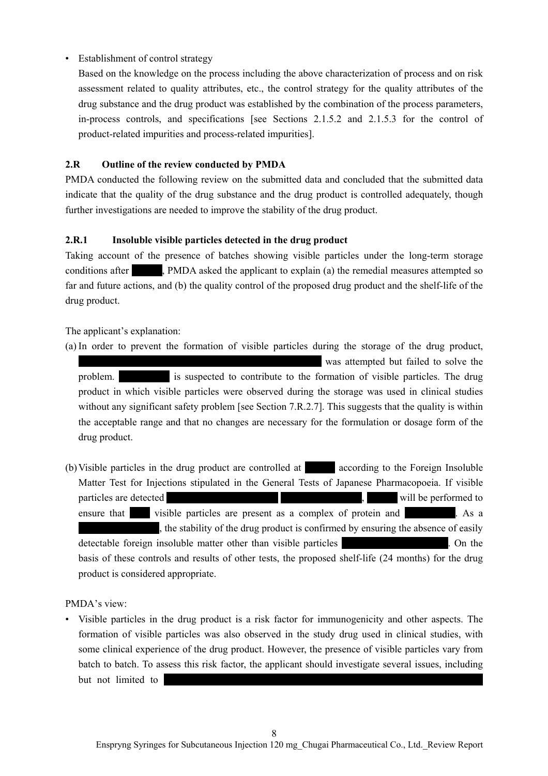# • Establishment of control strategy

Based on the knowledge on the process including the above characterization of process and on risk assessment related to quality attributes, etc., the control strategy for the quality attributes of the drug substance and the drug product was established by the combination of the process parameters, in-process controls, and specifications [see Sections 2.1.5.2 and 2.1.5.3 for the control of product-related impurities and process-related impurities].

# **2.R Outline of the review conducted by PMDA**

PMDA conducted the following review on the submitted data and concluded that the submitted data indicate that the quality of the drug substance and the drug product is controlled adequately, though further investigations are needed to improve the stability of the drug product.

# **2.R.1 Insoluble visible particles detected in the drug product**

Taking account of the presence of batches showing visible particles under the long-term storage conditions after **EXECUTE:** PMDA asked the applicant to explain (a) the remedial measures attempted so far and future actions, and (b) the quality control of the proposed drug product and the shelf-life of the drug product.

## The applicant's explanation:

(a) In order to prevent the formation of visible particles during the storage of the drug product, \*\*\*\*\*\*\*\*\*\*\*\*\*\*\*\*\*\*\*\*\*\*\*\*\*\*\*\*\*\*\*\*\*\*\*\*\*\*\*\*\*\*\*\*\*\*\*\* was attempted but failed to solve the problem.  $\blacksquare$  is suspected to contribute to the formation of visible particles. The drug product in which visible particles were observed during the storage was used in clinical studies without any significant safety problem [see Section 7.R.2.7]. This suggests that the quality is within the acceptable range and that no changes are necessary for the formulation or dosage form of the drug product.

(b) Visible particles in the drug product are controlled at  $\qquad$  according to the Foreign Insoluble Matter Test for Injections stipulated in the General Tests of Japanese Pharmacopoeia. If visible particles are detected  $\cdot$   $\cdot$  will be performed to ensure that \*\*\*\* visible particles are present as a complex of protein and \*\*\*\*\*\*\*\*\*\*. As a , the stability of the drug product is confirmed by ensuring the absence of easily detectable foreign insoluble matter other than visible particles \*\*\*\*\*\*\*\*\*\*\*\*\*\*\*\*\*\*\*\*\*. On the basis of these controls and results of other tests, the proposed shelf-life (24 months) for the drug product is considered appropriate.

PMDA's view:

• Visible particles in the drug product is a risk factor for immunogenicity and other aspects. The formation of visible particles was also observed in the study drug used in clinical studies, with some clinical experience of the drug product. However, the presence of visible particles vary from batch to batch. To assess this risk factor, the applicant should investigate several issues, including but not limited to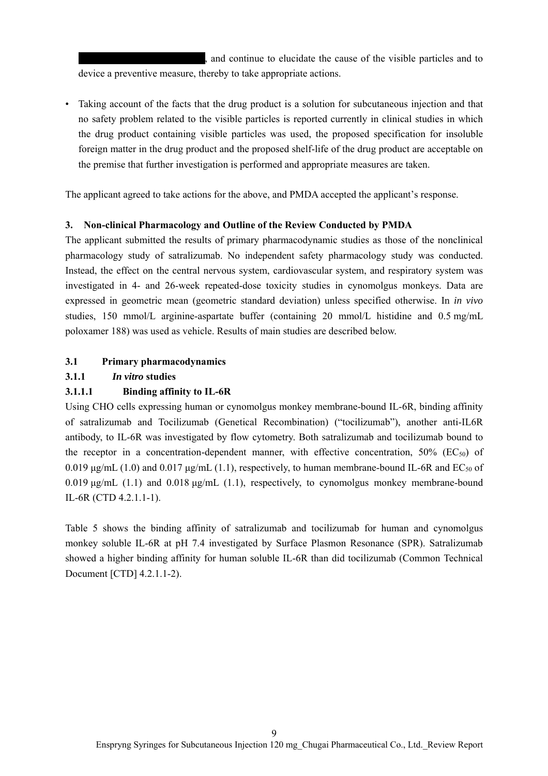, and continue to elucidate the cause of the visible particles and to device a preventive measure, thereby to take appropriate actions.

• Taking account of the facts that the drug product is a solution for subcutaneous injection and that no safety problem related to the visible particles is reported currently in clinical studies in which the drug product containing visible particles was used, the proposed specification for insoluble foreign matter in the drug product and the proposed shelf-life of the drug product are acceptable on the premise that further investigation is performed and appropriate measures are taken.

The applicant agreed to take actions for the above, and PMDA accepted the applicant's response.

## **3. Non-clinical Pharmacology and Outline of the Review Conducted by PMDA**

The applicant submitted the results of primary pharmacodynamic studies as those of the nonclinical pharmacology study of satralizumab. No independent safety pharmacology study was conducted. Instead, the effect on the central nervous system, cardiovascular system, and respiratory system was investigated in 4- and 26-week repeated-dose toxicity studies in cynomolgus monkeys. Data are expressed in geometric mean (geometric standard deviation) unless specified otherwise. In *in vivo* studies, 150 mmol/L arginine-aspartate buffer (containing 20 mmol/L histidine and 0.5 mg/mL poloxamer 188) was used as vehicle. Results of main studies are described below.

## **3.1 Primary pharmacodynamics**

## **3.1.1** *In vitro* **studies**

## **3.1.1.1 Binding affinity to IL-6R**

Using CHO cells expressing human or cynomolgus monkey membrane-bound IL-6R, binding affinity of satralizumab and Tocilizumab (Genetical Recombination) ("tocilizumab"), another anti-IL6R antibody, to IL-6R was investigated by flow cytometry. Both satralizumab and tocilizumab bound to the receptor in a concentration-dependent manner, with effective concentration,  $50\%$  (EC<sub>50</sub>) of 0.019 μg/mL (1.0) and 0.017 μg/mL (1.1), respectively, to human membrane-bound IL-6R and  $EC_{50}$  of 0.019 μg/mL (1.1) and 0.018 μg/mL (1.1), respectively, to cynomolgus monkey membrane-bound IL-6R (CTD 4.2.1.1-1).

Table 5 shows the binding affinity of satralizumab and tocilizumab for human and cynomolgus monkey soluble IL-6R at pH 7.4 investigated by Surface Plasmon Resonance (SPR). Satralizumab showed a higher binding affinity for human soluble IL-6R than did tocilizumab (Common Technical Document [CTD] 4.2.1.1-2).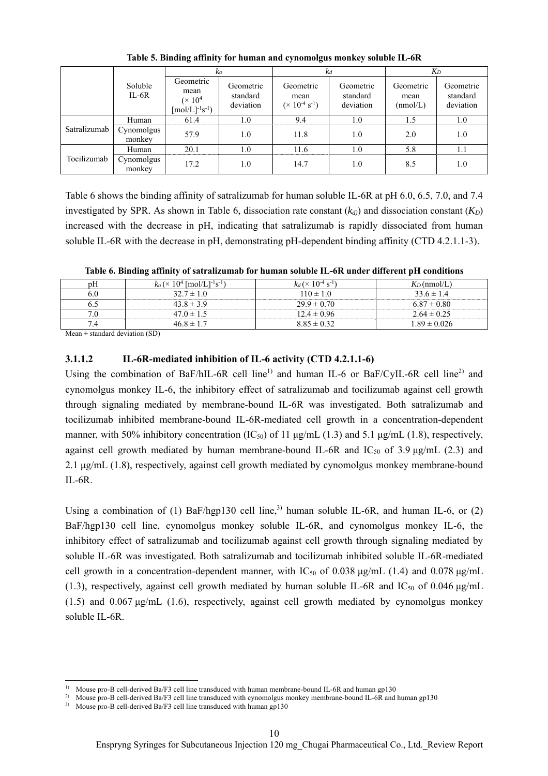|              |                      | kа                                                                        |                                    | $k_d$                                                  |                                    | $K_D$                         |                                    |
|--------------|----------------------|---------------------------------------------------------------------------|------------------------------------|--------------------------------------------------------|------------------------------------|-------------------------------|------------------------------------|
|              | Soluble<br>$IL-6R$   | Geometric<br>mean<br>$(\times 10^4$<br>$\text{[mol/L]}^{-1}\text{s}^{-1}$ | Geometric<br>standard<br>deviation | Geometric<br>mean<br>$(\times 10^{-4} \text{ s}^{-1})$ | Geometric<br>standard<br>deviation | Geometric<br>mean<br>(mmol/L) | Geometric<br>standard<br>deviation |
|              | Human                | 61.4                                                                      | 1.0                                | 9.4                                                    | 1.0                                | 1.5                           | 1.0                                |
| Satralizumab | Cynomolgus<br>monkey | 57.9                                                                      | 1.0                                | 11.8                                                   | 1.0                                | 2.0                           | 1.0                                |
|              | Human                | 20.1                                                                      | 1.0                                | 11.6                                                   | 1.0                                | 5.8                           | 1.1                                |
| Tocilizumab  | Cynomolgus<br>monkey | 17.2                                                                      | 1.0                                | 14.7                                                   | 1.0                                | 8.5                           | 1.0                                |

**Table 5. Binding affinity for human and cynomolgus monkey soluble IL-6R** 

Table 6 shows the binding affinity of satralizumab for human soluble IL-6R at pH 6.0, 6.5, 7.0, and 7.4 investigated by SPR. As shown in Table 6, dissociation rate constant  $(k_d)$  and dissociation constant  $(K_D)$ increased with the decrease in pH, indicating that satralizumab is rapidly dissociated from human soluble IL-6R with the decrease in pH, demonstrating pH-dependent binding affinity (CTD 4.2.1.1-3).

**Table 6. Binding affinity of satralizumab for human soluble IL-6R under different pH conditions** 

| pΗ  | $k_a$ (× 10 <sup>4</sup> [mol/L] <sup>-1</sup> s <sup>-1</sup> ) | $k_d$ (× 10 <sup>-4</sup> s <sup>-1</sup> ) | $K_D$ (nmol/L)   |
|-----|------------------------------------------------------------------|---------------------------------------------|------------------|
| 6.0 | $32.7 \pm 1.0$                                                   | $110 \pm 1.0$                               | $33.6 \pm 1.4$   |
|     | $43.8 \pm 3.9$                                                   | $29.9 \pm 0.70$                             | $6.87 \pm 0.80$  |
| 7.0 | $47.0 \pm 1.5$                                                   | $12.4 \pm 0.96$                             | $2.64 \pm 0.25$  |
|     | $46.8 \pm 1.7$                                                   | $8.85 \pm 0.32$                             | $1.89 \pm 0.026$ |

Mean  $\pm$  standard deviation (SD)

 $\overline{a}$ 

#### **3.1.1.2 IL-6R-mediated inhibition of IL-6 activity (CTD 4.2.1.1-6)**

Using the combination of BaF/hIL-6R cell line<sup>1)</sup> and human IL-6 or BaF/CyIL-6R cell line<sup>2)</sup> and cynomolgus monkey IL-6, the inhibitory effect of satralizumab and tocilizumab against cell growth through signaling mediated by membrane-bound IL-6R was investigated. Both satralizumab and tocilizumab inhibited membrane-bound IL-6R-mediated cell growth in a concentration-dependent manner, with 50% inhibitory concentration (IC<sub>50</sub>) of 11  $\mu$ g/mL (1.3) and 5.1  $\mu$ g/mL (1.8), respectively, against cell growth mediated by human membrane-bound IL-6R and IC<sub>50</sub> of 3.9  $\mu$ g/mL (2.3) and 2.1 μg/mL (1.8), respectively, against cell growth mediated by cynomolgus monkey membrane-bound IL-6R.

Using a combination of (1) BaF/hgp130 cell line,<sup>3)</sup> human soluble IL-6R, and human IL-6, or (2) BaF/hgp130 cell line, cynomolgus monkey soluble IL-6R, and cynomolgus monkey IL-6, the inhibitory effect of satralizumab and tocilizumab against cell growth through signaling mediated by soluble IL-6R was investigated. Both satralizumab and tocilizumab inhibited soluble IL-6R-mediated cell growth in a concentration-dependent manner, with  $IC_{50}$  of 0.038  $\mu$ g/mL (1.4) and 0.078  $\mu$ g/mL (1.3), respectively, against cell growth mediated by human soluble IL-6R and IC<sub>50</sub> of 0.046  $\mu$ g/mL (1.5) and 0.067 μg/mL (1.6), respectively, against cell growth mediated by cynomolgus monkey soluble IL-6R.

<sup>1)</sup> Mouse pro-B cell-derived Ba/F3 cell line transduced with human membrane-bound IL-6R and human gp130

<sup>&</sup>lt;sup>2)</sup> Mouse pro-B cell-derived Ba/F3 cell line transduced with cynomolgus monkey membrane-bound IL-6R and human gp130

<sup>&</sup>lt;sup>3)</sup> Mouse pro-B cell-derived Ba/F3 cell line transduced with human gp130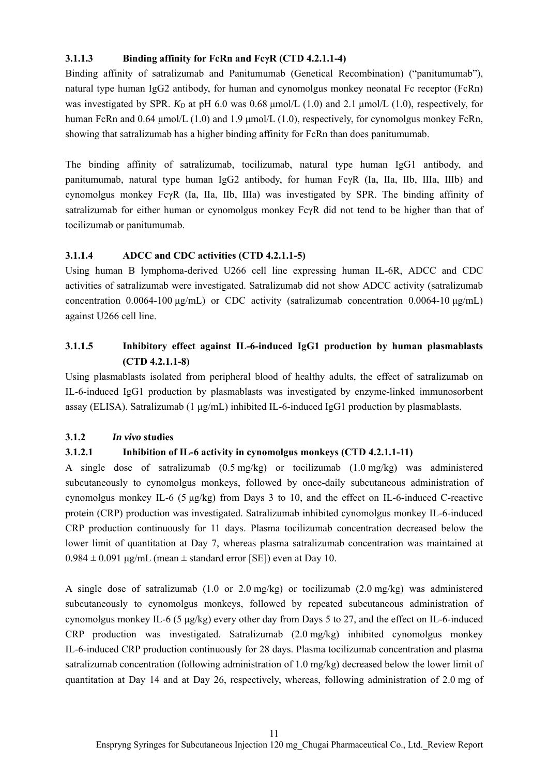## **3.1.1.3 Binding affinity for FcRn and FcγR (CTD 4.2.1.1-4)**

Binding affinity of satralizumab and Panitumumab (Genetical Recombination) ("panitumumab"), natural type human IgG2 antibody, for human and cynomolgus monkey neonatal Fc receptor (FcRn) was investigated by SPR.  $K_D$  at pH 6.0 was 0.68  $\mu$ mol/L (1.0) and 2.1  $\mu$ mol/L (1.0), respectively, for human FcRn and 0.64 μmol/L (1.0) and 1.9 μmol/L (1.0), respectively, for cynomolgus monkey FcRn, showing that satralizumab has a higher binding affinity for FcRn than does panitumumab.

The binding affinity of satralizumab, tocilizumab, natural type human IgG1 antibody, and panitumumab, natural type human IgG2 antibody, for human FcγR (Ⅰa, Ⅱa, Ⅱb, Ⅲa, Ⅲb) and cynomolgus monkey FcγR (Ⅰa, Ⅱa, Ⅱb, Ⅲa) was investigated by SPR. The binding affinity of satralizumab for either human or cynomolgus monkey FcγR did not tend to be higher than that of tocilizumab or panitumumab.

# **3.1.1.4 ADCC and CDC activities (CTD 4.2.1.1-5)**

Using human B lymphoma-derived U266 cell line expressing human IL-6R, ADCC and CDC activities of satralizumab were investigated. Satralizumab did not show ADCC activity (satralizumab concentration 0.0064-100 μg/mL) or CDC activity (satralizumab concentration 0.0064-10 μg/mL) against U266 cell line.

# **3.1.1.5 Inhibitory effect against IL-6-induced IgG1 production by human plasmablasts (CTD 4.2.1.1-8)**

Using plasmablasts isolated from peripheral blood of healthy adults, the effect of satralizumab on IL-6-induced IgG1 production by plasmablasts was investigated by enzyme-linked immunosorbent assay (ELISA). Satralizumab (1 μg/mL) inhibited IL-6-induced IgG1 production by plasmablasts.

## **3.1.2** *In vivo* **studies**

# **3.1.2.1 Inhibition of IL-6 activity in cynomolgus monkeys (CTD 4.2.1.1-11)**

A single dose of satralizumab (0.5 mg/kg) or tocilizumab (1.0 mg/kg) was administered subcutaneously to cynomolgus monkeys, followed by once-daily subcutaneous administration of cynomolgus monkey IL-6 (5  $\mu$ g/kg) from Days 3 to 10, and the effect on IL-6-induced C-reactive protein (CRP) production was investigated. Satralizumab inhibited cynomolgus monkey IL-6-induced CRP production continuously for 11 days. Plasma tocilizumab concentration decreased below the lower limit of quantitation at Day 7, whereas plasma satralizumab concentration was maintained at  $0.984 \pm 0.091$  μg/mL (mean  $\pm$  standard error [SE]) even at Day 10.

A single dose of satralizumab (1.0 or 2.0 mg/kg) or tocilizumab (2.0 mg/kg) was administered subcutaneously to cynomolgus monkeys, followed by repeated subcutaneous administration of cynomolgus monkey IL-6 (5 μg/kg) every other day from Days 5 to 27, and the effect on IL-6-induced CRP production was investigated. Satralizumab (2.0 mg/kg) inhibited cynomolgus monkey IL-6-induced CRP production continuously for 28 days. Plasma tocilizumab concentration and plasma satralizumab concentration (following administration of 1.0 mg/kg) decreased below the lower limit of quantitation at Day 14 and at Day 26, respectively, whereas, following administration of 2.0 mg of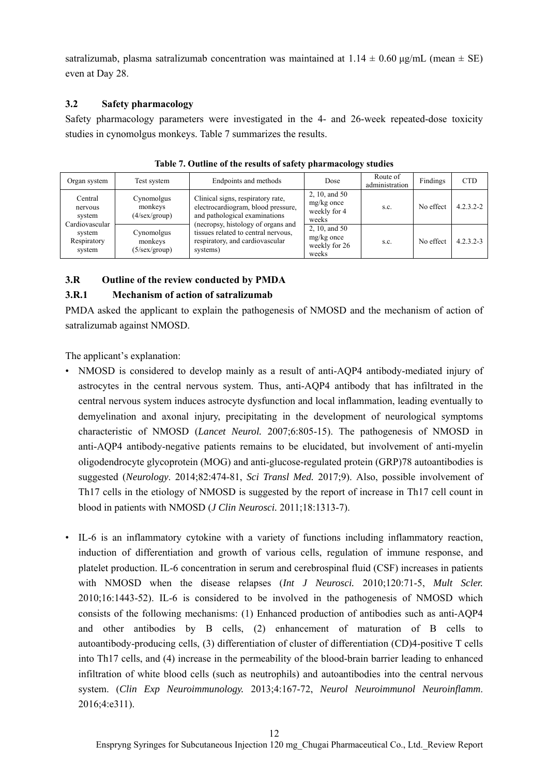satralizumab, plasma satralizumab concentration was maintained at  $1.14 \pm 0.60$   $\mu$ g/mL (mean  $\pm$  SE) even at Day 28.

## **3.2 Safety pharmacology**

Safety pharmacology parameters were investigated in the 4- and 26-week repeated-dose toxicity studies in cynomolgus monkeys. Table 7 summarizes the results.

| Organ system                                   | Test system                                     | Endpoints and methods                                                                                                                                                                                                                | Dose                                                    | Route of<br>administration | Findings  | <b>CTD</b>    |
|------------------------------------------------|-------------------------------------------------|--------------------------------------------------------------------------------------------------------------------------------------------------------------------------------------------------------------------------------------|---------------------------------------------------------|----------------------------|-----------|---------------|
| Central<br>nervous<br>system<br>Cardiovascular | Cynomolgus<br>monkeys<br>$(4/\text{sex/group})$ | Clinical signs, respiratory rate,<br>electrocardiogram, blood pressure,<br>and pathological examinations<br>(necropsy, histology of organs and<br>tissues related to central nervous,<br>respiratory, and cardiovascular<br>systems) | 2, 10, and 50<br>$mg/kg$ once<br>weekly for 4<br>weeks  | S.C.                       | No effect | $4.2.3.2 - 2$ |
| system<br>Respiratory<br>system                | Cynomolgus<br>monkeys<br>$(5/\text{sex/group})$ |                                                                                                                                                                                                                                      | 2, 10, and 50<br>$mg/kg$ once<br>weekly for 26<br>weeks | S.C.                       | No effect | $4.2.3.2 - 3$ |

**Table 7. Outline of the results of safety pharmacology studies** 

## **3.R Outline of the review conducted by PMDA**

## **3.R.1 Mechanism of action of satralizumab**

PMDA asked the applicant to explain the pathogenesis of NMOSD and the mechanism of action of satralizumab against NMOSD.

The applicant's explanation:

- NMOSD is considered to develop mainly as a result of anti-AQP4 antibody-mediated injury of astrocytes in the central nervous system. Thus, anti-AQP4 antibody that has infiltrated in the central nervous system induces astrocyte dysfunction and local inflammation, leading eventually to demyelination and axonal injury, precipitating in the development of neurological symptoms characteristic of NMOSD (*Lancet Neurol.* 2007;6:805-15). The pathogenesis of NMOSD in anti-AQP4 antibody-negative patients remains to be elucidated, but involvement of anti-myelin oligodendrocyte glycoprotein (MOG) and anti-glucose-regulated protein (GRP)78 autoantibodies is suggested (*Neurology*. 2014;82:474-81, *Sci Transl Med.* 2017;9). Also, possible involvement of Th17 cells in the etiology of NMOSD is suggested by the report of increase in Th17 cell count in blood in patients with NMOSD (*J Clin Neurosci.* 2011;18:1313-7).
- IL-6 is an inflammatory cytokine with a variety of functions including inflammatory reaction, induction of differentiation and growth of various cells, regulation of immune response, and platelet production. IL-6 concentration in serum and cerebrospinal fluid (CSF) increases in patients with NMOSD when the disease relapses (*Int J Neurosci.* 2010;120:71-5, *Mult Scler.* 2010;16:1443-52). IL-6 is considered to be involved in the pathogenesis of NMOSD which consists of the following mechanisms: (1) Enhanced production of antibodies such as anti-AQP4 and other antibodies by B cells, (2) enhancement of maturation of B cells to autoantibody-producing cells, (3) differentiation of cluster of differentiation (CD)4-positive T cells into Th17 cells, and (4) increase in the permeability of the blood-brain barrier leading to enhanced infiltration of white blood cells (such as neutrophils) and autoantibodies into the central nervous system. (*Clin Exp Neuroimmunology.* 2013;4:167-72, *Neurol Neuroimmunol Neuroinflamm*. 2016;4:e311).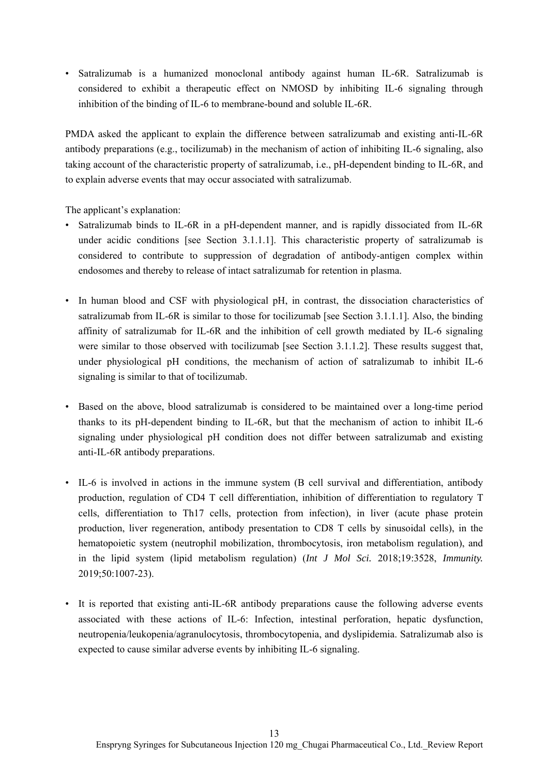• Satralizumab is a humanized monoclonal antibody against human IL-6R. Satralizumab is considered to exhibit a therapeutic effect on NMOSD by inhibiting IL-6 signaling through inhibition of the binding of IL-6 to membrane-bound and soluble IL-6R.

PMDA asked the applicant to explain the difference between satralizumab and existing anti-IL-6R antibody preparations (e.g., tocilizumab) in the mechanism of action of inhibiting IL-6 signaling, also taking account of the characteristic property of satralizumab, i.e., pH-dependent binding to IL-6R, and to explain adverse events that may occur associated with satralizumab.

The applicant's explanation:

- Satralizumab binds to IL-6R in a pH-dependent manner, and is rapidly dissociated from IL-6R under acidic conditions [see Section 3.1.1.1]. This characteristic property of satralizumab is considered to contribute to suppression of degradation of antibody-antigen complex within endosomes and thereby to release of intact satralizumab for retention in plasma.
- In human blood and CSF with physiological pH, in contrast, the dissociation characteristics of satralizumab from IL-6R is similar to those for tocilizumab [see Section 3.1.1.1]. Also, the binding affinity of satralizumab for IL-6R and the inhibition of cell growth mediated by IL-6 signaling were similar to those observed with tocilizumab [see Section 3.1.1.2]. These results suggest that, under physiological pH conditions, the mechanism of action of satralizumab to inhibit IL-6 signaling is similar to that of tocilizumab.
- Based on the above, blood satralizumab is considered to be maintained over a long-time period thanks to its pH-dependent binding to IL-6R, but that the mechanism of action to inhibit IL-6 signaling under physiological pH condition does not differ between satralizumab and existing anti-IL-6R antibody preparations.
- IL-6 is involved in actions in the immune system (B cell survival and differentiation, antibody production, regulation of CD4 T cell differentiation, inhibition of differentiation to regulatory T cells, differentiation to Th17 cells, protection from infection), in liver (acute phase protein production, liver regeneration, antibody presentation to CD8 T cells by sinusoidal cells), in the hematopoietic system (neutrophil mobilization, thrombocytosis, iron metabolism regulation), and in the lipid system (lipid metabolism regulation) (*Int J Mol Sci.* 2018;19:3528, *Immunity.* 2019;50:1007-23).
- It is reported that existing anti-IL-6R antibody preparations cause the following adverse events associated with these actions of IL-6: Infection, intestinal perforation, hepatic dysfunction, neutropenia/leukopenia/agranulocytosis, thrombocytopenia, and dyslipidemia. Satralizumab also is expected to cause similar adverse events by inhibiting IL-6 signaling.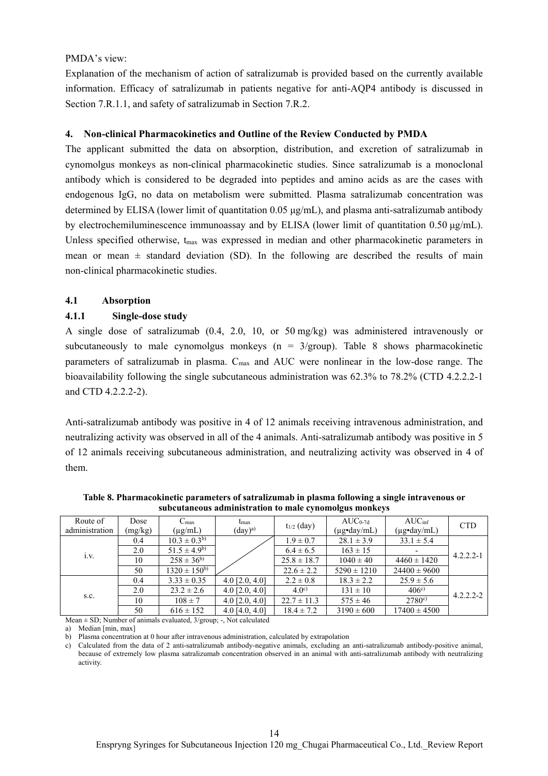#### PMDA's view:

Explanation of the mechanism of action of satralizumab is provided based on the currently available information. Efficacy of satralizumab in patients negative for anti-AQP4 antibody is discussed in Section 7.R.1.1, and safety of satralizumab in Section 7.R.2.

#### **4. Non-clinical Pharmacokinetics and Outline of the Review Conducted by PMDA**

The applicant submitted the data on absorption, distribution, and excretion of satralizumab in cynomolgus monkeys as non-clinical pharmacokinetic studies. Since satralizumab is a monoclonal antibody which is considered to be degraded into peptides and amino acids as are the cases with endogenous IgG, no data on metabolism were submitted. Plasma satralizumab concentration was determined by ELISA (lower limit of quantitation 0.05 μg/mL), and plasma anti-satralizumab antibody by electrochemiluminescence immunoassay and by ELISA (lower limit of quantitation 0.50 μg/mL). Unless specified otherwise,  $t_{\text{max}}$  was expressed in median and other pharmacokinetic parameters in mean or mean  $\pm$  standard deviation (SD). In the following are described the results of main non-clinical pharmacokinetic studies.

#### **4.1 Absorption**

#### **4.1.1 Single-dose study**

A single dose of satralizumab (0.4, 2.0, 10, or 50 mg/kg) was administered intravenously or subcutaneously to male cynomolgus monkeys ( $n = 3/$ group). Table 8 shows pharmacokinetic parameters of satralizumab in plasma. C<sub>max</sub> and AUC were nonlinear in the low-dose range. The bioavailability following the single subcutaneous administration was 62.3% to 78.2% (CTD 4.2.2.2-1 and CTD 4.2.2.2-2).

Anti-satralizumab antibody was positive in 4 of 12 animals receiving intravenous administration, and neutralizing activity was observed in all of the 4 animals. Anti-satralizumab antibody was positive in 5 of 12 animals receiving subcutaneous administration, and neutralizing activity was observed in 4 of them.

| Route of<br>administration | Dose<br>(mg/kg) | $C_{\text{max}}$<br>$(\mu g/mL)$ | $t_{\rm max}$<br>$(\text{day})^{\text{a}}$ | $t_{1/2}$ (day)  | $AUC_{0-7d}$<br>$(\mu$ g•day/mL) | AUC <sub>inf</sub><br>$(\mu g \cdot \text{day/mL})$ | <b>CTD</b>    |
|----------------------------|-----------------|----------------------------------|--------------------------------------------|------------------|----------------------------------|-----------------------------------------------------|---------------|
|                            | 0.4             | $10.3 \pm 0.3^{b}$               |                                            | $1.9 \pm 0.7$    | $28.1 \pm 3.9$                   | $33.1 \pm 5.4$                                      | $4.2.2.2 - 1$ |
| $\cdot$                    | 2.0             | $51.5 \pm 4.9^{b}$               |                                            | $6.4 \pm 6.5$    | $163 \pm 15$                     |                                                     |               |
| 1.V.                       | 10              | $258 \pm 36^{b}$                 |                                            | $25.8 \pm 18.7$  | $1040 \pm 40$                    | $4460 \pm 1420$                                     |               |
|                            | 50              | $1320 \pm 150^{6}$               |                                            | $22.6 \pm 2.2$   | $5290 \pm 1210$                  | $24400 \pm 9600$                                    |               |
| S.C.                       | 0.4             | $3.33 \pm 0.35$                  | 4.0 $[2.0, 4.0]$                           | $2.2 \pm 0.8$    | $18.3 \pm 2.2$                   | $25.9 \pm 5.6$                                      |               |
|                            | 2.0             | $23.2 \pm 2.6$                   | 4.0 $[2.0, 4.0]$                           | 4.0 <sup>c</sup> | $131 \pm 10$                     | $406^{\circ}$                                       | $4.2.2.2 - 2$ |
|                            | 10              | $108 \pm 7$                      | 4.0 $[2.0, 4.0]$                           | $22.7 \pm 11.3$  | $575 \pm 46$                     | $2780^{\circ}$                                      |               |
|                            | 50              | $616 \pm 152$                    | 4.0 $[4.0, 4.0]$                           | $18.4 \pm 7.2$   | $3190 \pm 600$                   | $17400 \pm 4500$                                    |               |

**Table 8. Pharmacokinetic parameters of satralizumab in plasma following a single intravenous or subcutaneous administration to male cynomolgus monkeys** 

Mean ± SD; Number of animals evaluated, 3/group; -, Not calculated

a) Median [min, max]

b) Plasma concentration at 0 hour after intravenous administration, calculated by extrapolation

c) Calculated from the data of 2 anti-satralizumab antibody-negative animals, excluding an anti-satralizumab antibody-positive animal, because of extremely low plasma satralizumab concentration observed in an animal with anti-satralizumab antibody with neutralizing activity.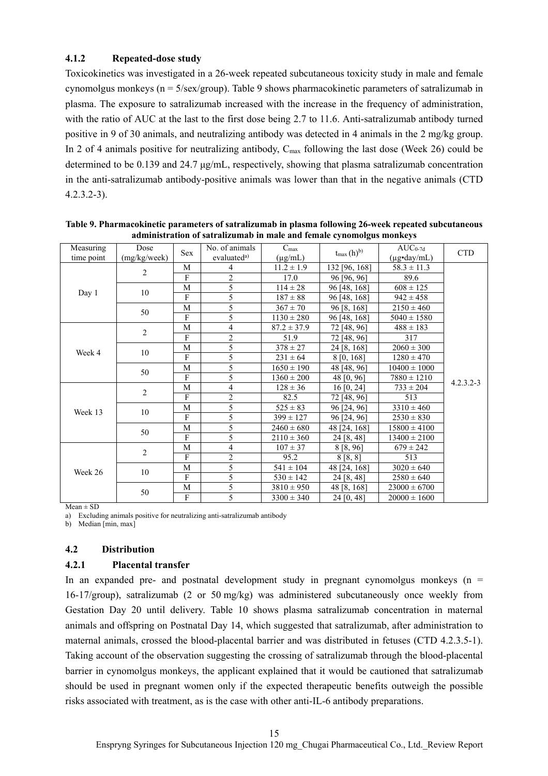#### **4.1.2 Repeated-dose study**

Toxicokinetics was investigated in a 26-week repeated subcutaneous toxicity study in male and female cynomolgus monkeys ( $n = 5/\text{sex/group}$ ). Table 9 shows pharmacokinetic parameters of satralizumab in plasma. The exposure to satralizumab increased with the increase in the frequency of administration, with the ratio of AUC at the last to the first dose being 2.7 to 11.6. Anti-satralizumab antibody turned positive in 9 of 30 animals, and neutralizing antibody was detected in 4 animals in the 2 mg/kg group. In 2 of 4 animals positive for neutralizing antibody,  $C_{\text{max}}$  following the last dose (Week 26) could be determined to be 0.139 and 24.7 μg/mL, respectively, showing that plasma satralizumab concentration in the anti-satralizumab antibody-positive animals was lower than that in the negative animals (CTD 4.2.3.2-3).

| Measuring  | Dose           |     | No. of animals          | $C_{\text{max}}$ |                   | $AUC_{0-7d}$     |               |
|------------|----------------|-----|-------------------------|------------------|-------------------|------------------|---------------|
| time point | (mg/kg/week)   | Sex | evaluated <sup>a)</sup> | $(\mu g/mL)$     | $t_{\max}(h)^{b}$ | (µg•day/mL)      | <b>CTD</b>    |
|            | $\overline{2}$ | М   | 4                       | $11.2 \pm 1.9$   | 132 [96, 168]     | $58.3 \pm 11.3$  |               |
|            |                | F   | $\overline{2}$          | 17.0             | 96 [96, 96]       | 89.6             |               |
|            | 10             | M   | 5                       | $114 \pm 28$     | 96 [48, 168]      | $608 \pm 125$    |               |
| Day 1      |                | F   | 5                       | $187 \pm 88$     | 96 [48, 168]      | $942 \pm 458$    |               |
|            | 50             | М   | 5                       | $367 \pm 70$     | 96 [8, 168]       | $2150 \pm 460$   |               |
|            |                | F   | 5                       | $1130 \pm 280$   | 96 [48, 168]      | $5040 \pm 1580$  |               |
|            | 2              | M   | 4                       | $87.2 \pm 37.9$  | 72 [48, 96]       | $488 \pm 183$    |               |
|            |                | F   | 2                       | 51.9             | 72 [48, 96]       | 317              |               |
| Week 4     | 10             | М   | 5                       | $378 \pm 27$     | 24 [8, 168]       | $2060 \pm 300$   |               |
|            |                | F   | 5                       | $231 \pm 64$     | 8 [0, 168]        | $1280 \pm 470$   |               |
|            | 50             | M   | 5                       | $1650 \pm 190$   | 48 [48, 96]       | $10400 \pm 1000$ |               |
|            |                | F   | 5                       | $1360 \pm 200$   | 48 [0, 96]        | $7880 \pm 1210$  |               |
|            | $\overline{2}$ | M   | 4                       | $128 \pm 36$     | $16\,[0, 24]$     | $733 \pm 204$    | $4.2.3.2 - 3$ |
|            |                | F   | $\overline{c}$          | 82.5             | 72 [48, 96]       | 513              |               |
| Week 13    | 10             | M   | 5                       | $525 \pm 83$     | 96 [24, 96]       | $3310 \pm 460$   |               |
|            |                | F   | 5                       | $399 \pm 127$    | 96 [24, 96]       | $2530 \pm 830$   |               |
|            | 50             | М   | 5                       | $2460 \pm 680$   | 48 [24, 168]      | $15800 \pm 4100$ |               |
|            |                | F   | 5                       | $2110 \pm 360$   | 24 [8, 48]        | $13400 \pm 2100$ |               |
|            | $\overline{2}$ | М   | 4                       | $107 \pm 37$     | 8 [8, 96]         | $679 \pm 242$    |               |
|            |                | F   | 2                       | 95.2             | 8 [8, 8]          | 513              |               |
|            |                | M   | 5                       | $541 \pm 104$    | 48 [24, 168]      | $3020 \pm 640$   |               |
| Week 26    | 10             | F   | 5                       | $530 \pm 142$    | 24 [8, 48]        | $2580 \pm 640$   |               |
|            |                | M   | 5                       | $3810 \pm 950$   | 48 [8, 168]       | $23000 \pm 6700$ |               |
|            | 50             | F   | 5                       | $3300 \pm 340$   | 24 [0, 48]        | $20000 \pm 1600$ |               |

**Table 9. Pharmacokinetic parameters of satralizumab in plasma following 26-week repeated subcutaneous administration of satralizumab in male and female cynomolgus monkeys** 

 $Mean \pm SD$ 

a) Excluding animals positive for neutralizing anti-satralizumab antibody

b) Median [min, max]

#### **4.2 Distribution**

#### **4.2.1 Placental transfer**

In an expanded pre- and postnatal development study in pregnant cynomolgus monkeys ( $n =$ 16-17/group), satralizumab (2 or 50 mg/kg) was administered subcutaneously once weekly from Gestation Day 20 until delivery. Table 10 shows plasma satralizumab concentration in maternal animals and offspring on Postnatal Day 14, which suggested that satralizumab, after administration to maternal animals, crossed the blood-placental barrier and was distributed in fetuses (CTD 4.2.3.5-1). Taking account of the observation suggesting the crossing of satralizumab through the blood-placental barrier in cynomolgus monkeys, the applicant explained that it would be cautioned that satralizumab should be used in pregnant women only if the expected therapeutic benefits outweigh the possible risks associated with treatment, as is the case with other anti-IL-6 antibody preparations.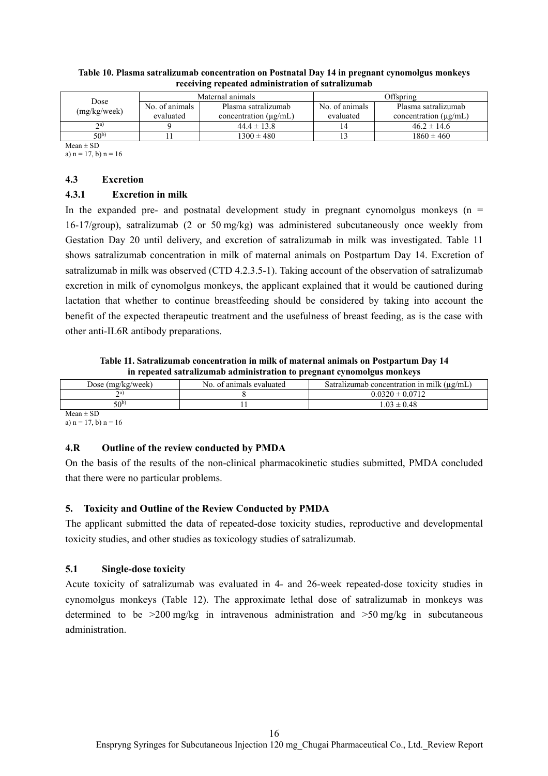| Dose<br>(mg/kg/week) |                | Maternal animals           | Offspring      |                            |  |
|----------------------|----------------|----------------------------|----------------|----------------------------|--|
|                      | No. of animals | Plasma satralizumah        | No. of animals | Plasma satralizumab        |  |
|                      | evaluated      | concentration $(\mu g/mL)$ | evaluated      | concentration $(\mu g/mL)$ |  |
| 2a)                  |                | $44.4 \pm 13.8$            | 14             | $46.2 \pm 14.6$            |  |
| $50^{b}$             |                | $1300 \pm 480$             |                | $1860 \pm 460$             |  |

#### **Table 10. Plasma satralizumab concentration on Postnatal Day 14 in pregnant cynomolgus monkeys receiving repeated administration of satralizumab**

 $Mean \pm SD$ 

a)  $n = 17$ , b)  $n = 16$ 

## **4.3 Excretion**

## **4.3.1 Excretion in milk**

In the expanded pre- and postnatal development study in pregnant cynomolgus monkeys ( $n =$ 16-17/group), satralizumab (2 or 50 mg/kg) was administered subcutaneously once weekly from Gestation Day 20 until delivery, and excretion of satralizumab in milk was investigated. Table 11 shows satralizumab concentration in milk of maternal animals on Postpartum Day 14. Excretion of satralizumab in milk was observed (CTD 4.2.3.5-1). Taking account of the observation of satralizumab excretion in milk of cynomolgus monkeys, the applicant explained that it would be cautioned during lactation that whether to continue breastfeeding should be considered by taking into account the benefit of the expected therapeutic treatment and the usefulness of breast feeding, as is the case with other anti-IL6R antibody preparations.

**Table 11. Satralizumab concentration in milk of maternal animals on Postpartum Day 14 in repeated satralizumab administration to pregnant cynomolgus monkeys** 

|                           |                          | __<br>.                                         |
|---------------------------|--------------------------|-------------------------------------------------|
| Dose $(mg/kg/week)$       | No. of animals evaluated | Satralizumab concentration in milk $(\mu g/mL)$ |
| $\gamma$ a                |                          | $0.0320 \pm 0.0712$                             |
| 50b)                      |                          | $1.03 \pm 0.48$                                 |
| $\mathbf{M}$ $\mathbf{m}$ |                          |                                                 |

 $Mean \pm SD$ a)  $n = 17$ , b)  $n = 16$ 

## **4.R Outline of the review conducted by PMDA**

On the basis of the results of the non-clinical pharmacokinetic studies submitted, PMDA concluded that there were no particular problems.

## **5. Toxicity and Outline of the Review Conducted by PMDA**

The applicant submitted the data of repeated-dose toxicity studies, reproductive and developmental toxicity studies, and other studies as toxicology studies of satralizumab.

## **5.1 Single-dose toxicity**

Acute toxicity of satralizumab was evaluated in 4- and 26-week repeated-dose toxicity studies in cynomolgus monkeys (Table 12). The approximate lethal dose of satralizumab in monkeys was determined to be >200 mg/kg in intravenous administration and >50 mg/kg in subcutaneous administration.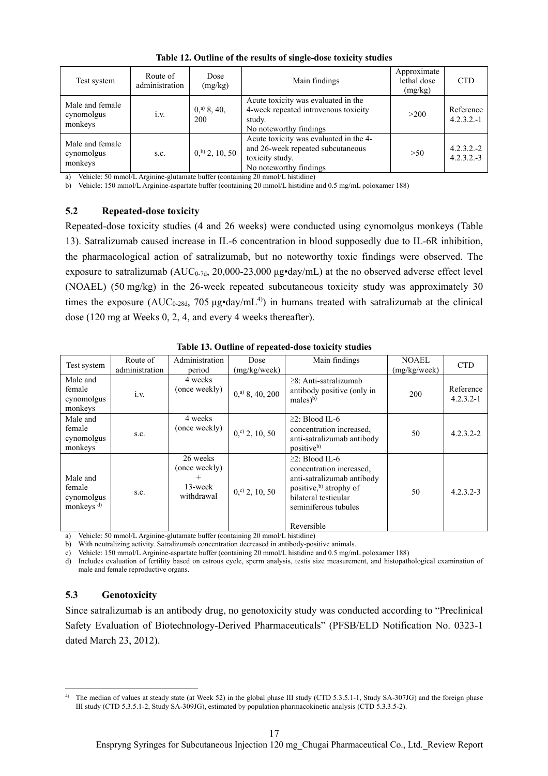| Test system                              | Route of<br>administration | Dose<br>(mg/kg)                  | Main findings                                                                                                            | Approximate<br>lethal dose<br>(mg/kg) | <b>CTD</b>                   |
|------------------------------------------|----------------------------|----------------------------------|--------------------------------------------------------------------------------------------------------------------------|---------------------------------------|------------------------------|
| Male and female<br>cynomolgus<br>monkeys | 1.V.                       | $0,$ <sup>a)</sup> 8, 40,<br>200 | Acute toxicity was evaluated in the<br>4-week repeated intravenous toxicity<br>study.<br>No noteworthy findings          | >200                                  | Reference<br>$4.2.3.2 - 1$   |
| Male and female<br>cynomolgus<br>monkeys | S.C.                       | $0,$ <sup>b)</sup> 2, 10, 50     | Acute toxicity was evaluated in the 4-<br>and 26-week repeated subcutaneous<br>toxicity study.<br>No noteworthy findings | >50                                   | $4.2.3.2.-2$<br>$4.2.3.2.-3$ |

**Table 12. Outline of the results of single-dose toxicity studies** 

a) Vehicle: 50 mmol/L Arginine-glutamate buffer (containing 20 mmol/L histidine)

b) Vehicle: 150 mmol/L Arginine-aspartate buffer (containing 20 mmol/L histidine and 0.5 mg/mL poloxamer 188)

#### **5.2 Repeated-dose toxicity**

Repeated-dose toxicity studies (4 and 26 weeks) were conducted using cynomolgus monkeys (Table 13). Satralizumab caused increase in IL-6 concentration in blood supposedly due to IL-6R inhibition, the pharmacological action of satralizumab, but no noteworthy toxic findings were observed. The exposure to satralizumab (AUC<sub>0-7d</sub>, 20,000-23,000 μg•day/mL) at the no observed adverse effect level (NOAEL) (50 mg/kg) in the 26-week repeated subcutaneous toxicity study was approximately 30 times the exposure ( $AUC_{0.28d}$ , 705  $\mu$ g•day/mL<sup>4)</sup>) in humans treated with satralizumab at the clinical dose (120 mg at Weeks 0, 2, 4, and every 4 weeks thereafter).

| iv ist o atlike of tepenten wood tomacity othered         |                            |                                                                 |                               |                                                                                                                                                                                     |                              |                            |  |  |
|-----------------------------------------------------------|----------------------------|-----------------------------------------------------------------|-------------------------------|-------------------------------------------------------------------------------------------------------------------------------------------------------------------------------------|------------------------------|----------------------------|--|--|
| Test system                                               | Route of<br>administration | Administration<br>period                                        | Dose<br>(mg/kg/week)          | Main findings                                                                                                                                                                       | <b>NOAEL</b><br>(mg/kg/week) | <b>CTD</b>                 |  |  |
| Male and<br>female<br>cynomolgus<br>monkeys               | i.v.                       | 4 weeks<br>(once weekly)                                        | $0,$ <sup>a)</sup> 8, 40, 200 | $\geq$ 8: Anti-satralizumab<br>antibody positive (only in<br>$males)$ <sup>b)</sup>                                                                                                 | 200                          | Reference<br>$4.2.3.2 - 1$ |  |  |
| Male and<br>female<br>cynomolgus<br>monkeys               | s.c.                       | 4 weeks<br>(once weekly)                                        | $0, c$ 2, 10, 50              | $\geq$ 2: Blood IL-6<br>concentration increased,<br>anti-satralizumab antibody<br>positive <sup>b)</sup>                                                                            | 50                           | $4.2.3.2 - 2$              |  |  |
| Male and<br>female<br>cynomolgus<br>monkeys <sup>d)</sup> | s.c.                       | 26 weeks<br>(once weekly)<br>$^{+}$<br>$13$ -week<br>withdrawal | $0, c$ 2, 10, 50              | $\geq$ 2: Blood IL-6<br>concentration increased,<br>anti-satralizumab antibody<br>positive, <sup>b</sup> ) atrophy of<br>bilateral testicular<br>seminiferous tubules<br>Reversible | 50                           | $4.2.3.2 - 3$              |  |  |

**Table 13. Outline of repeated-dose toxicity studies** 

a) Vehicle: 50 mmol/L Arginine-glutamate buffer (containing 20 mmol/L histidine)

b) With neutralizing activity. Satralizumab concentration decreased in antibody-positive animals.

c) Vehicle: 150 mmol/L Arginine-aspartate buffer (containing 20 mmol/L histidine and 0.5 mg/mL poloxamer 188)

d) Includes evaluation of fertility based on estrous cycle, sperm analysis, testis size measurement, and histopathological examination of male and female reproductive organs.

#### **5.3 Genotoxicity**

l

Since satralizumab is an antibody drug, no genotoxicity study was conducted according to "Preclinical Safety Evaluation of Biotechnology-Derived Pharmaceuticals" (PFSB/ELD Notification No. 0323-1 dated March 23, 2012).

<sup>&</sup>lt;sup>4)</sup> The median of values at steady state (at Week 52) in the global phase III study (CTD 5.3.5.1-1, Study SA-307JG) and the foreign phase III study (CTD 5.3.5.1-2, Study SA-309JG), estimated by population pharmacokinetic analysis (CTD 5.3.3.5-2).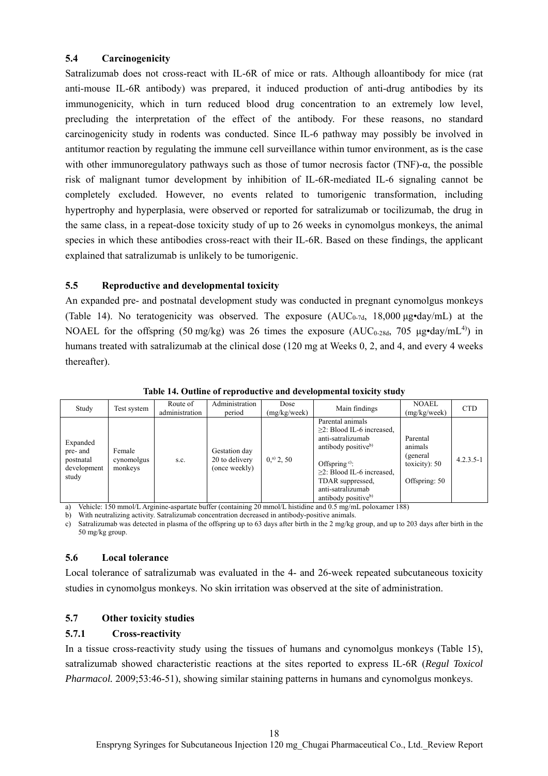## **5.4 Carcinogenicity**

Satralizumab does not cross-react with IL-6R of mice or rats. Although alloantibody for mice (rat anti-mouse IL-6R antibody) was prepared, it induced production of anti-drug antibodies by its immunogenicity, which in turn reduced blood drug concentration to an extremely low level, precluding the interpretation of the effect of the antibody. For these reasons, no standard carcinogenicity study in rodents was conducted. Since IL-6 pathway may possibly be involved in antitumor reaction by regulating the immune cell surveillance within tumor environment, as is the case with other immunoregulatory pathways such as those of tumor necrosis factor (TNF)-α, the possible risk of malignant tumor development by inhibition of IL-6R-mediated IL-6 signaling cannot be completely excluded. However, no events related to tumorigenic transformation, including hypertrophy and hyperplasia, were observed or reported for satralizumab or tocilizumab, the drug in the same class, in a repeat-dose toxicity study of up to 26 weeks in cynomolgus monkeys, the animal species in which these antibodies cross-react with their IL-6R. Based on these findings, the applicant explained that satralizumab is unlikely to be tumorigenic.

## **5.5 Reproductive and developmental toxicity**

An expanded pre- and postnatal development study was conducted in pregnant cynomolgus monkeys (Table 14). No teratogenicity was observed. The exposure  $(AUC_{0.7d}, 18,000 \mu g \cdot day/mL)$  at the NOAEL for the offspring (50 mg/kg) was 26 times the exposure (AUC<sub>0-28d</sub>, 705 µg•day/mL<sup>4)</sup>) in humans treated with satralizumab at the clinical dose (120 mg at Weeks 0, 2, and 4, and every 4 weeks thereafter).

| Study                                                                                  | Test system                                                 | Route of<br>administration | Administration<br>period                                               | Dose<br>(mg/kg/week)                     | Main findings                                                                                                                                                                                                                                 | <b>NOAEL</b><br>(mg/kg/week)                                                 | <b>CTD</b>    |
|----------------------------------------------------------------------------------------|-------------------------------------------------------------|----------------------------|------------------------------------------------------------------------|------------------------------------------|-----------------------------------------------------------------------------------------------------------------------------------------------------------------------------------------------------------------------------------------------|------------------------------------------------------------------------------|---------------|
| Expanded<br>pre- and<br>postnatal<br>development<br>study<br>$X \times 1$ $Y \times 1$ | Female<br>cynomolgus<br>monkeys<br>1/T <sub>1</sub><br>1.50 | S.C.<br>$\cdot$ $\cdot$    | Gestation day<br>20 to delivery<br>(once weekly)<br>$\sim$<br>$\alpha$ | $0^{a}$ , 2, 50<br>$1/7$ $1$ $1$ $1$ $1$ | Parental animals<br>$\geq$ 2: Blood IL-6 increased,<br>anti-satralizumab<br>antibody positive <sup>b)</sup><br>Offspring $e$ :<br>$\geq$ 2: Blood IL-6 increased.<br>TDAR suppressed,<br>anti-satralizumab<br>antibody positive <sup>b)</sup> | Parental<br>animals<br>(general)<br>toxicity): $50$<br>Offspring: 50<br>1001 | $4.2.3.5 - 1$ |

**Table 14. Outline of reproductive and developmental toxicity study** 

a) Vehicle: 150 mmol/L Arginine-aspartate buffer (containing 20 mmol/L histidine and 0.5 mg/mL poloxamer 188)

b) With neutralizing activity. Satralizumab concentration decreased in antibody-positive animals.

c) Satralizumab was detected in plasma of the offspring up to 63 days after birth in the 2 mg/kg group, and up to 203 days after birth in the 50 mg/kg group.

#### **5.6 Local tolerance**

Local tolerance of satralizumab was evaluated in the 4- and 26-week repeated subcutaneous toxicity studies in cynomolgus monkeys. No skin irritation was observed at the site of administration.

## **5.7 Other toxicity studies**

## **5.7.1 Cross-reactivity**

In a tissue cross-reactivity study using the tissues of humans and cynomolgus monkeys (Table 15), satralizumab showed characteristic reactions at the sites reported to express IL-6R (*Regul Toxicol Pharmacol.* 2009;53:46-51), showing similar staining patterns in humans and cynomolgus monkeys.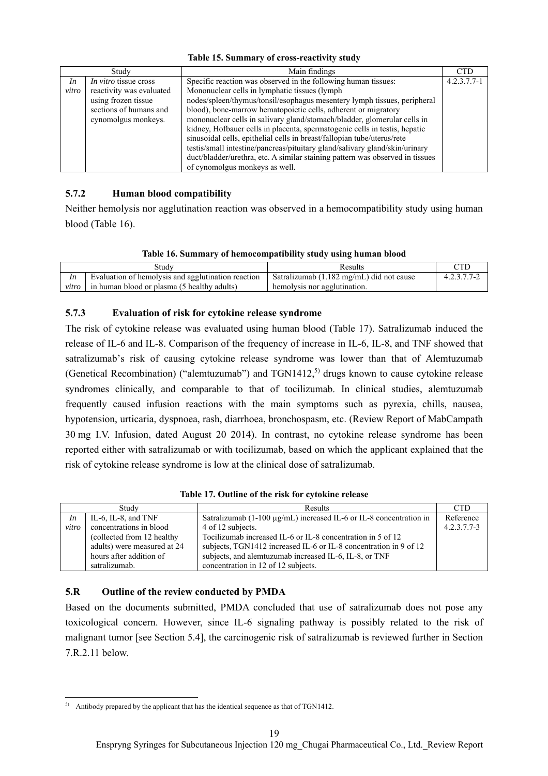|  | Table 15. Summary of cross-reactivity study |  |  |  |
|--|---------------------------------------------|--|--|--|
|--|---------------------------------------------|--|--|--|

|       | Study                    | Main findings                                                                 | <b>CTD</b>    |
|-------|--------------------------|-------------------------------------------------------------------------------|---------------|
| In    | In vitro tissue cross    | Specific reaction was observed in the following human tissues:                | $4.2.3.7.7-1$ |
| vitro | reactivity was evaluated | Mononuclear cells in lymphatic tissues (lymph                                 |               |
|       | using frozen tissue      | nodes/spleen/thymus/tonsil/esophagus mesentery lymph tissues, peripheral      |               |
|       | sections of humans and   | blood), bone-marrow hematopoietic cells, adherent or migratory                |               |
|       | cynomolgus monkeys.      | mononuclear cells in salivary gland/stomach/bladder, glomerular cells in      |               |
|       |                          | kidney, Hofbauer cells in placenta, spermatogenic cells in testis, hepatic    |               |
|       |                          | sinusoidal cells, epithelial cells in breast/fallopian tube/uterus/rete       |               |
|       |                          | testis/small intestine/pancreas/pituitary gland/salivary gland/skin/urinary   |               |
|       |                          | duct/bladder/urethra, etc. A similar staining pattern was observed in tissues |               |
|       |                          | of cynomolgus monkeys as well.                                                |               |

## **5.7.2 Human blood compatibility**

Neither hemolysis nor agglutination reaction was observed in a hemocompatibility study using human blood (Table 16).

|       | Studv                                              | Results                                  |               |
|-------|----------------------------------------------------|------------------------------------------|---------------|
| In    | Evaluation of hemolysis and agglutination reaction | Satralizumab (1.182 mg/mL) did not cause | 4 2 3 7 7 - 2 |
| vitro | in human blood or plasma (5 healthy adults)        | hemolysis nor agglutination.             |               |

## **5.7.3 Evaluation of risk for cytokine release syndrome**

The risk of cytokine release was evaluated using human blood (Table 17). Satralizumab induced the release of IL-6 and IL-8. Comparison of the frequency of increase in IL-6, IL-8, and TNF showed that satralizumab's risk of causing cytokine release syndrome was lower than that of Alemtuzumab (Genetical Recombination) ("alemtuzumab") and  $TGN1412$ <sup>5)</sup> drugs known to cause cytokine release syndromes clinically, and comparable to that of tocilizumab. In clinical studies, alemtuzumab frequently caused infusion reactions with the main symptoms such as pyrexia, chills, nausea, hypotension, urticaria, dyspnoea, rash, diarrhoea, bronchospasm, etc. (Review Report of MabCampath 30 mg I.V. Infusion, dated August 20 2014). In contrast, no cytokine release syndrome has been reported either with satralizumab or with tocilizumab, based on which the applicant explained that the risk of cytokine release syndrome is low at the clinical dose of satralizumab.

#### **Table 17. Outline of the risk for cytokine release**

| Study |                             | Results                                                                 | <b>CTD</b>    |
|-------|-----------------------------|-------------------------------------------------------------------------|---------------|
| In    | IL-6, IL-8, and $TNF$       | Satralizumab $(1-100 \mu g/mL)$ increased IL-6 or IL-8 concentration in | Reference     |
| vitro | concentrations in blood     | 4 of 12 subjects.                                                       | $4.2.3.7.7-3$ |
|       | (collected from 12 healthy) | Tocilizumab increased IL-6 or IL-8 concentration in 5 of 12             |               |
|       | adults) were measured at 24 | subjects, TGN1412 increased IL-6 or IL-8 concentration in 9 of 12       |               |
|       | hours after addition of     | subjects, and alemtuzumab increased IL-6, IL-8, or TNF                  |               |
|       | satralizumab.               | concentration in 12 of 12 subjects.                                     |               |

## **5.R Outline of the review conducted by PMDA**

Based on the documents submitted, PMDA concluded that use of satralizumab does not pose any toxicological concern. However, since IL-6 signaling pathway is possibly related to the risk of malignant tumor [see Section 5.4], the carcinogenic risk of satralizumab is reviewed further in Section 7.R.2.11 below.

 $\overline{a}$  $5)$  Antibody prepared by the applicant that has the identical sequence as that of TGN1412.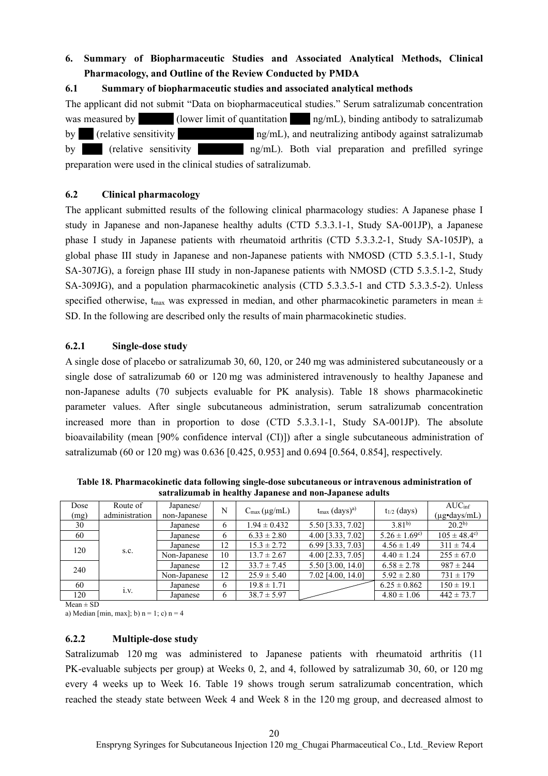# **6. Summary of Biopharmaceutic Studies and Associated Analytical Methods, Clinical Pharmacology, and Outline of the Review Conducted by PMDA**

## **6.1 Summary of biopharmaceutic studies and associated analytical methods**

The applicant did not submit "Data on biopharmaceutical studies." Serum satralizumab concentration was measured by  $\qquad$  (lower limit of quantitation  $\qquad$  ng/mL), binding antibody to satralizumab by  $(r_{\text{relative sensitivity}}$   $\qquad \qquad$  ng/mL), and neutralizing antibody against satralizumab by \*\*\*\* (relative sensitivity \*\*\*\*\*\*\*\*\* ng/mL). Both vial preparation and prefilled syringe preparation were used in the clinical studies of satralizumab.

## **6.2 Clinical pharmacology**

The applicant submitted results of the following clinical pharmacology studies: A Japanese phase I study in Japanese and non-Japanese healthy adults (CTD 5.3.3.1-1, Study SA-001JP), a Japanese phase I study in Japanese patients with rheumatoid arthritis (CTD 5.3.3.2-1, Study SA-105JP), a global phase III study in Japanese and non-Japanese patients with NMOSD (CTD 5.3.5.1-1, Study SA-307JG), a foreign phase III study in non-Japanese patients with NMOSD (CTD 5.3.5.1-2, Study SA-309JG), and a population pharmacokinetic analysis (CTD 5.3.3.5-1 and CTD 5.3.3.5-2). Unless specified otherwise,  $t_{\text{max}}$  was expressed in median, and other pharmacokinetic parameters in mean  $\pm$ SD. In the following are described only the results of main pharmacokinetic studies.

## **6.2.1 Single-dose study**

A single dose of placebo or satralizumab 30, 60, 120, or 240 mg was administered subcutaneously or a single dose of satralizumab 60 or 120 mg was administered intravenously to healthy Japanese and non-Japanese adults (70 subjects evaluable for PK analysis). Table 18 shows pharmacokinetic parameter values. After single subcutaneous administration, serum satralizumab concentration increased more than in proportion to dose (CTD 5.3.3.1-1, Study SA-001JP). The absolute bioavailability (mean [90% confidence interval (CI)]) after a single subcutaneous administration of satralizumab (60 or 120 mg) was 0.636 [0.425, 0.953] and 0.694 [0.564, 0.854], respectively.

| Dose<br>(mg) | Route of<br>administration | Japanese/<br>non-Japanese | N  | $C_{\text{max}}(\mu g/mL)$ | $t_{\text{max}}$ (days) <sup>a)</sup> | $t_{1/2}$ (days)        | AUC <sub>inf</sub><br>(µg•days/mL) |
|--------------|----------------------------|---------------------------|----|----------------------------|---------------------------------------|-------------------------|------------------------------------|
| 30           |                            | Japanese                  | 6  | $1.94 \pm 0.432$           | 5.50 [3.33, 7.02]                     | $3.81^{b}$              | $20.2^{b}$                         |
| 60           |                            | Japanese                  | 6  | $6.33 \pm 2.80$            | 4.00 [3.33, 7.02]                     | $5.26 \pm 1.69^{\circ}$ | $105 \pm 48.4^{\circ}$             |
| 120          |                            | Japanese                  | 12 | $15.3 \pm 2.72$            | 6.99 [3.33, 7.03]                     | $4.56 \pm 1.49$         | $311 \pm 74.4$                     |
|              | S.C.                       | Non-Japanese              | 10 | $13.7 \pm 2.67$            | 4.00 [2.33, 7.05]                     | $4.40 \pm 1.24$         | $255 \pm 67.0$                     |
| 240          |                            | Japanese                  | 12 | $33.7 \pm 7.45$            | 5.50 [3.00, 14.0]                     | $6.58 \pm 2.78$         | $987 \pm 244$                      |
|              |                            | Non-Japanese              | 12 | $25.9 \pm 5.40$            | 7.02 [4.00, 14.0]                     | $5.92 \pm 2.80$         | $731 \pm 179$                      |
| 60           |                            | Japanese                  | 6  | $19.8 \pm 1.71$            |                                       | $6.25 \pm 0.862$        | $150 \pm 19.1$                     |
| 120          | 1.V.                       | Japanese                  | 6  | $38.7 \pm 5.97$            |                                       | $4.80 \pm 1.06$         | $442 \pm 73.7$                     |

**Table 18. Pharmacokinetic data following single-dose subcutaneous or intravenous administration of satralizumab in healthy Japanese and non-Japanese adults** 

 $Mean \pm SD$ 

a) Median [min, max]; b)  $n = 1$ ; c)  $n = 4$ 

#### **6.2.2 Multiple-dose study**

Satralizumab 120 mg was administered to Japanese patients with rheumatoid arthritis (11 PK-evaluable subjects per group) at Weeks 0, 2, and 4, followed by satralizumab 30, 60, or 120 mg every 4 weeks up to Week 16. Table 19 shows trough serum satralizumab concentration, which reached the steady state between Week 4 and Week 8 in the 120 mg group, and decreased almost to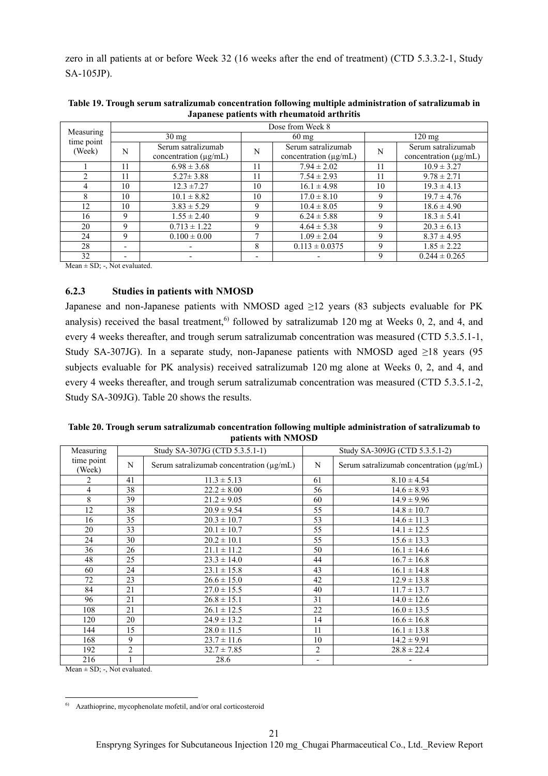zero in all patients at or before Week 32 (16 weeks after the end of treatment) (CTD 5.3.3.2-1, Study SA-105JP).

| Measuring      | Dose from Week 8         |                            |                          |                            |    |                       |  |  |  |
|----------------|--------------------------|----------------------------|--------------------------|----------------------------|----|-----------------------|--|--|--|
| time point     |                          | $30 \text{ mg}$            |                          | $60 \text{ mg}$            |    | $120 \text{ mg}$      |  |  |  |
| (Week)         | N                        | Serum satralizumab         | N                        | Serum satralizumab         | N  | Serum satralizumab    |  |  |  |
|                |                          | concentration $(\mu g/mL)$ |                          | concentration $(\mu g/mL)$ |    | concentration (µg/mL) |  |  |  |
|                | 11                       | $6.98 \pm 3.68$            | 11                       | $7.94 \pm 2.02$            | 11 | $10.9 \pm 3.27$       |  |  |  |
| $\mathfrak{D}$ | 11                       | $5.27 \pm 3.88$            | 11                       | $7.54 \pm 2.93$            | 11 | $9.78 \pm 2.71$       |  |  |  |
| 4              | 10                       | $12.3 \pm 7.27$            | 10                       | $16.1 \pm 4.98$            | 10 | $19.3 \pm 4.13$       |  |  |  |
| 8              | 10                       | $10.1 \pm 8.82$            | 10                       | $17.0 \pm 8.10$            | 9  | $19.7 \pm 4.76$       |  |  |  |
| 12             | 10                       | $3.83 \pm 5.29$            | 9                        | $10.4 \pm 8.05$            | 9  | $18.6 \pm 4.90$       |  |  |  |
| 16             | 9                        | $1.55 \pm 2.40$            | 9                        | $6.24 \pm 5.88$            | 9  | $18.3 \pm 5.41$       |  |  |  |
| 20             | 9                        | $0.713 \pm 1.22$           | 9                        | $4.64 \pm 5.38$            | 9  | $20.3 \pm 6.13$       |  |  |  |
| 24             | 9                        | $0.100 \pm 0.00$           | 7                        | $1.09 \pm 2.04$            | 9  | $8.37 \pm 4.95$       |  |  |  |
| 28             | $\overline{\phantom{a}}$ |                            | 8                        | $0.113 \pm 0.0375$         | 9  | $1.85 \pm 2.22$       |  |  |  |
| 32             | $\overline{\phantom{0}}$ |                            | $\overline{\phantom{a}}$ |                            | 9  | $0.244 \pm 0.265$     |  |  |  |

**Table 19. Trough serum satralizumab concentration following multiple administration of satralizumab in Japanese patients with rheumatoid arthritis** 

Mean  $\pm$  SD; -, Not evaluated.

#### **6.2.3 Studies in patients with NMOSD**

Japanese and non-Japanese patients with NMOSD aged  $\geq$ 12 years (83 subjects evaluable for PK analysis) received the basal treatment,<sup>6)</sup> followed by satralizumab 120 mg at Weeks 0, 2, and 4, and every 4 weeks thereafter, and trough serum satralizumab concentration was measured (CTD 5.3.5.1-1, Study SA-307JG). In a separate study, non-Japanese patients with NMOSD aged  $\geq$ 18 years (95 subjects evaluable for PK analysis) received satralizumab 120 mg alone at Weeks 0, 2, and 4, and every 4 weeks thereafter, and trough serum satralizumab concentration was measured (CTD 5.3.5.1-2, Study SA-309JG). Table 20 shows the results.

| Table 20. Trough serum satralizumab concentration following multiple administration of satralizumab to |
|--------------------------------------------------------------------------------------------------------|
| patients with NMOSD                                                                                    |

| Measuring            | Study SA-307JG (CTD 5.3.5.1-1) |                                          |    | Study SA-309JG (CTD 5.3.5.1-2)                |
|----------------------|--------------------------------|------------------------------------------|----|-----------------------------------------------|
| time point<br>(Week) | N                              | Serum satralizumab concentration (µg/mL) | N  | Serum satralizumab concentration $(\mu g/mL)$ |
| 2                    | 41                             | $11.3 \pm 5.13$                          | 61 | $8.10 \pm 4.54$                               |
| 4                    | 38                             | $22.2 \pm 8.00$                          | 56 | $14.6 \pm 8.93$                               |
| 8                    | 39                             | $21.2 \pm 9.05$                          | 60 | $14.9 \pm 9.96$                               |
| 12                   | 38                             | $20.9 \pm 9.54$                          | 55 | $14.8 \pm 10.7$                               |
| 16                   | 35                             | $20.3 \pm 10.7$                          | 53 | $14.6 \pm 11.3$                               |
| 20                   | 33                             | $20.1 \pm 10.7$                          | 55 | $14.1 \pm 12.5$                               |
| 24                   | 30                             | $20.2 \pm 10.1$                          | 55 | $15.6 \pm 13.3$                               |
| 36                   | 26                             | $21.1 \pm 11.2$                          | 50 | $16.1 \pm 14.6$                               |
| 48                   | 25                             | $23.3 \pm 14.0$                          | 44 | $16.7 \pm 16.8$                               |
| 60                   | 24                             | $23.1 \pm 15.8$                          | 43 | $16.1 \pm 14.8$                               |
| 72                   | 23                             | $26.6 \pm 15.0$                          | 42 | $12.9 \pm 13.8$                               |
| 84                   | 21                             | $27.0 \pm 15.5$                          | 40 | $11.7 \pm 13.7$                               |
| 96                   | 21                             | $26.8 \pm 15.1$                          | 31 | $14.0 \pm 12.6$                               |
| 108                  | 21                             | $26.1 \pm 12.5$                          | 22 | $16.0 \pm 13.5$                               |
| 120                  | 20                             | $24.9 \pm 13.2$                          | 14 | $16.6 \pm 16.8$                               |
| 144                  | 15                             | $28.0 \pm 11.5$                          | 11 | $16.1 \pm 13.8$                               |
| 168                  | 9                              | $23.7 \pm 11.6$                          | 10 | $14.2 \pm 9.91$                               |
| 192                  | 2                              | $32.7 \pm 7.85$                          | 2  | $28.8 \pm 22.4$                               |
| 216                  |                                | 28.6                                     |    |                                               |

Mean  $\pm$  SD; -, Not evaluated.

 $\overline{a}$ 

<sup>6)</sup> Azathioprine, mycophenolate mofetil, and/or oral corticosteroid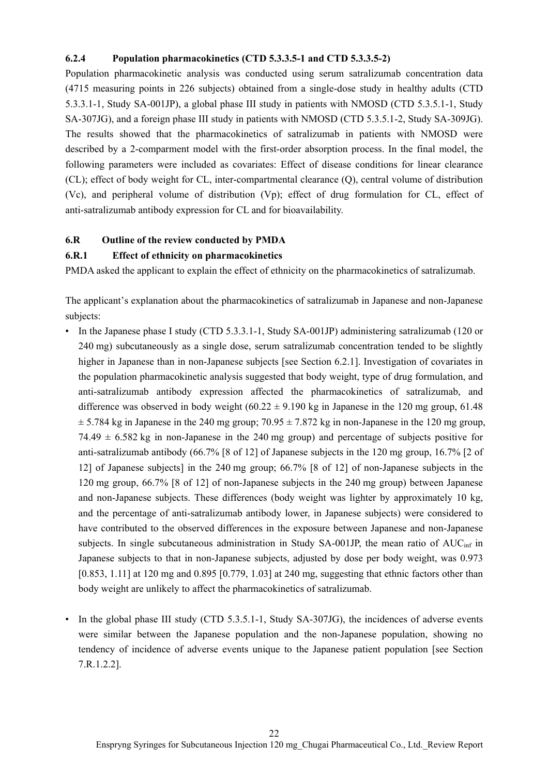#### **6.2.4 Population pharmacokinetics (CTD 5.3.3.5-1 and CTD 5.3.3.5-2)**

Population pharmacokinetic analysis was conducted using serum satralizumab concentration data (4715 measuring points in 226 subjects) obtained from a single-dose study in healthy adults (CTD 5.3.3.1-1, Study SA-001JP), a global phase III study in patients with NMOSD (CTD 5.3.5.1-1, Study SA-307JG), and a foreign phase III study in patients with NMOSD (CTD 5.3.5.1-2, Study SA-309JG). The results showed that the pharmacokinetics of satralizumab in patients with NMOSD were described by a 2-comparment model with the first-order absorption process. In the final model, the following parameters were included as covariates: Effect of disease conditions for linear clearance (CL); effect of body weight for CL, inter-compartmental clearance (Q), central volume of distribution (Vc), and peripheral volume of distribution (Vp); effect of drug formulation for CL, effect of anti-satralizumab antibody expression for CL and for bioavailability.

#### **6.R Outline of the review conducted by PMDA**

#### **6.R.1 Effect of ethnicity on pharmacokinetics**

PMDA asked the applicant to explain the effect of ethnicity on the pharmacokinetics of satralizumab.

The applicant's explanation about the pharmacokinetics of satralizumab in Japanese and non-Japanese subjects:

- In the Japanese phase I study (CTD 5.3.3.1-1, Study SA-001JP) administering satralizumab (120 or 240 mg) subcutaneously as a single dose, serum satralizumab concentration tended to be slightly higher in Japanese than in non-Japanese subjects [see Section 6.2.1]. Investigation of covariates in the population pharmacokinetic analysis suggested that body weight, type of drug formulation, and anti-satralizumab antibody expression affected the pharmacokinetics of satralizumab, and difference was observed in body weight  $(60.22 \pm 9.190 \text{ kg} \text{ in Japanese in the } 120 \text{ mg group}, 61.48)$  $\pm$  5.784 kg in Japanese in the 240 mg group; 70.95  $\pm$  7.872 kg in non-Japanese in the 120 mg group, 74.49  $\pm$  6.582 kg in non-Japanese in the 240 mg group) and percentage of subjects positive for anti-satralizumab antibody (66.7% [8 of 12] of Japanese subjects in the 120 mg group, 16.7% [2 of 12] of Japanese subjects] in the 240 mg group; 66.7% [8 of 12] of non-Japanese subjects in the 120 mg group, 66.7% [8 of 12] of non-Japanese subjects in the 240 mg group) between Japanese and non-Japanese subjects. These differences (body weight was lighter by approximately 10 kg, and the percentage of anti-satralizumab antibody lower, in Japanese subjects) were considered to have contributed to the observed differences in the exposure between Japanese and non-Japanese subjects. In single subcutaneous administration in Study SA-001JP, the mean ratio of AUC<sub>inf</sub> in Japanese subjects to that in non-Japanese subjects, adjusted by dose per body weight, was 0.973 [0.853, 1.11] at 120 mg and 0.895 [0.779, 1.03] at 240 mg, suggesting that ethnic factors other than body weight are unlikely to affect the pharmacokinetics of satralizumab.
- In the global phase III study (CTD 5.3.5.1-1, Study SA-307JG), the incidences of adverse events were similar between the Japanese population and the non-Japanese population, showing no tendency of incidence of adverse events unique to the Japanese patient population [see Section 7.R.1.2.2].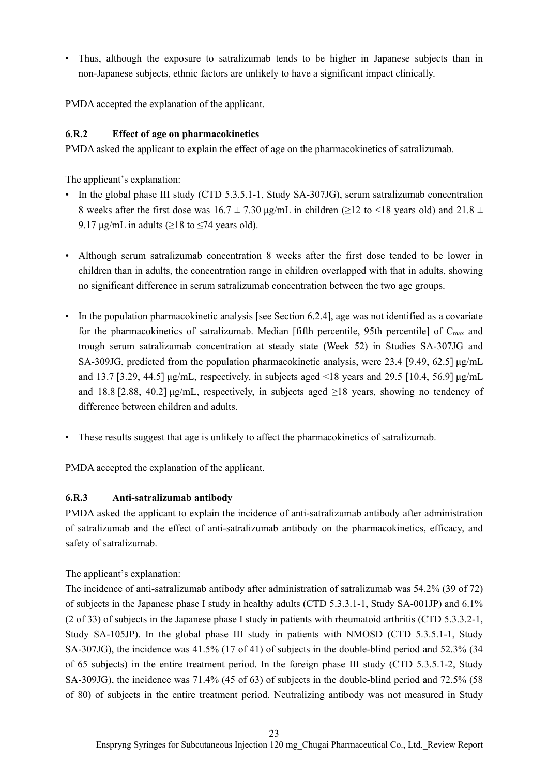• Thus, although the exposure to satralizumab tends to be higher in Japanese subjects than in non-Japanese subjects, ethnic factors are unlikely to have a significant impact clinically.

PMDA accepted the explanation of the applicant.

# **6.R.2 Effect of age on pharmacokinetics**

PMDA asked the applicant to explain the effect of age on the pharmacokinetics of satralizumab.

The applicant's explanation:

- In the global phase III study (CTD 5.3.5.1-1, Study SA-307JG), serum satralizumab concentration 8 weeks after the first dose was  $16.7 \pm 7.30$  µg/mL in children ( $\geq 12$  to <18 years old) and  $21.8 \pm 1.6$ 9.17  $\mu$ g/mL in adults ( $\geq$ 18 to  $\leq$ 74 years old).
- Although serum satralizumab concentration 8 weeks after the first dose tended to be lower in children than in adults, the concentration range in children overlapped with that in adults, showing no significant difference in serum satralizumab concentration between the two age groups.
- In the population pharmacokinetic analysis [see Section 6.2.4], age was not identified as a covariate for the pharmacokinetics of satralizumab. Median [fifth percentile, 95th percentile] of  $C_{\text{max}}$  and trough serum satralizumab concentration at steady state (Week 52) in Studies SA-307JG and SA-309JG, predicted from the population pharmacokinetic analysis, were 23.4 [9.49, 62.5] μg/mL and 13.7 [3.29, 44.5]  $\mu$ g/mL, respectively, in subjects aged <18 years and 29.5 [10.4, 56.9]  $\mu$ g/mL and 18.8 [2.88, 40.2]  $\mu$ g/mL, respectively, in subjects aged  $\geq$ 18 years, showing no tendency of difference between children and adults.
- These results suggest that age is unlikely to affect the pharmacokinetics of satralizumab.

PMDA accepted the explanation of the applicant.

# **6.R.3 Anti-satralizumab antibody**

PMDA asked the applicant to explain the incidence of anti-satralizumab antibody after administration of satralizumab and the effect of anti-satralizumab antibody on the pharmacokinetics, efficacy, and safety of satralizumab.

The applicant's explanation:

The incidence of anti-satralizumab antibody after administration of satralizumab was 54.2% (39 of 72) of subjects in the Japanese phase I study in healthy adults (CTD 5.3.3.1-1, Study SA-001JP) and 6.1% (2 of 33) of subjects in the Japanese phase I study in patients with rheumatoid arthritis (CTD 5.3.3.2-1, Study SA-105JP). In the global phase III study in patients with NMOSD (CTD 5.3.5.1-1, Study SA-307JG), the incidence was 41.5% (17 of 41) of subjects in the double-blind period and 52.3% (34 of 65 subjects) in the entire treatment period. In the foreign phase III study (CTD 5.3.5.1-2, Study SA-309JG), the incidence was 71.4% (45 of 63) of subjects in the double-blind period and 72.5% (58 of 80) of subjects in the entire treatment period. Neutralizing antibody was not measured in Study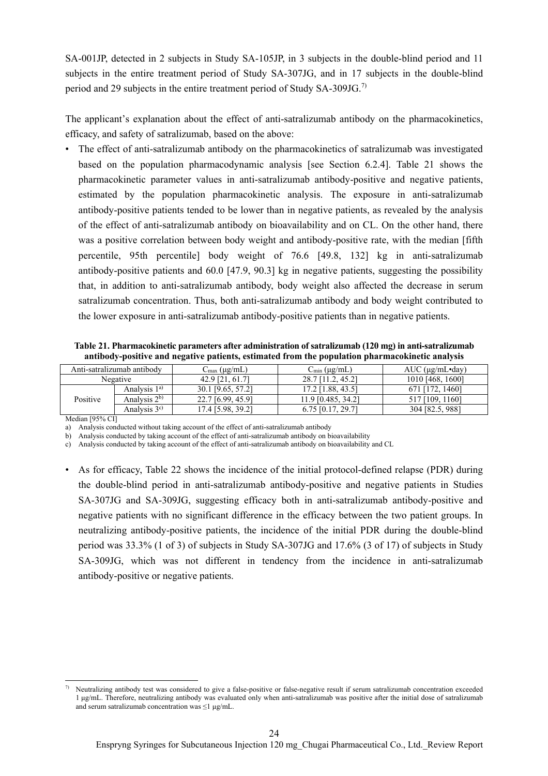SA-001JP, detected in 2 subjects in Study SA-105JP, in 3 subjects in the double-blind period and 11 subjects in the entire treatment period of Study SA-307JG, and in 17 subjects in the double-blind period and 29 subjects in the entire treatment period of Study SA-309JG.7)

The applicant's explanation about the effect of anti-satralizumab antibody on the pharmacokinetics, efficacy, and safety of satralizumab, based on the above:

• The effect of anti-satralizumab antibody on the pharmacokinetics of satralizumab was investigated based on the population pharmacodynamic analysis [see Section 6.2.4]. Table 21 shows the pharmacokinetic parameter values in anti-satralizumab antibody-positive and negative patients, estimated by the population pharmacokinetic analysis. The exposure in anti-satralizumab antibody-positive patients tended to be lower than in negative patients, as revealed by the analysis of the effect of anti-satralizumab antibody on bioavailability and on CL. On the other hand, there was a positive correlation between body weight and antibody-positive rate, with the median [fifth percentile, 95th percentile] body weight of 76.6 [49.8, 132] kg in anti-satralizumab antibody-positive patients and 60.0 [47.9, 90.3] kg in negative patients, suggesting the possibility that, in addition to anti-satralizumab antibody, body weight also affected the decrease in serum satralizumab concentration. Thus, both anti-satralizumab antibody and body weight contributed to the lower exposure in anti-satralizumab antibody-positive patients than in negative patients.

**Table 21. Pharmacokinetic parameters after administration of satralizumab (120 mg) in anti-satralizumab antibody-positive and negative patients, estimated from the population pharmacokinetic analysis** 

| Anti-satralizumab antibody |                  | $C_{\text{max}}$ (µg/mL) | $C_{\min}$ (µg/mL)  | $AUC$ ( $\mu$ g/mL $\cdot$ day) |
|----------------------------|------------------|--------------------------|---------------------|---------------------------------|
| Negative                   |                  | 42.9 [21, 61.7]          | [11.2.45.2]         | 1010 [468, 1600]                |
|                            | Analysis $1a$    | 30.1 [9.65, 57.2]        | 17.2 [1.88, 43.5]   | ., 14601                        |
| Positive                   | Analysis $2^{b}$ | 22.7 [6.99, 45.9]        | 11.9 [0.485, 34.2]  | 7 [109, 1160]                   |
|                            | Analysis $3c$ )  | 17.4 [5.98, 39.2]        | $6.75$ [0.17, 29.7] | 5. 9881<br>304 [82.5,           |

Median [95% CI]

a) Analysis conducted without taking account of the effect of anti-satralizumab antibody

b) Analysis conducted by taking account of the effect of anti-satralizumab antibody on bioavailability

c) Analysis conducted by taking account of the effect of anti-satralizumab antibody on bioavailability and CL

• As for efficacy, Table 22 shows the incidence of the initial protocol-defined relapse (PDR) during the double-blind period in anti-satralizumab antibody-positive and negative patients in Studies SA-307JG and SA-309JG, suggesting efficacy both in anti-satralizumab antibody-positive and negative patients with no significant difference in the efficacy between the two patient groups. In neutralizing antibody-positive patients, the incidence of the initial PDR during the double-blind period was 33.3% (1 of 3) of subjects in Study SA-307JG and 17.6% (3 of 17) of subjects in Study SA-309JG, which was not different in tendency from the incidence in anti-satralizumab antibody-positive or negative patients.

 $\overline{a}$ 7) Neutralizing antibody test was considered to give a false-positive or false-negative result if serum satralizumab concentration exceeded 1 μg/mL. Therefore, neutralizing antibody was evaluated only when anti-satralizumab was positive after the initial dose of satralizumab and serum satralizumab concentration was  $\leq$ 1 μg/mL.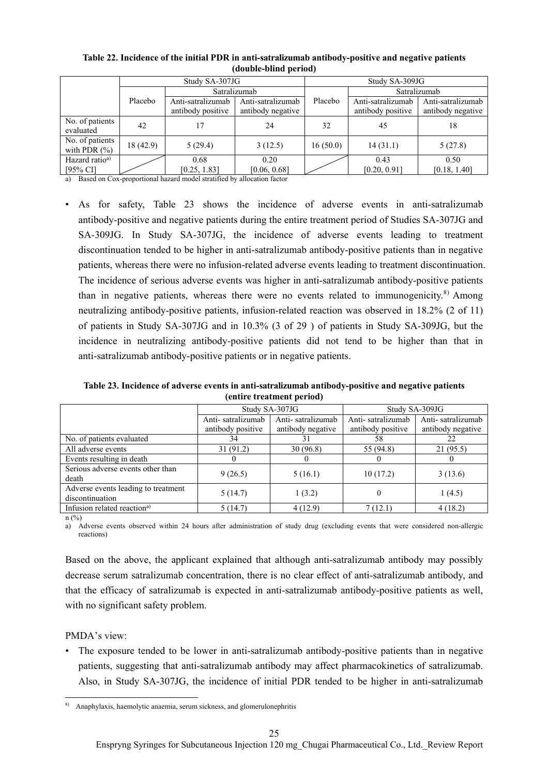|                                     | Study SA-307JG |                                        |                                        | Study SA-309JG |                                        |                                        |  |
|-------------------------------------|----------------|----------------------------------------|----------------------------------------|----------------|----------------------------------------|----------------------------------------|--|
|                                     |                | Satralizumab                           |                                        |                | Satralizumab                           |                                        |  |
|                                     | Placebo        | Anti-satralizumab<br>antibody positive | Anti-satralizumab<br>antibody negative | Placebo        | Anti-satralizumab<br>antibody positive | Anti-satralizumab<br>antibody negative |  |
| No. of patients<br>evaluated        | 42             | 17                                     | 24                                     | 32             | 45                                     | 18                                     |  |
| No. of patients<br>with PDR $(\% )$ | 18(42.9)       | 5(29.4)                                | 3(12.5)                                | 16(50.0)       | 14(31.1)                               | 5(27.8)                                |  |
| Hazard ratio <sup>a)</sup>          |                | 0.68                                   | 0.20                                   |                | 0.43                                   | 0.50                                   |  |
| $[95%$ CI]                          |                | [0.25, 1.83]                           | [0.06, 0.68]                           |                | [0.20, 0.91]                           | [0.18, 1.40]                           |  |

**Table 22. Incidence of the initial PDR in anti-satralizumab antibody-positive and negative patients (double-blind period)** 

a) Based on Cox-proportional hazard model stratified by allocation factor

• As for safety, Table 23 shows the incidence of adverse events in anti-satralizumab antibody-positive and negative patients during the entire treatment period of Studies SA-307JG and SA-309JG. In Study SA-307JG, the incidence of adverse events leading to treatment discontinuation tended to be higher in anti-satralizumab antibody-positive patients than in negative patients, whereas there were no infusion-related adverse events leading to treatment discontinuation. The incidence of serious adverse events was higher in anti-satralizumab antibody-positive patients than in negative patients, whereas there were no events related to immunogenicity.<sup>8)</sup> Among neutralizing antibody-positive patients, infusion-related reaction was observed in 18.2% (2 of 11) of patients in Study SA-307JG and in 10.3% (3 of 29 ) of patients in Study SA-309JG, but the incidence in neutralizing antibody-positive patients did not tend to be higher than that in anti-satralizumab antibody-positive patients or in negative patients.

**Table 23. Incidence of adverse events in anti-satralizumab antibody-positive and negative patients (entire treatment period)** 

|                                                        |                   | Study SA-307JG    | Study SA-309JG    |                   |
|--------------------------------------------------------|-------------------|-------------------|-------------------|-------------------|
|                                                        | Anti-satralizumab | Anti-satralizumab | Anti-satralizumab | Anti-satralizumab |
|                                                        | antibody positive | antibody negative | antibody positive | antibody negative |
| No. of patients evaluated                              | 34                | 31                | 58                | 22                |
| All adverse events                                     | 31 (91.2)         | 30(96.8)          | 55 (94.8)         | 21(95.5)          |
| Events resulting in death                              |                   |                   |                   |                   |
| Serious adverse events other than<br>death             | 9(26.5)           | 5(16.1)           | 10(17.2)          | 3(13.6)           |
| Adverse events leading to treatment<br>discontinuation | 5(14.7)           | 1(3.2)            | 0                 | 1(4.5)            |
| Infusion related reaction <sup>a)</sup>                | 5(14.7)           | 4(12.9)           | 7(12.1)           | 4(18.2)           |

 $n$  (%)

a) Adverse events observed within 24 hours after administration of study drug (excluding events that were considered non-allergic reactions)

Based on the above, the applicant explained that although anti-satralizumab antibody may possibly decrease serum satralizumab concentration, there is no clear effect of anti-satralizumab antibody, and that the efficacy of satralizumab is expected in anti-satralizumab antibody-positive patients as well, with no significant safety problem.

#### PMDA's view:

• The exposure tended to be lower in anti-satralizumab antibody-positive patients than in negative patients, suggesting that anti-satralizumab antibody may affect pharmacokinetics of satralizumab. Also, in Study SA-307JG, the incidence of initial PDR tended to be higher in anti-satralizumab

 $\overline{a}$ 8) Anaphylaxis, haemolytic anaemia, serum sickness, and glomerulonephritis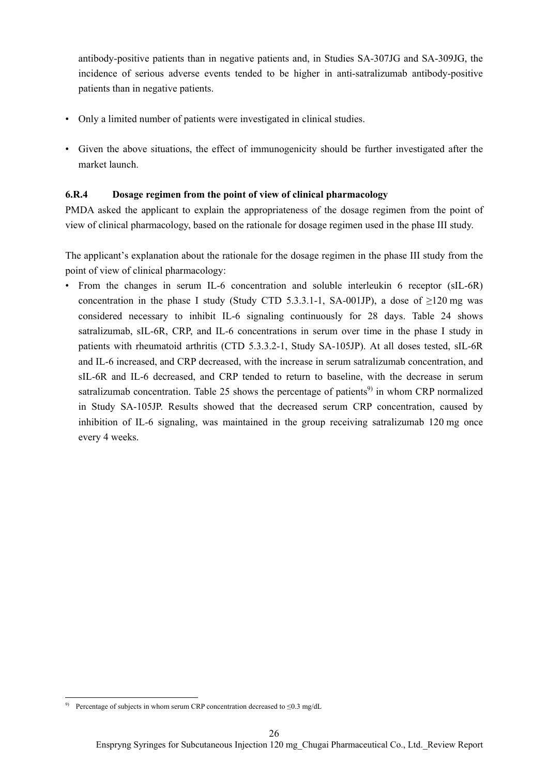antibody-positive patients than in negative patients and, in Studies SA-307JG and SA-309JG, the incidence of serious adverse events tended to be higher in anti-satralizumab antibody-positive patients than in negative patients.

- Only a limited number of patients were investigated in clinical studies.
- Given the above situations, the effect of immunogenicity should be further investigated after the market launch.

## **6.R.4 Dosage regimen from the point of view of clinical pharmacology**

PMDA asked the applicant to explain the appropriateness of the dosage regimen from the point of view of clinical pharmacology, based on the rationale for dosage regimen used in the phase III study.

The applicant's explanation about the rationale for the dosage regimen in the phase III study from the point of view of clinical pharmacology:

• From the changes in serum IL-6 concentration and soluble interleukin 6 receptor (sIL-6R) concentration in the phase I study (Study CTD 5.3.3.1-1, SA-001JP), a dose of  $\geq$ 120 mg was considered necessary to inhibit IL-6 signaling continuously for 28 days. Table 24 shows satralizumab, sIL-6R, CRP, and IL-6 concentrations in serum over time in the phase I study in patients with rheumatoid arthritis (CTD 5.3.3.2-1, Study SA-105JP). At all doses tested, sIL-6R and IL-6 increased, and CRP decreased, with the increase in serum satralizumab concentration, and sIL-6R and IL-6 decreased, and CRP tended to return to baseline, with the decrease in serum satralizumab concentration. Table 25 shows the percentage of patients<sup>9)</sup> in whom CRP normalized in Study SA-105JP. Results showed that the decreased serum CRP concentration, caused by inhibition of IL-6 signaling, was maintained in the group receiving satralizumab 120 mg once every 4 weeks.

 $\overline{a}$ 

<sup>&</sup>lt;sup>9)</sup> Percentage of subjects in whom serum CRP concentration decreased to  $\leq 0.3$  mg/dL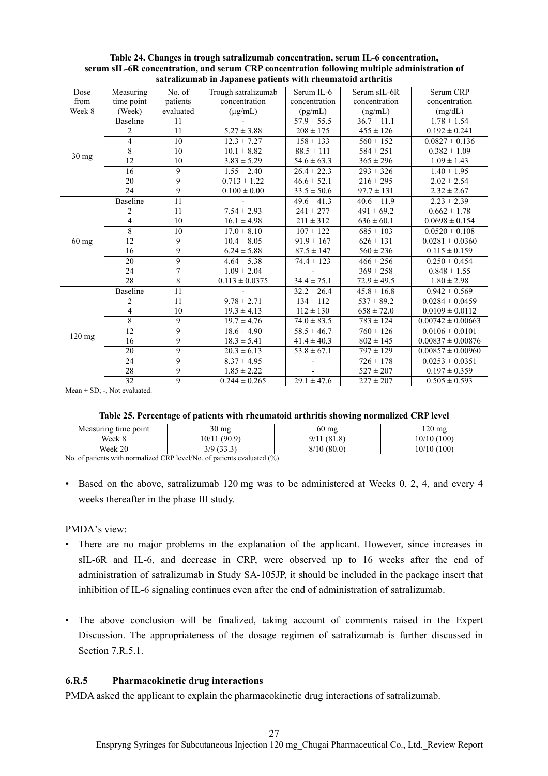| Dose            | Measuring               | No. of         | Trough satralizumab | Serum IL-6                 | Serum sIL-6R                        | Serum CRP             |
|-----------------|-------------------------|----------------|---------------------|----------------------------|-------------------------------------|-----------------------|
| from            | time point              | patients       | concentration       | concentration              | concentration                       | concentration         |
| Week 8          | (Week)                  | evaluated      | $(\mu g/mL)$        | (pg/mL)                    | (ng/mL)                             | (mg/dL)               |
|                 | <b>Baseline</b>         | 11             |                     | $57.9 \pm 55.5$            | $36.7 \pm 11.1$                     | $1.78 \pm 1.54$       |
|                 |                         | 11             | $5.27 \pm 3.88$     | $208 \pm 175$              | $455 \pm 126$                       | $0.192 \pm 0.241$     |
|                 | 2<br>$\overline{4}$     | 10             |                     |                            |                                     |                       |
|                 |                         |                | $12.3 \pm 7.27$     | $158 \pm 133$              | $560 \pm 152$                       | $0.0827 \pm 0.136$    |
| $30 \text{ mg}$ | $\overline{8}$          | 10             | $10.1 \pm 8.82$     | $88.5 \pm 111$             | $584 \pm 251$                       | $0.382 \pm 1.09$      |
|                 | 12                      | 10             | $3.83 \pm 5.29$     | $54.6 \pm 63.3$            | $365 \pm 296$                       | $1.09 \pm 1.43$       |
|                 | 16                      | 9              | $1.55 \pm 2.40$     | $26.4 \pm 22.3$            | $293 \pm 326$                       | $1.40 \pm 1.95$       |
|                 | 20                      | 9              | $0.713 \pm 1.22$    | $46.6 \pm 52.1$            | $216 \pm 295$                       | $2.02 \pm 2.54$       |
|                 | 24                      | 9              | $0.100 \pm 0.00$    | $33.5 \pm 50.6$            | $\frac{97.7 \pm 131}{97.7 \pm 131}$ | $2.32 \pm 2.67$       |
|                 | <b>Baseline</b>         | 11             |                     | $49.6 \pm 41.3$            | $40.6 \pm 11.9$                     | $2.23 \pm 2.39$       |
|                 | $\overline{2}$          | 11             | $7.54 \pm 2.93$     | $241 \pm 277$              | $491 \pm 69.2$                      | $0.662 \pm 1.78$      |
|                 | $\overline{\mathbf{4}}$ | 10             | $16.1 \pm 4.98$     | $\overline{211} \pm 312$   | $636 \pm 60.1$                      | $0.0698 \pm 0.154$    |
|                 | $\overline{8}$          | 10             | $17.0 \pm 8.10$     | $107 \pm 122$              | $685 \pm 103$                       | $0.0520 \pm 0.108$    |
| $60$ mg         | 12                      | 9              | $10.4 \pm 8.05$     | $91.9 \pm 167$             | $626 \pm 131$                       | $0.0281 \pm 0.0360$   |
|                 | 16                      | 9              | $6.24 \pm 5.88$     | $87.5 \pm 147$             | $560 \pm 236$                       | $0.115 \pm 0.159$     |
|                 | 20                      | 9              | $4.64 \pm 5.38$     | $74.4 \pm 123$             | $466 \pm 256$                       | $0.250 \pm 0.454$     |
|                 | 24                      | $\overline{7}$ | $1.09 \pm 2.04$     |                            | $369 \pm 258$                       | $0.848 \pm 1.55$      |
|                 | 28                      | 8              | $0.113 \pm 0.0375$  | $34.4 \pm 75.1$            | $72.9 \pm 49.5$                     | $1.80 \pm 2.98$       |
|                 | <b>Baseline</b>         | 11             |                     | $32.2 \pm 26.4$            | $45.8 \pm 16.8$                     | $0.942 \pm 0.569$     |
|                 | $\overline{2}$          | 11             | $9.78 \pm 2.71$     | $134 \pm 112$              | $537 \pm 89.2$                      | $0.0284 \pm 0.0459$   |
|                 | $\overline{4}$          | 10             | $19.3 \pm 4.13$     | $112 \pm 130$              | $658 \pm 72.0$                      | $0.0109 \pm 0.0112$   |
|                 | $\overline{8}$          | 9              | $19.7 \pm 4.76$     | $74.0 \pm 83.5$            | $\sqrt{783} \pm 124$                | $0.00742 \pm 0.00663$ |
|                 | 12                      | 9              | $18.6 \pm 4.90$     | $58.5 \pm 46.7$            | $760 \pm 126$                       | $0.0106 \pm 0.0101$   |
| $120$ mg        | 16                      | 9              | $18.3 \pm 5.41$     | $41.4 \pm 40.3$            | $802 \pm 145$                       | $0.00837 \pm 0.00876$ |
|                 | 20                      | 9              | $20.3 \pm 6.13$     | $\overline{53.8} \pm 67.1$ | $797 \pm 129$                       | $0.00857 \pm 0.00960$ |
|                 | 24                      | 9              | $8.37 \pm 4.95$     |                            | $726 \pm 178$                       | $0.0253 \pm 0.0351$   |
|                 | $\overline{28}$         | 9              | $1.85 \pm 2.22$     | $\blacksquare$             | $527 \pm 207$                       | $0.197 \pm 0.359$     |
|                 | 32                      | $\overline{9}$ | $0.244 \pm 0.265$   | $29.1 \pm 47.6$            | $227 \pm 207$                       | $0.505 \pm 0.593$     |

**Table 24. Changes in trough satralizumab concentration, serum IL-6 concentration, serum sIL-6R concentration, and serum CRP concentration following multiple administration of satralizumab in Japanese patients with rheumatoid arthritis** 

Mean  $\pm$  SD; -, Not evaluated.

| Table 25. Percentage of patients with rheumatoid arthritis showing normalized CRP level |  |  |  |
|-----------------------------------------------------------------------------------------|--|--|--|
|                                                                                         |  |  |  |

| Measuring time point                                                                                                                                                                                                                                                                                                                                   | $30 \text{ mg}$ | $60 \text{ mg}$ | 120 mg      |  |
|--------------------------------------------------------------------------------------------------------------------------------------------------------------------------------------------------------------------------------------------------------------------------------------------------------------------------------------------------------|-----------------|-----------------|-------------|--|
| Week 8                                                                                                                                                                                                                                                                                                                                                 | (90.9)<br>10/11 | 9/11<br>(81.8)  | 10/10 (100) |  |
| Week 20                                                                                                                                                                                                                                                                                                                                                | 3/9(33.3)       | 8/10(80.0)      | 10/10 (100) |  |
| $\mathbf{M} = \mathbf{C} \times \mathbf{A}$ of $\mathbf{C} = \mathbf{A}$ and $\mathbf{A} = \mathbf{A}$ and $\mathbf{A} = \mathbf{A}$ and $\mathbf{A} = \mathbf{A}$ and $\mathbf{A} = \mathbf{A}$ and $\mathbf{A} = \mathbf{A}$ and $\mathbf{A} = \mathbf{A}$ and $\mathbf{A} = \mathbf{A}$ and $\mathbf{A} = \mathbf{A}$ and $\mathbf{A} = \mathbf{A}$ |                 |                 |             |  |

No. of patients with normalized CRP level/No. of patients evaluated (%)

• Based on the above, satralizumab 120 mg was to be administered at Weeks 0, 2, 4, and every 4 weeks thereafter in the phase III study.

PMDA's view:

- There are no major problems in the explanation of the applicant. However, since increases in sIL-6R and IL-6, and decrease in CRP, were observed up to 16 weeks after the end of administration of satralizumab in Study SA-105JP, it should be included in the package insert that inhibition of IL-6 signaling continues even after the end of administration of satralizumab.
- The above conclusion will be finalized, taking account of comments raised in the Expert Discussion. The appropriateness of the dosage regimen of satralizumab is further discussed in Section 7.R.5.1.

#### **6.R.5 Pharmacokinetic drug interactions**

PMDA asked the applicant to explain the pharmacokinetic drug interactions of satralizumab.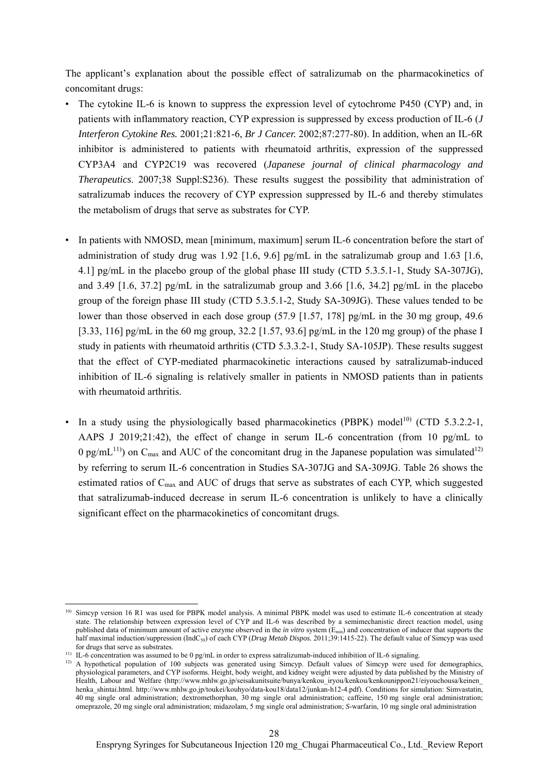The applicant's explanation about the possible effect of satralizumab on the pharmacokinetics of concomitant drugs:

- The cytokine IL-6 is known to suppress the expression level of cytochrome P450 (CYP) and, in patients with inflammatory reaction, CYP expression is suppressed by excess production of IL-6 (*J Interferon Cytokine Res.* 2001;21:821-6, *Br J Cancer.* 2002;87:277-80). In addition, when an IL-6R inhibitor is administered to patients with rheumatoid arthritis, expression of the suppressed CYP3A4 and CYP2C19 was recovered (*Japanese journal of clinical pharmacology and Therapeutics*. 2007;38 Suppl:S236). These results suggest the possibility that administration of satralizumab induces the recovery of CYP expression suppressed by IL-6 and thereby stimulates the metabolism of drugs that serve as substrates for CYP.
- In patients with NMOSD, mean [minimum, maximum] serum IL-6 concentration before the start of administration of study drug was 1.92 [1.6, 9.6]  $pg/mL$  in the satralizumab group and 1.63 [1.6, 4.1] pg/mL in the placebo group of the global phase III study (CTD 5.3.5.1-1, Study SA-307JG), and 3.49 [1.6, 37.2] pg/mL in the satralizumab group and 3.66 [1.6, 34.2] pg/mL in the placebo group of the foreign phase III study (CTD 5.3.5.1-2, Study SA-309JG). These values tended to be lower than those observed in each dose group (57.9 [1.57, 178] pg/mL in the 30 mg group, 49.6 [3.33, 116] pg/mL in the 60 mg group, 32.2 [1.57, 93.6] pg/mL in the 120 mg group) of the phase I study in patients with rheumatoid arthritis (CTD 5.3.3.2-1, Study SA-105JP). These results suggest that the effect of CYP-mediated pharmacokinetic interactions caused by satralizumab-induced inhibition of IL-6 signaling is relatively smaller in patients in NMOSD patients than in patients with rheumatoid arthritis.
- In a study using the physiologically based pharmacokinetics (PBPK) model<sup>10)</sup> (CTD 5.3.2.2-1, AAPS J 2019;21:42), the effect of change in serum IL-6 concentration (from 10 pg/mL to 0 pg/mL<sup>11)</sup>) on C<sub>max</sub> and AUC of the concomitant drug in the Japanese population was simulated<sup>12)</sup> by referring to serum IL-6 concentration in Studies SA-307JG and SA-309JG. Table 26 shows the estimated ratios of Cmax and AUC of drugs that serve as substrates of each CYP, which suggested that satralizumab-induced decrease in serum IL-6 concentration is unlikely to have a clinically significant effect on the pharmacokinetics of concomitant drugs.

 $\overline{a}$ <sup>10)</sup> Simcyp version 16 R1 was used for PBPK model analysis. A minimal PBPK model was used to estimate IL-6 concentration at steady state. The relationship between expression level of CYP and IL-6 was described by a semimechanistic direct reaction model, using published data of minimum amount of active enzyme observed in the *in vitro* system (E<sub>min</sub>) and concentration of inducer that supports the half maximal induction/suppression (IndC50) of each CYP (*Drug Metab Dispos.* 2011;39:1415-22). The default value of Simcyp was used for drugs that serve as substrates.

<sup>&</sup>lt;sup>11)</sup> IL-6 concentration was assumed to be 0 pg/mL in order to express satralizumab-induced inhibition of IL-6 signaling.

<sup>&</sup>lt;sup>12)</sup> A hypothetical population of 100 subjects was generated using Simcyp. Default values of Simcyp were used for demographics, physiological parameters, and CYP isoforms. Height, body weight, and kidney weight were adjusted by data published by the Ministry of Health, Labour and Welfare (http://www.mhlw.go.jp/seisakunitsuite/bunya/kenkou\_iryou/kenkou/kenkounippon21/eiyouchousa/keinen\_ henka\_shintai.html. http://www.mhlw.go.jp/toukei/kouhyo/data-kou18/data12/junkan-h12-4.pdf). Conditions for simulation: Simvastatin, 40 mg single oral administration; dextromethorphan, 30 mg single oral administration; caffeine, 150 mg single oral administration; omeprazole, 20 mg single oral administration; midazolam, 5 mg single oral administration; *S*-warfarin, 10 mg single oral administration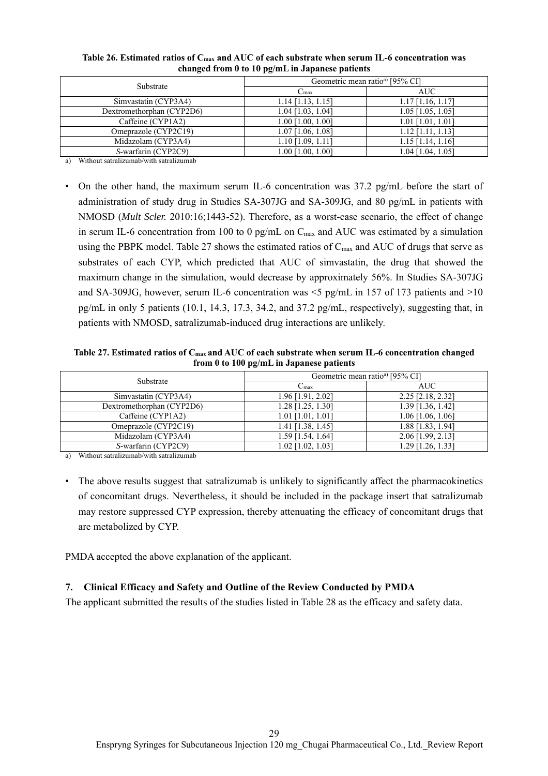| changed from 0 to 10 pg/mL in Japanese patients |                     |                                            |  |  |  |
|-------------------------------------------------|---------------------|--------------------------------------------|--|--|--|
| Substrate                                       |                     | Geometric mean ratio <sup>a</sup> [95% CI] |  |  |  |
|                                                 | $C_{\text{max}}$    | AUC                                        |  |  |  |
| Simvastatin (CYP3A4)                            | $1.14$ [1.13, 1.15] | $1.17$ [1.16, 1.17]                        |  |  |  |
| Dextromethorphan (CYP2D6)                       | $1.04$ [1.03, 1.04] | $1.05$ [1.05, 1.05]                        |  |  |  |
| Caffeine (CYP1A2)                               | $1.00$ [1.00, 1.00] | $1.01$ [1.01, 1.01]                        |  |  |  |
| Omeprazole (CYP2C19)                            | $1.07$ [1.06, 1.08] | $1.12$ [1.11, 1.13]                        |  |  |  |
| Midazolam (CYP3A4)                              | $1.10$ [1.09, 1.11] | $1.15$ [1.14, 1.16]                        |  |  |  |
| S-warfarin (CYP2C9)                             | 1.00 [1.00, 1.00]   | 1.04 [1.04, 1.05]                          |  |  |  |

# **Table 26. Estimated ratios of Cmax and AUC of each substrate when serum IL-6 concentration was**

a) Without satralizumab/with satralizumab

• On the other hand, the maximum serum IL-6 concentration was 37.2 pg/mL before the start of administration of study drug in Studies SA-307JG and SA-309JG, and 80 pg/mL in patients with NMOSD (*Mult Scler.* 2010:16;1443-52). Therefore, as a worst-case scenario, the effect of change in serum IL-6 concentration from 100 to 0 pg/mL on  $C_{\text{max}}$  and AUC was estimated by a simulation using the PBPK model. Table 27 shows the estimated ratios of  $C_{\text{max}}$  and AUC of drugs that serve as substrates of each CYP, which predicted that AUC of simvastatin, the drug that showed the maximum change in the simulation, would decrease by approximately 56%. In Studies SA-307JG and SA-309JG, however, serum IL-6 concentration was  $\leq$  pg/mL in 157 of 173 patients and  $>$ 10 pg/mL in only 5 patients (10.1, 14.3, 17.3, 34.2, and 37.2 pg/mL, respectively), suggesting that, in patients with NMOSD, satralizumab-induced drug interactions are unlikely.

**Table 27. Estimated ratios of Cmax and AUC of each substrate when serum IL-6 concentration changed from 0 to 100 pg/mL in Japanese patients** 

| Substrate                 | Geometric mean ratio <sup>a</sup> [95% CI] |                     |  |  |
|---------------------------|--------------------------------------------|---------------------|--|--|
|                           | $C_{\text{max}}$                           | AUC                 |  |  |
| Simvastatin (CYP3A4)      | 1.96 [1.91, 2.02]                          | 2.25 [2.18, 2.32]   |  |  |
| Dextromethorphan (CYP2D6) | 1.28 [1.25, 1.30]                          | 1.39 [1.36, 1.42]   |  |  |
| Caffeine (CYP1A2)         | $1.01$ [1.01, 1.01]                        | $1.06$ [1.06, 1.06] |  |  |
| Omeprazole (CYP2C19)      | 1.41 [1.38, 1.45]                          | 1.88 [1.83, 1.94]   |  |  |
| Midazolam (CYP3A4)        | 1.59 [1.54, 1.64]                          | 2.06 [1.99, 2.13]   |  |  |
| S-warfarin (CYP2C9)       | $1.02$ [1.02, 1.03]                        | 1.29 [1.26, 1.33]   |  |  |

a) Without satralizumab/with satralizumab

• The above results suggest that satralizumab is unlikely to significantly affect the pharmacokinetics of concomitant drugs. Nevertheless, it should be included in the package insert that satralizumab may restore suppressed CYP expression, thereby attenuating the efficacy of concomitant drugs that are metabolized by CYP.

PMDA accepted the above explanation of the applicant.

# **7. Clinical Efficacy and Safety and Outline of the Review Conducted by PMDA**

The applicant submitted the results of the studies listed in Table 28 as the efficacy and safety data.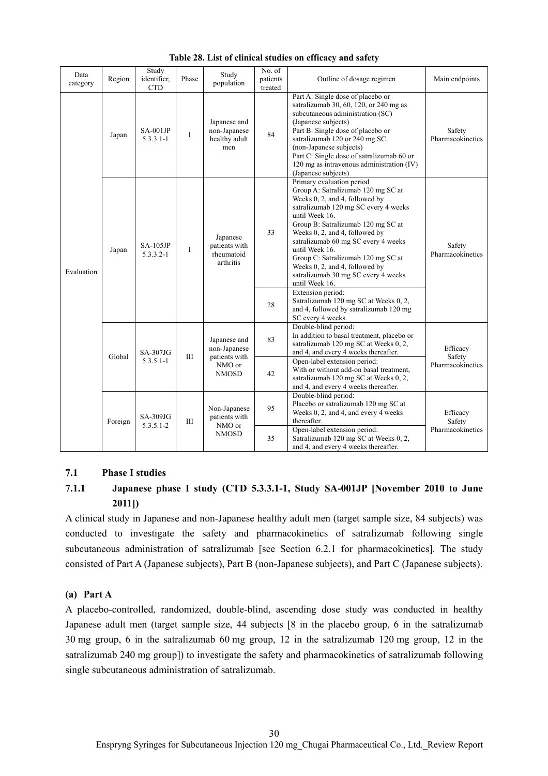| Data<br>category | Region                              | Study<br>identifier,<br><b>CTD</b> | Phase                                         | Study<br>population                                  | No. of<br>patients<br>treated                                                                                                                       | Outline of dosage regimen                                                                                                                                                                                                                                                                                                                                                                                                                          | Main endpoints             |
|------------------|-------------------------------------|------------------------------------|-----------------------------------------------|------------------------------------------------------|-----------------------------------------------------------------------------------------------------------------------------------------------------|----------------------------------------------------------------------------------------------------------------------------------------------------------------------------------------------------------------------------------------------------------------------------------------------------------------------------------------------------------------------------------------------------------------------------------------------------|----------------------------|
| Evaluation       | Japan                               | $SA-001JP$<br>$5.3.3.1 - 1$        | I                                             | Japanese and<br>non-Japanese<br>healthy adult<br>men | 84                                                                                                                                                  | Part A: Single dose of placebo or<br>satralizumab 30, 60, 120, or 240 mg as<br>subcutaneous administration (SC)<br>(Japanese subjects)<br>Part B: Single dose of placebo or<br>satralizumab 120 or 240 mg SC<br>(non-Japanese subjects)<br>Part C: Single dose of satralizumab 60 or<br>120 mg as intravenous administration (IV)<br>(Japanese subjects)                                                                                           | Safety<br>Pharmacokinetics |
|                  | Japan                               | $SA-105JP$<br>$5.3.3.2 - 1$        | I                                             | Japanese<br>patients with<br>rheumatoid<br>arthritis | 33                                                                                                                                                  | Primary evaluation period<br>Group A: Satralizumab 120 mg SC at<br>Weeks 0, 2, and 4, followed by<br>satralizumab 120 mg SC every 4 weeks<br>until Week 16.<br>Group B: Satralizumab 120 mg SC at<br>Weeks 0, 2, and 4, followed by<br>satralizumab 60 mg SC every 4 weeks<br>until Week 16.<br>Group C: Satralizumab 120 mg SC at<br>Weeks 0, 2, and 4, followed by<br>satralizumab 30 mg SC every 4 weeks<br>until Week 16.<br>Extension period: | Safety<br>Pharmacokinetics |
|                  |                                     |                                    |                                               |                                                      | 28                                                                                                                                                  | Satralizumab 120 mg SC at Weeks 0, 2,<br>and 4, followed by satralizumab 120 mg<br>SC every 4 weeks.                                                                                                                                                                                                                                                                                                                                               |                            |
|                  | SA-307JG<br>Global<br>$5.3.5.1 - 1$ | Ш                                  | Japanese and<br>non-Japanese<br>patients with | 83                                                   | Double-blind period:<br>In addition to basal treatment, placebo or<br>satralizumab 120 mg SC at Weeks 0, 2,<br>and 4, and every 4 weeks thereafter. | Efficacy<br>Safety                                                                                                                                                                                                                                                                                                                                                                                                                                 |                            |
|                  |                                     |                                    |                                               | NMO or<br><b>NMOSD</b>                               | 42                                                                                                                                                  | Open-label extension period:<br>With or without add-on basal treatment,<br>satralizumab 120 mg SC at Weeks 0, 2,<br>and 4, and every 4 weeks thereafter.                                                                                                                                                                                                                                                                                           | Pharmacokinetics           |
|                  | Foreign<br>$5.3.5.1 - 2$            | $SA-309JG$                         | $\rm III$                                     | Non-Japanese<br>patients with<br>NMO or              | 95                                                                                                                                                  | Double-blind period:<br>Placebo or satralizumab 120 mg SC at<br>Weeks 0, 2, and 4, and every 4 weeks<br>thereafter.                                                                                                                                                                                                                                                                                                                                | Efficacy<br>Safety         |
|                  |                                     |                                    | <b>NMOSD</b>                                  | 35                                                   | Open-label extension period:<br>Satralizumab 120 mg SC at Weeks 0, 2,<br>and 4, and every 4 weeks thereafter.                                       | Pharmacokinetics                                                                                                                                                                                                                                                                                                                                                                                                                                   |                            |

**Table 28. List of clinical studies on efficacy and safety** 

#### **7.1 Phase I studies**

# **7.1.1 Japanese phase I study (CTD 5.3.3.1-1, Study SA-001JP [November 2010 to June 2011])**

A clinical study in Japanese and non-Japanese healthy adult men (target sample size, 84 subjects) was conducted to investigate the safety and pharmacokinetics of satralizumab following single subcutaneous administration of satralizumab [see Section 6.2.1 for pharmacokinetics]. The study consisted of Part A (Japanese subjects), Part B (non-Japanese subjects), and Part C (Japanese subjects).

#### **(a) Part A**

A placebo-controlled, randomized, double-blind, ascending dose study was conducted in healthy Japanese adult men (target sample size, 44 subjects [8 in the placebo group, 6 in the satralizumab 30 mg group, 6 in the satralizumab 60 mg group, 12 in the satralizumab 120 mg group, 12 in the satralizumab 240 mg group]) to investigate the safety and pharmacokinetics of satralizumab following single subcutaneous administration of satralizumab.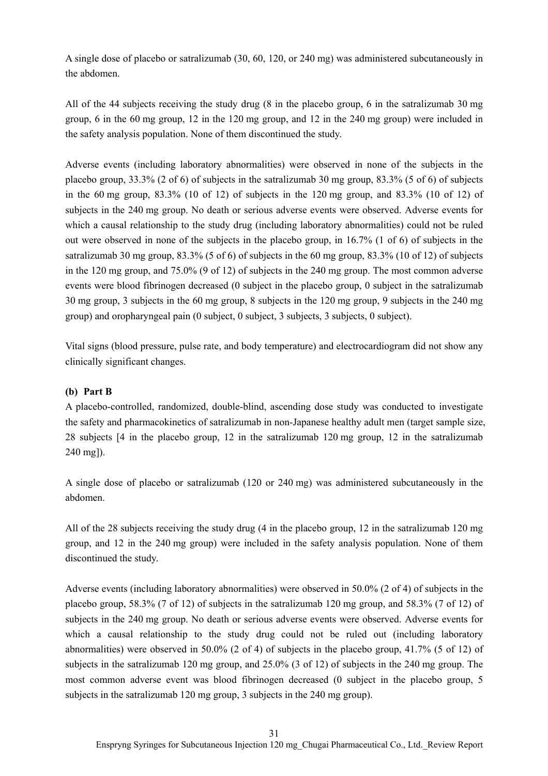A single dose of placebo or satralizumab (30, 60, 120, or 240 mg) was administered subcutaneously in the abdomen.

All of the 44 subjects receiving the study drug (8 in the placebo group, 6 in the satralizumab 30 mg group, 6 in the 60 mg group, 12 in the 120 mg group, and 12 in the 240 mg group) were included in the safety analysis population. None of them discontinued the study.

Adverse events (including laboratory abnormalities) were observed in none of the subjects in the placebo group, 33.3% (2 of 6) of subjects in the satralizumab 30 mg group, 83.3% (5 of 6) of subjects in the 60 mg group, 83.3% (10 of 12) of subjects in the 120 mg group, and 83.3% (10 of 12) of subjects in the 240 mg group. No death or serious adverse events were observed. Adverse events for which a causal relationship to the study drug (including laboratory abnormalities) could not be ruled out were observed in none of the subjects in the placebo group, in 16.7% (1 of 6) of subjects in the satralizumab 30 mg group, 83.3% (5 of 6) of subjects in the 60 mg group, 83.3% (10 of 12) of subjects in the 120 mg group, and 75.0% (9 of 12) of subjects in the 240 mg group. The most common adverse events were blood fibrinogen decreased (0 subject in the placebo group, 0 subject in the satralizumab 30 mg group, 3 subjects in the 60 mg group, 8 subjects in the 120 mg group, 9 subjects in the 240 mg group) and oropharyngeal pain (0 subject, 0 subject, 3 subjects, 3 subjects, 0 subject).

Vital signs (blood pressure, pulse rate, and body temperature) and electrocardiogram did not show any clinically significant changes.

## **(b) Part B**

A placebo-controlled, randomized, double-blind, ascending dose study was conducted to investigate the safety and pharmacokinetics of satralizumab in non-Japanese healthy adult men (target sample size, 28 subjects [4 in the placebo group, 12 in the satralizumab 120 mg group, 12 in the satralizumab 240 mg]).

A single dose of placebo or satralizumab (120 or 240 mg) was administered subcutaneously in the abdomen.

All of the 28 subjects receiving the study drug (4 in the placebo group, 12 in the satralizumab 120 mg group, and 12 in the 240 mg group) were included in the safety analysis population. None of them discontinued the study.

Adverse events (including laboratory abnormalities) were observed in 50.0% (2 of 4) of subjects in the placebo group, 58.3% (7 of 12) of subjects in the satralizumab 120 mg group, and 58.3% (7 of 12) of subjects in the 240 mg group. No death or serious adverse events were observed. Adverse events for which a causal relationship to the study drug could not be ruled out (including laboratory abnormalities) were observed in 50.0% (2 of 4) of subjects in the placebo group, 41.7% (5 of 12) of subjects in the satralizumab 120 mg group, and 25.0% (3 of 12) of subjects in the 240 mg group. The most common adverse event was blood fibrinogen decreased (0 subject in the placebo group, 5 subjects in the satralizumab 120 mg group, 3 subjects in the 240 mg group).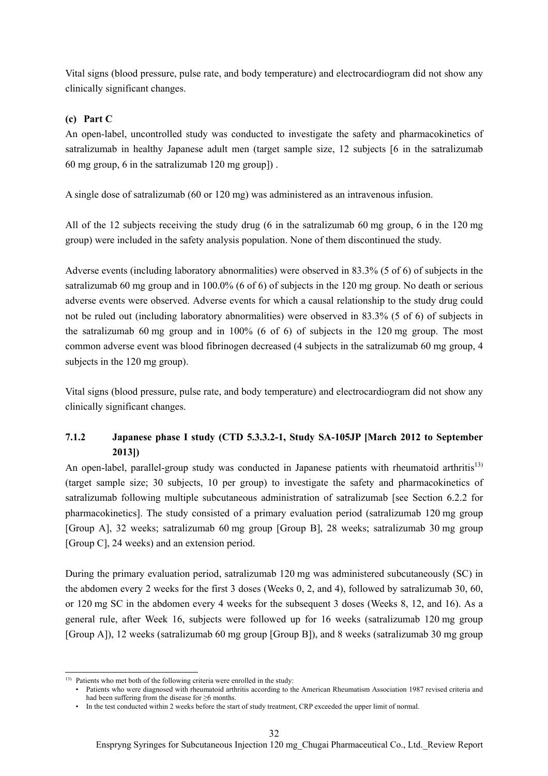Vital signs (blood pressure, pulse rate, and body temperature) and electrocardiogram did not show any clinically significant changes.

## **(c) Part C**

An open-label, uncontrolled study was conducted to investigate the safety and pharmacokinetics of satralizumab in healthy Japanese adult men (target sample size, 12 subjects [6 in the satralizumab 60 mg group, 6 in the satralizumab 120 mg group]) .

A single dose of satralizumab (60 or 120 mg) was administered as an intravenous infusion.

All of the 12 subjects receiving the study drug (6 in the satralizumab 60 mg group, 6 in the 120 mg group) were included in the safety analysis population. None of them discontinued the study.

Adverse events (including laboratory abnormalities) were observed in 83.3% (5 of 6) of subjects in the satralizumab 60 mg group and in 100.0% (6 of 6) of subjects in the 120 mg group. No death or serious adverse events were observed. Adverse events for which a causal relationship to the study drug could not be ruled out (including laboratory abnormalities) were observed in 83.3% (5 of 6) of subjects in the satralizumab 60 mg group and in 100% (6 of 6) of subjects in the 120 mg group. The most common adverse event was blood fibrinogen decreased (4 subjects in the satralizumab 60 mg group, 4 subjects in the 120 mg group).

Vital signs (blood pressure, pulse rate, and body temperature) and electrocardiogram did not show any clinically significant changes.

# **7.1.2 Japanese phase I study (CTD 5.3.3.2-1, Study SA-105JP [March 2012 to September 2013])**

An open-label, parallel-group study was conducted in Japanese patients with rheumatoid arthritis<sup>13)</sup> (target sample size; 30 subjects, 10 per group) to investigate the safety and pharmacokinetics of satralizumab following multiple subcutaneous administration of satralizumab [see Section 6.2.2 for pharmacokinetics]. The study consisted of a primary evaluation period (satralizumab 120 mg group [Group A], 32 weeks; satralizumab 60 mg group [Group B], 28 weeks; satralizumab 30 mg group [Group C], 24 weeks) and an extension period.

During the primary evaluation period, satralizumab 120 mg was administered subcutaneously (SC) in the abdomen every 2 weeks for the first 3 doses (Weeks 0, 2, and 4), followed by satralizumab 30, 60, or 120 mg SC in the abdomen every 4 weeks for the subsequent 3 doses (Weeks 8, 12, and 16). As a general rule, after Week 16, subjects were followed up for 16 weeks (satralizumab 120 mg group [Group A]), 12 weeks (satralizumab 60 mg group [Group B]), and 8 weeks (satralizumab 30 mg group

l

<sup>13)</sup> Patients who met both of the following criteria were enrolled in the study:

<sup>•</sup> Patients who were diagnosed with rheumatoid arthritis according to the American Rheumatism Association 1987 revised criteria and had been suffering from the disease for ≥6 months.

<sup>•</sup> In the test conducted within 2 weeks before the start of study treatment, CRP exceeded the upper limit of normal.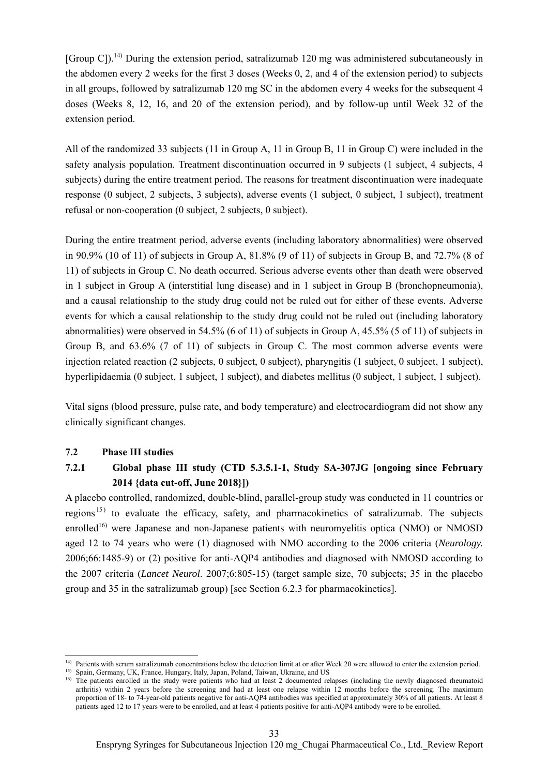[Group C]).<sup>14)</sup> During the extension period, satralizumab 120 mg was administered subcutaneously in the abdomen every 2 weeks for the first 3 doses (Weeks 0, 2, and 4 of the extension period) to subjects in all groups, followed by satralizumab 120 mg SC in the abdomen every 4 weeks for the subsequent 4 doses (Weeks 8, 12, 16, and 20 of the extension period), and by follow-up until Week 32 of the extension period.

All of the randomized 33 subjects (11 in Group A, 11 in Group B, 11 in Group C) were included in the safety analysis population. Treatment discontinuation occurred in 9 subjects (1 subject, 4 subjects, 4 subjects) during the entire treatment period. The reasons for treatment discontinuation were inadequate response (0 subject, 2 subjects, 3 subjects), adverse events (1 subject, 0 subject, 1 subject), treatment refusal or non-cooperation (0 subject, 2 subjects, 0 subject).

During the entire treatment period, adverse events (including laboratory abnormalities) were observed in 90.9% (10 of 11) of subjects in Group A, 81.8% (9 of 11) of subjects in Group B, and 72.7% (8 of 11) of subjects in Group C. No death occurred. Serious adverse events other than death were observed in 1 subject in Group A (interstitial lung disease) and in 1 subject in Group B (bronchopneumonia), and a causal relationship to the study drug could not be ruled out for either of these events. Adverse events for which a causal relationship to the study drug could not be ruled out (including laboratory abnormalities) were observed in 54.5% (6 of 11) of subjects in Group A, 45.5% (5 of 11) of subjects in Group B, and 63.6% (7 of 11) of subjects in Group C. The most common adverse events were injection related reaction (2 subjects, 0 subject, 0 subject), pharyngitis (1 subject, 0 subject, 1 subject), hyperlipidaemia (0 subject, 1 subject, 1 subject), and diabetes mellitus (0 subject, 1 subject, 1 subject).

Vital signs (blood pressure, pulse rate, and body temperature) and electrocardiogram did not show any clinically significant changes.

#### **7.2 Phase III studies**

l

# **7.2.1 Global phase III study (CTD 5.3.5.1-1, Study SA-307JG [ongoing since February 2014 {data cut-off, June 2018}])**

A placebo controlled, randomized, double-blind, parallel-group study was conducted in 11 countries or regions<sup>15)</sup> to evaluate the efficacy, safety, and pharmacokinetics of satralizumab. The subjects enrolled<sup>16)</sup> were Japanese and non-Japanese patients with neuromyelitis optica (NMO) or NMOSD aged 12 to 74 years who were (1) diagnosed with NMO according to the 2006 criteria (*Neurology.* 2006;66:1485-9) or (2) positive for anti-AQP4 antibodies and diagnosed with NMOSD according to the 2007 criteria (*Lancet Neurol*. 2007;6:805-15) (target sample size, 70 subjects; 35 in the placebo group and 35 in the satralizumab group) [see Section 6.2.3 for pharmacokinetics].

<sup>&</sup>lt;sup>14)</sup> Patients with serum satralizumab concentrations below the detection limit at or after Week 20 were allowed to enter the extension period.

<sup>15)</sup> Spain, Germany, UK, France, Hungary, Italy, Japan, Poland, Taiwan, Ukraine, and US

<sup>&</sup>lt;sup>16)</sup> The patients enrolled in the study were patients who had at least 2 documented relapses (including the newly diagnosed rheumatoid arthritis) within 2 years before the screening and had at least one relapse within 12 months before the screening. The maximum proportion of 18- to 74-year-old patients negative for anti-AQP4 antibodies was specified at approximately 30% of all patients. At least 8 patients aged 12 to 17 years were to be enrolled, and at least 4 patients positive for anti-AQP4 antibody were to be enrolled.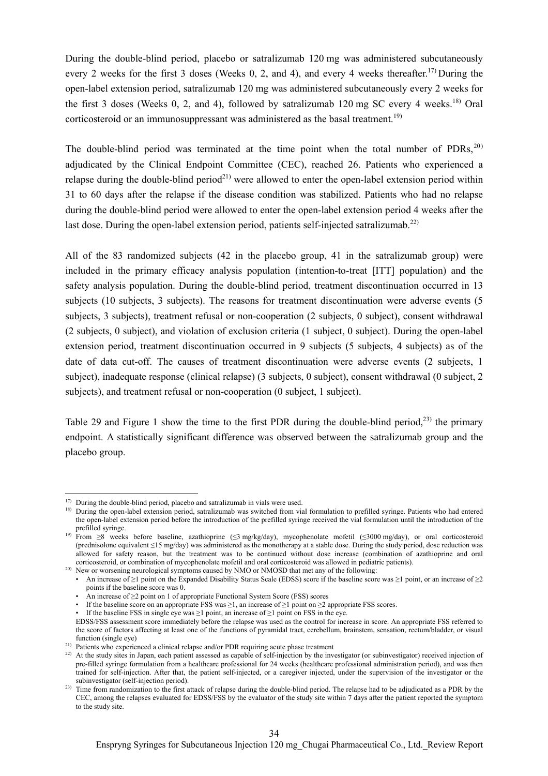During the double-blind period, placebo or satralizumab 120 mg was administered subcutaneously every 2 weeks for the first 3 doses (Weeks 0, 2, and 4), and every 4 weeks thereafter.<sup>17)</sup> During the open-label extension period, satralizumab 120 mg was administered subcutaneously every 2 weeks for the first 3 doses (Weeks 0, 2, and 4), followed by satralizumab 120 mg SC every 4 weeks.<sup>18)</sup> Oral corticosteroid or an immunosuppressant was administered as the basal treatment.<sup>19)</sup>

The double-blind period was terminated at the time point when the total number of  $PDRs$ ,<sup>20)</sup> adjudicated by the Clinical Endpoint Committee (CEC), reached 26. Patients who experienced a relapse during the double-blind period<sup>21)</sup> were allowed to enter the open-label extension period within 31 to 60 days after the relapse if the disease condition was stabilized. Patients who had no relapse during the double-blind period were allowed to enter the open-label extension period 4 weeks after the last dose. During the open-label extension period, patients self-injected satralizumab.<sup>22)</sup>

All of the 83 randomized subjects (42 in the placebo group, 41 in the satralizumab group) were included in the primary efficacy analysis population (intention-to-treat [ITT] population) and the safety analysis population. During the double-blind period, treatment discontinuation occurred in 13 subjects (10 subjects, 3 subjects). The reasons for treatment discontinuation were adverse events (5 subjects, 3 subjects), treatment refusal or non-cooperation (2 subjects, 0 subject), consent withdrawal (2 subjects, 0 subject), and violation of exclusion criteria (1 subject, 0 subject). During the open-label extension period, treatment discontinuation occurred in 9 subjects (5 subjects, 4 subjects) as of the date of data cut-off. The causes of treatment discontinuation were adverse events (2 subjects, 1 subject), inadequate response (clinical relapse) (3 subjects, 0 subject), consent withdrawal (0 subject, 2 subjects), and treatment refusal or non-cooperation (0 subject, 1 subject).

Table 29 and Figure 1 show the time to the first PDR during the double-blind period,<sup>23)</sup> the primary endpoint. A statistically significant difference was observed between the satralizumab group and the placebo group.

l

 $17)$  During the double-blind period, placebo and satralizumab in vials were used.

<sup>&</sup>lt;sup>18)</sup> During the open-label extension period, satralizumab was switched from vial formulation to prefilled syringe. Patients who had entered the open-label extension period before the introduction of the prefilled syringe received the vial formulation until the introduction of the prefilled syringe.

<sup>19)</sup> From ≥8 weeks before baseline, azathioprine (≤3 mg/kg/day), mycophenolate mofetil (≤3000 mg/day), or oral corticosteroid (prednisolone equivalent ≤15 mg/day) was administered as the monotherapy at a stable dose. During the study period, dose reduction was allowed for safety reason, but the treatment was to be continued without dose increase (combination of azathioprine and oral corticosteroid, or combination of mycophenolate mofetil and oral corticosteroid was allowed in pediatric patients).

<sup>&</sup>lt;sup>20)</sup> New or worsening neurological symptoms caused by NMO or NMOSD that met any of the following:

<sup>•</sup> An increase of  $\geq 1$  point on the Expanded Disability Status Scale (EDSS) score if the baseline score was  $\geq 1$  point, or an increase of  $\geq 2$ points if the baseline score was 0.

An increase of  $\geq$  2 point on 1 of appropriate Functional System Score (FSS) scores

<sup>•</sup> If the baseline score on an appropriate FSS was ≥1, an increase of ≥1 point on ≥2 appropriate FSS scores.

<sup>•</sup> If the baseline FSS in single eye was  $\geq 1$  point, an increase of  $\geq 1$  point on FSS in the eye.

EDSS/FSS assessment score immediately before the relapse was used as the control for increase in score. An appropriate FSS referred to the score of factors affecting at least one of the functions of pyramidal tract, cerebellum, brainstem, sensation, rectum/bladder, or visual function (single eye)

<sup>&</sup>lt;sup>21)</sup> Patients who experienced a clinical relapse and/or PDR requiring acute phase treatment

<sup>&</sup>lt;sup>22)</sup> At the study sites in Japan, each patient assessed as capable of self-injection by the investigator (or subinvestigator) received injection of pre-filled syringe formulation from a healthcare professional for 24 weeks (healthcare professional administration period), and was then trained for self-injection. After that, the patient self-injected, or a caregiver injected, under the supervision of the investigator or the subinvestigator (self-injection period).

<sup>&</sup>lt;sup>23)</sup> Time from randomization to the first attack of relapse during the double-blind period. The relapse had to be adjudicated as a PDR by the CEC, among the relapses evaluated for EDSS/FSS by the evaluator of the study site within 7 days after the patient reported the symptom to the study site.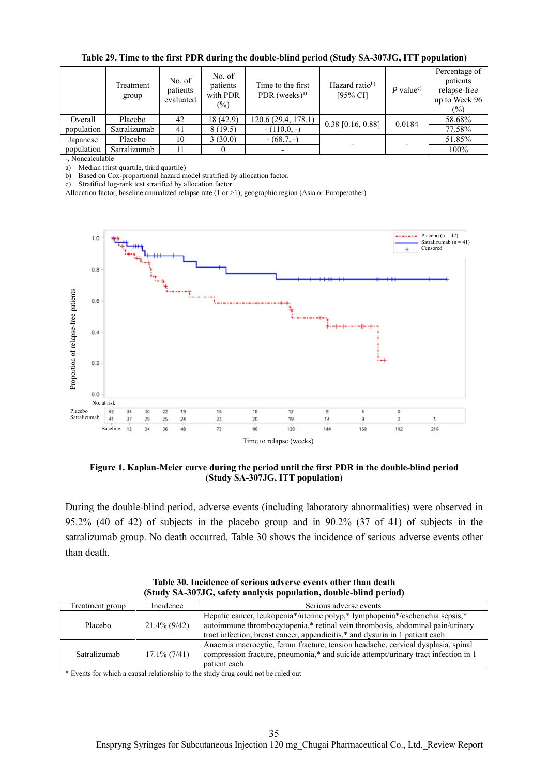|            | Treatment<br>group | No. of<br>patients<br>evaluated | No. of<br>patients<br>with PDR<br>$\binom{0}{0}$ | Time to the first<br>PDR (weeks) <sup>a)</sup> | Hazard ratio <sup>b)</sup><br>$[95\%$ CI] | P value <sup>c)</sup> | Percentage of<br>patients<br>relapse-free<br>up to Week 96<br>$\frac{1}{2}$ |
|------------|--------------------|---------------------------------|--------------------------------------------------|------------------------------------------------|-------------------------------------------|-----------------------|-----------------------------------------------------------------------------|
| Overall    | Placebo            | 42                              | 18 (42.9)                                        | 120.6 (29.4, 178.1)                            | $0.38$ [0.16, 0.88]                       | 0.0184                | 58.68%                                                                      |
| population | Satralizumab       | 41                              | 8(19.5)                                          | $-(110.0,-)$                                   |                                           |                       | 77.58%                                                                      |
| Japanese   | Placebo            | 10                              | 3(30.0)                                          | $-(68.7,-)$                                    |                                           |                       | 51.85%                                                                      |
| population | Satralizumab       |                                 |                                                  |                                                |                                           |                       | 100%                                                                        |

**Table 29. Time to the first PDR during the double-blind period (Study SA-307JG, ITT population)** 

-, Noncalculable

a) Median (first quartile, third quartile)

b) Based on Cox-proportional hazard model stratified by allocation factor.

c) Stratified log-rank test stratified by allocation factor

Allocation factor, baseline annualized relapse rate (1 or >1); geographic region (Asia or Europe/other)



**Figure 1. Kaplan-Meier curve during the period until the first PDR in the double-blind period (Study SA-307JG, ITT population)** 

During the double-blind period, adverse events (including laboratory abnormalities) were observed in 95.2% (40 of 42) of subjects in the placebo group and in 90.2% (37 of 41) of subjects in the satralizumab group. No death occurred. Table 30 shows the incidence of serious adverse events other than death.

**Table 30. Incidence of serious adverse events other than death (Study SA-307JG, safety analysis population, double-blind period)** 

| Treatment group | Incidence       | Serious adverse events                                                                                                                                                                                                                         |
|-----------------|-----------------|------------------------------------------------------------------------------------------------------------------------------------------------------------------------------------------------------------------------------------------------|
| Placebo         | $21.4\%$ (9/42) | Hepatic cancer, leukopenia*/uterine polyp,* lymphopenia*/escherichia sepsis,*<br>autoimmune thrombocytopenia,* retinal vein thrombosis, abdominal pain/urinary<br>tract infection, breast cancer, appendicitis,* and dysuria in 1 patient each |
| Satralizumab    | $17.1\%$ (7/41) | Anaemia macrocytic, femur fracture, tension headache, cervical dysplasia, spinal<br>compression fracture, pneumonia,* and suicide attempt/urinary tract infection in 1<br>patient each                                                         |

\* Events for which a causal relationship to the study drug could not be ruled out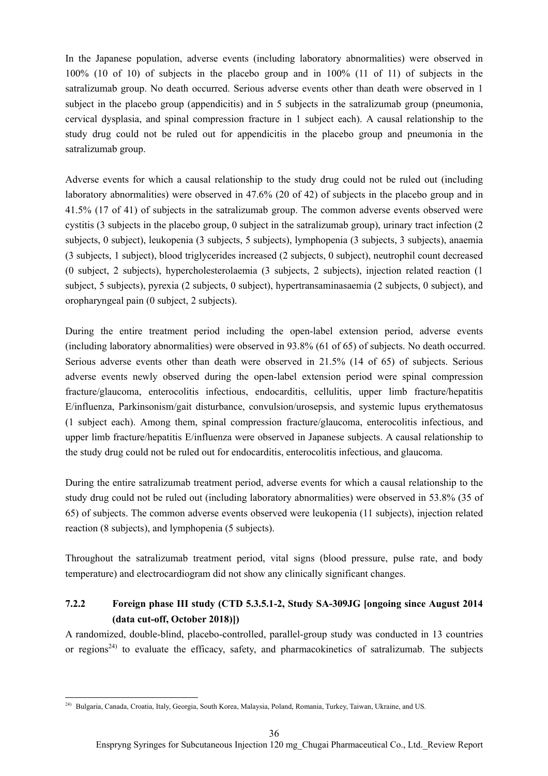In the Japanese population, adverse events (including laboratory abnormalities) were observed in 100% (10 of 10) of subjects in the placebo group and in 100% (11 of 11) of subjects in the satralizumab group. No death occurred. Serious adverse events other than death were observed in 1 subject in the placebo group (appendicitis) and in 5 subjects in the satralizumab group (pneumonia, cervical dysplasia, and spinal compression fracture in 1 subject each). A causal relationship to the study drug could not be ruled out for appendicitis in the placebo group and pneumonia in the satralizumab group.

Adverse events for which a causal relationship to the study drug could not be ruled out (including laboratory abnormalities) were observed in 47.6% (20 of 42) of subjects in the placebo group and in 41.5% (17 of 41) of subjects in the satralizumab group. The common adverse events observed were cystitis (3 subjects in the placebo group, 0 subject in the satralizumab group), urinary tract infection (2 subjects, 0 subject), leukopenia (3 subjects, 5 subjects), lymphopenia (3 subjects, 3 subjects), anaemia (3 subjects, 1 subject), blood triglycerides increased (2 subjects, 0 subject), neutrophil count decreased (0 subject, 2 subjects), hypercholesterolaemia (3 subjects, 2 subjects), injection related reaction (1 subject, 5 subjects), pyrexia (2 subjects, 0 subject), hypertransaminasaemia (2 subjects, 0 subject), and oropharyngeal pain (0 subject, 2 subjects).

During the entire treatment period including the open-label extension period, adverse events (including laboratory abnormalities) were observed in 93.8% (61 of 65) of subjects. No death occurred. Serious adverse events other than death were observed in 21.5% (14 of 65) of subjects. Serious adverse events newly observed during the open-label extension period were spinal compression fracture/glaucoma, enterocolitis infectious, endocarditis, cellulitis, upper limb fracture/hepatitis E/influenza, Parkinsonism/gait disturbance, convulsion/urosepsis, and systemic lupus erythematosus (1 subject each). Among them, spinal compression fracture/glaucoma, enterocolitis infectious, and upper limb fracture/hepatitis E/influenza were observed in Japanese subjects. A causal relationship to the study drug could not be ruled out for endocarditis, enterocolitis infectious, and glaucoma.

During the entire satralizumab treatment period, adverse events for which a causal relationship to the study drug could not be ruled out (including laboratory abnormalities) were observed in 53.8% (35 of 65) of subjects. The common adverse events observed were leukopenia (11 subjects), injection related reaction (8 subjects), and lymphopenia (5 subjects).

Throughout the satralizumab treatment period, vital signs (blood pressure, pulse rate, and body temperature) and electrocardiogram did not show any clinically significant changes.

# **7.2.2 Foreign phase III study (CTD 5.3.5.1-2, Study SA-309JG [ongoing since August 2014 (data cut-off, October 2018)])**

A randomized, double-blind, placebo-controlled, parallel-group study was conducted in 13 countries or regions<sup>24)</sup> to evaluate the efficacy, safety, and pharmacokinetics of satralizumab. The subjects

 $\overline{\phantom{a}}$ <sup>24)</sup> Bulgaria, Canada, Croatia, Italy, Georgia, South Korea, Malaysia, Poland, Romania, Turkey, Taiwan, Ukraine, and US.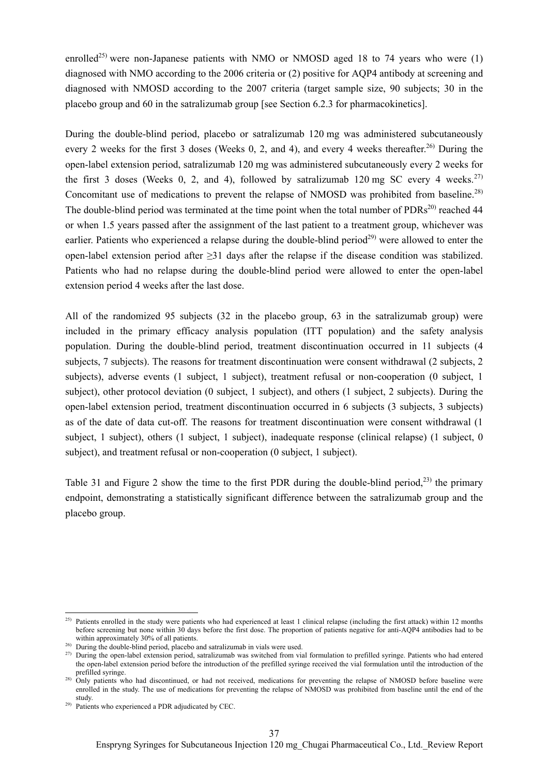enrolled<sup>25)</sup> were non-Japanese patients with NMO or NMOSD aged 18 to 74 years who were (1) diagnosed with NMO according to the 2006 criteria or (2) positive for AQP4 antibody at screening and diagnosed with NMOSD according to the 2007 criteria (target sample size, 90 subjects; 30 in the placebo group and 60 in the satralizumab group [see Section 6.2.3 for pharmacokinetics].

During the double-blind period, placebo or satralizumab 120 mg was administered subcutaneously every 2 weeks for the first 3 doses (Weeks 0, 2, and 4), and every 4 weeks thereafter.<sup>26)</sup> During the open-label extension period, satralizumab 120 mg was administered subcutaneously every 2 weeks for the first 3 doses (Weeks 0, 2, and 4), followed by satralizumab 120 mg SC every 4 weeks.<sup>27)</sup> Concomitant use of medications to prevent the relapse of NMOSD was prohibited from baseline.<sup>28)</sup> The double-blind period was terminated at the time point when the total number of PDRs<sup>20)</sup> reached 44 or when 1.5 years passed after the assignment of the last patient to a treatment group, whichever was earlier. Patients who experienced a relapse during the double-blind period<sup>29)</sup> were allowed to enter the open-label extension period after ≥31 days after the relapse if the disease condition was stabilized. Patients who had no relapse during the double-blind period were allowed to enter the open-label extension period 4 weeks after the last dose.

All of the randomized 95 subjects (32 in the placebo group, 63 in the satralizumab group) were included in the primary efficacy analysis population (ITT population) and the safety analysis population. During the double-blind period, treatment discontinuation occurred in 11 subjects (4 subjects, 7 subjects). The reasons for treatment discontinuation were consent withdrawal (2 subjects, 2 subjects), adverse events (1 subject, 1 subject), treatment refusal or non-cooperation (0 subject, 1 subject), other protocol deviation (0 subject, 1 subject), and others (1 subject, 2 subjects). During the open-label extension period, treatment discontinuation occurred in 6 subjects (3 subjects, 3 subjects) as of the date of data cut-off. The reasons for treatment discontinuation were consent withdrawal (1 subject, 1 subject), others (1 subject, 1 subject), inadequate response (clinical relapse) (1 subject, 0 subject), and treatment refusal or non-cooperation (0 subject, 1 subject).

Table 31 and Figure 2 show the time to the first PDR during the double-blind period.<sup>23)</sup> the primary endpoint, demonstrating a statistically significant difference between the satralizumab group and the placebo group.

l

<sup>&</sup>lt;sup>25)</sup> Patients enrolled in the study were patients who had experienced at least 1 clinical relapse (including the first attack) within 12 months before screening but none within 30 days before the first dose. The proportion of patients negative for anti-AQP4 antibodies had to be within approximately 30% of all patients.

<sup>&</sup>lt;sup>26)</sup> During the double-blind period, placebo and satralizumab in vials were used.

<sup>&</sup>lt;sup>27)</sup> During the open-label extension period, satralizumab was switched from vial formulation to prefilled syringe. Patients who had entered the open-label extension period before the introduction of the prefilled syringe received the vial formulation until the introduction of the prefilled syringe.

<sup>&</sup>lt;sup>28)</sup> Only patients who had discontinued, or had not received, medications for preventing the relapse of NMOSD before baseline were enrolled in the study. The use of medications for preventing the relapse of NMOSD was prohibited from baseline until the end of the study.

<sup>29)</sup> Patients who experienced a PDR adjudicated by CEC.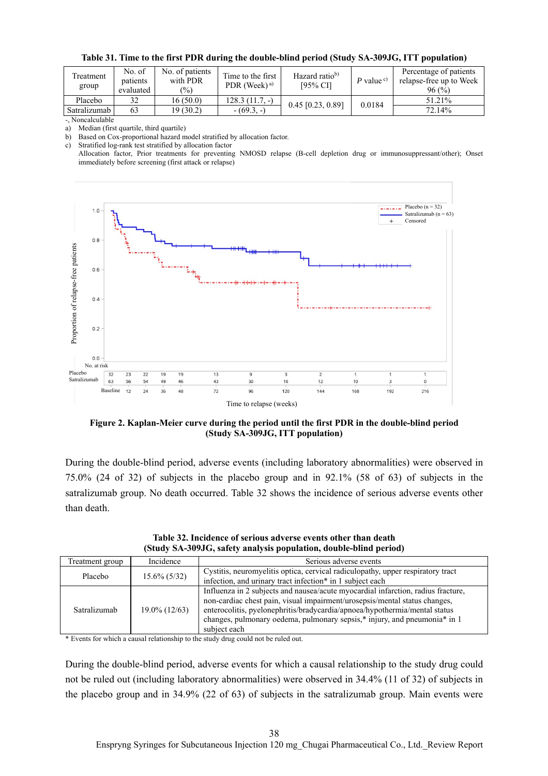| Treatment<br>group | No. of<br>patients<br>evaluated | No. of patients<br>with PDR<br>$\frac{1}{2}$ | Time to the first<br>PDR (Week) $a$ ) | Hazard ratio <sup>b)</sup><br>[95% CI] | P value $\circ$ | Percentage of patients<br>relapse-free up to Week<br>96(%) |
|--------------------|---------------------------------|----------------------------------------------|---------------------------------------|----------------------------------------|-----------------|------------------------------------------------------------|
| Placebo            | 32                              | 16 (50.0)                                    | $128.3(11.7,-)$                       | $0.45$ [0.23, 0.89]                    | 0.0184          | 51.21%                                                     |
| Satralizumab       | 63                              | 19 (30.2)                                    | $-(69.3,-)$                           |                                        |                 | 72.14%                                                     |

-, Noncalculable

a) Median (first quartile, third quartile)

b) Based on Cox-proportional hazard model stratified by allocation factor.

c) Stratified log-rank test stratified by allocation factor

Allocation factor, Prior treatments for preventing NMOSD relapse (B-cell depletion drug or immunosuppressant/other); Onset immediately before screening (first attack or relapse)



**Figure 2. Kaplan-Meier curve during the period until the first PDR in the double-blind period (Study SA-309JG, ITT population)** 

During the double-blind period, adverse events (including laboratory abnormalities) were observed in 75.0% (24 of 32) of subjects in the placebo group and in 92.1% (58 of 63) of subjects in the satralizumab group. No death occurred. Table 32 shows the incidence of serious adverse events other than death.

| Treatment group | Incidence        | Serious adverse events                                                                                                                                                                                                                                                                                                                    |
|-----------------|------------------|-------------------------------------------------------------------------------------------------------------------------------------------------------------------------------------------------------------------------------------------------------------------------------------------------------------------------------------------|
| Placebo         | $15.6\% (5/32)$  | Cystitis, neuromyelitis optica, cervical radiculopathy, upper respiratory tract<br>infection, and urinary tract infection* in 1 subject each                                                                                                                                                                                              |
| Satralizumab    | $19.0\%$ (12/63) | Influenza in 2 subjects and nausea/acute myocardial infarction, radius fracture,<br>non-cardiac chest pain, visual impairment/urosepsis/mental status changes,<br>enterocolitis, pyelonephritis/bradycardia/apnoea/hypothermia/mental status<br>changes, pulmonary oedema, pulmonary sepsis,* injury, and pneumonia* in 1<br>subject each |

**Table 32. Incidence of serious adverse events other than death (Study SA-309JG, safety analysis population, double-blind period)** 

\* Events for which a causal relationship to the study drug could not be ruled out.

During the double-blind period, adverse events for which a causal relationship to the study drug could not be ruled out (including laboratory abnormalities) were observed in 34.4% (11 of 32) of subjects in the placebo group and in 34.9% (22 of 63) of subjects in the satralizumab group. Main events were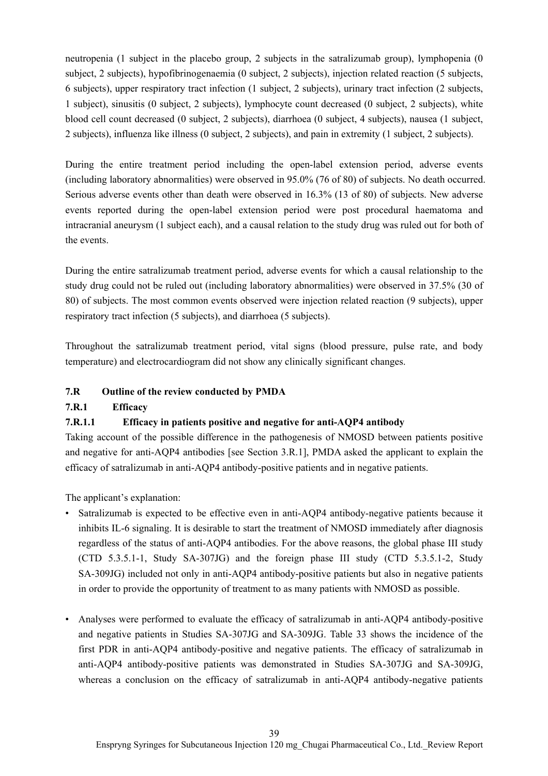neutropenia (1 subject in the placebo group, 2 subjects in the satralizumab group), lymphopenia (0 subject, 2 subjects), hypofibrinogenaemia (0 subject, 2 subjects), injection related reaction (5 subjects, 6 subjects), upper respiratory tract infection (1 subject, 2 subjects), urinary tract infection (2 subjects, 1 subject), sinusitis (0 subject, 2 subjects), lymphocyte count decreased (0 subject, 2 subjects), white blood cell count decreased (0 subject, 2 subjects), diarrhoea (0 subject, 4 subjects), nausea (1 subject, 2 subjects), influenza like illness (0 subject, 2 subjects), and pain in extremity (1 subject, 2 subjects).

During the entire treatment period including the open-label extension period, adverse events (including laboratory abnormalities) were observed in 95.0% (76 of 80) of subjects. No death occurred. Serious adverse events other than death were observed in 16.3% (13 of 80) of subjects. New adverse events reported during the open-label extension period were post procedural haematoma and intracranial aneurysm (1 subject each), and a causal relation to the study drug was ruled out for both of the events.

During the entire satralizumab treatment period, adverse events for which a causal relationship to the study drug could not be ruled out (including laboratory abnormalities) were observed in 37.5% (30 of 80) of subjects. The most common events observed were injection related reaction (9 subjects), upper respiratory tract infection (5 subjects), and diarrhoea (5 subjects).

Throughout the satralizumab treatment period, vital signs (blood pressure, pulse rate, and body temperature) and electrocardiogram did not show any clinically significant changes.

## **7.R Outline of the review conducted by PMDA**

# **7.R.1 Efficacy**

# **7.R.1.1 Efficacy in patients positive and negative for anti-AQP4 antibody**

Taking account of the possible difference in the pathogenesis of NMOSD between patients positive and negative for anti-AQP4 antibodies [see Section 3.R.1], PMDA asked the applicant to explain the efficacy of satralizumab in anti-AQP4 antibody-positive patients and in negative patients.

The applicant's explanation:

- Satralizumab is expected to be effective even in anti-AQP4 antibody-negative patients because it inhibits IL-6 signaling. It is desirable to start the treatment of NMOSD immediately after diagnosis regardless of the status of anti-AQP4 antibodies. For the above reasons, the global phase III study (CTD 5.3.5.1-1, Study SA-307JG) and the foreign phase III study (CTD 5.3.5.1-2, Study SA-309JG) included not only in anti-AQP4 antibody-positive patients but also in negative patients in order to provide the opportunity of treatment to as many patients with NMOSD as possible.
- Analyses were performed to evaluate the efficacy of satralizumab in anti-AQP4 antibody-positive and negative patients in Studies SA-307JG and SA-309JG. Table 33 shows the incidence of the first PDR in anti-AQP4 antibody-positive and negative patients. The efficacy of satralizumab in anti-AQP4 antibody-positive patients was demonstrated in Studies SA-307JG and SA-309JG, whereas a conclusion on the efficacy of satralizumab in anti-AQP4 antibody-negative patients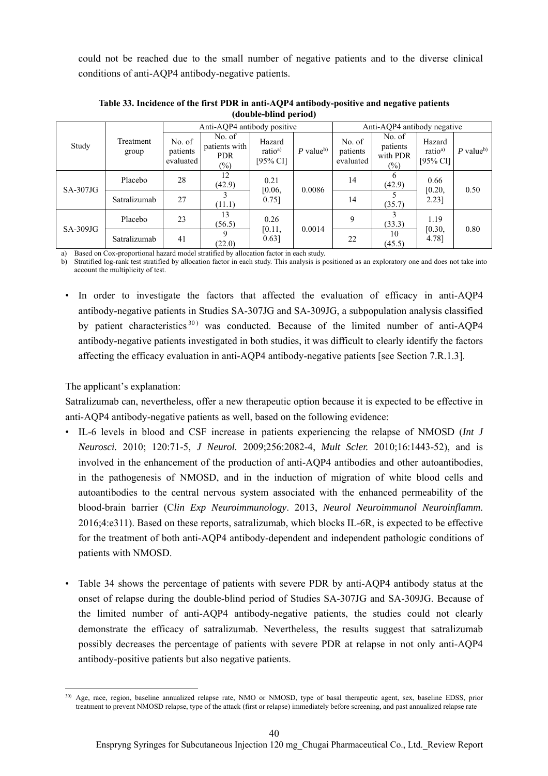could not be reached due to the small number of negative patients and to the diverse clinical conditions of anti-AQP4 antibody-negative patients.

|            |                    |                                 | Anti-AQP4 antibody positive                     |                                           | Anti-AQP4 antibody negative |                                 |                                          |                                                      |                         |
|------------|--------------------|---------------------------------|-------------------------------------------------|-------------------------------------------|-----------------------------|---------------------------------|------------------------------------------|------------------------------------------------------|-------------------------|
| Study      | Treatment<br>group | No. of<br>patients<br>evaluated | No. of<br>patients with<br><b>PDR</b><br>$(\%)$ | Hazard<br>ratio <sup>a)</sup><br>[95% CI] | $P$ value <sup>b)</sup>     | No. of<br>patients<br>evaluated | No. of<br>patients<br>with PDR<br>$(\%)$ | Hazard<br>ratio <sup>a)</sup><br>$[95\% \text{ CI}]$ | $P$ value <sup>b)</sup> |
|            | Placebo            | 28                              | 12<br>(42.9)                                    | 0.21                                      | 0.0086                      | 14                              | <sub>b</sub><br>(42.9)                   | 0.66<br>[0.20,                                       | 0.50                    |
| $SA-307JG$ | Satralizumab       | 27                              | (11.1)                                          | [0.06,<br>0.751                           |                             | 14                              | (35.7)                                   | 2.231                                                |                         |
| $SA-309JG$ | Placebo            | 23                              | 13<br>(56.5)                                    | 0.26                                      | 0.0014                      | 9                               | (33.3)                                   | 1.19                                                 | 0.80                    |
|            | Satralizumab       | 41                              | (22.0)                                          | [0.11,<br>0.63]                           |                             | 22                              | 10<br>(45.5)                             | [0.30,<br>4.78]                                      |                         |

**Table 33. Incidence of the first PDR in anti-AQP4 antibody-positive and negative patients (double-blind period)** 

a) Based on Cox-proportional hazard model stratified by allocation factor in each study.

b) Stratified log-rank test stratified by allocation factor in each study. This analysis is positioned as an exploratory one and does not take into account the multiplicity of test.

• In order to investigate the factors that affected the evaluation of efficacy in anti-AQP4 antibody-negative patients in Studies SA-307JG and SA-309JG, a subpopulation analysis classified by patient characteristics  $30$  was conducted. Because of the limited number of anti-AOP4 antibody-negative patients investigated in both studies, it was difficult to clearly identify the factors affecting the efficacy evaluation in anti-AQP4 antibody-negative patients [see Section 7.R.1.3].

## The applicant's explanation:

Satralizumab can, nevertheless, offer a new therapeutic option because it is expected to be effective in anti-AQP4 antibody-negative patients as well, based on the following evidence:

- IL-6 levels in blood and CSF increase in patients experiencing the relapse of NMOSD (*Int J Neurosci.* 2010; 120:71-5, *J Neurol.* 2009;256:2082-4, *Mult Scler.* 2010;16:1443-52), and is involved in the enhancement of the production of anti-AQP4 antibodies and other autoantibodies, in the pathogenesis of NMOSD, and in the induction of migration of white blood cells and autoantibodies to the central nervous system associated with the enhanced permeability of the blood-brain barrier (C*lin Exp Neuroimmunology*. 2013, *Neurol Neuroimmunol Neuroinflamm*. 2016;4:e311). Based on these reports, satralizumab, which blocks IL-6R, is expected to be effective for the treatment of both anti-AQP4 antibody-dependent and independent pathologic conditions of patients with NMOSD.
- Table 34 shows the percentage of patients with severe PDR by anti-AQP4 antibody status at the onset of relapse during the double-blind period of Studies SA-307JG and SA-309JG. Because of the limited number of anti-AQP4 antibody-negative patients, the studies could not clearly demonstrate the efficacy of satralizumab. Nevertheless, the results suggest that satralizumab possibly decreases the percentage of patients with severe PDR at relapse in not only anti-AQP4 antibody-positive patients but also negative patients.

l <sup>30)</sup> Age, race, region, baseline annualized relapse rate, NMO or NMOSD, type of basal therapeutic agent, sex, baseline EDSS, prior treatment to prevent NMOSD relapse, type of the attack (first or relapse) immediately before screening, and past annualized relapse rate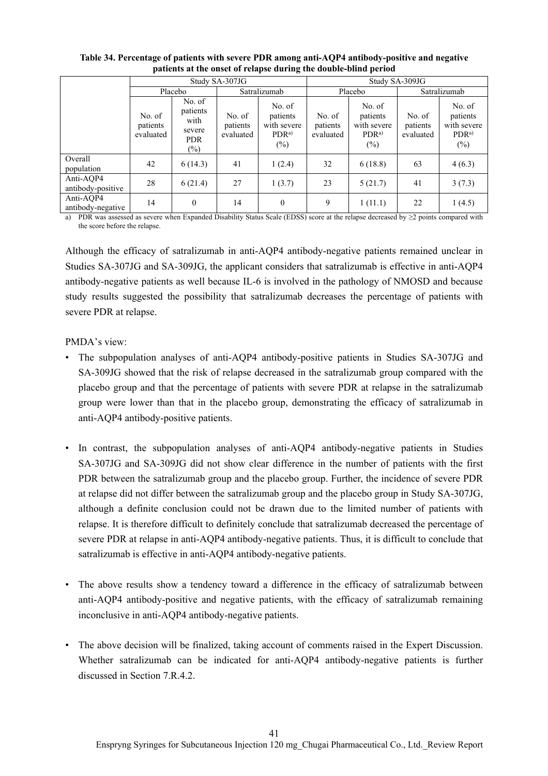|                                |                                 |                                                              | Study SA-307JG                  |                                                                 | Study SA-309JG                  |                                                                 |                                 |                                                                 |  |
|--------------------------------|---------------------------------|--------------------------------------------------------------|---------------------------------|-----------------------------------------------------------------|---------------------------------|-----------------------------------------------------------------|---------------------------------|-----------------------------------------------------------------|--|
|                                |                                 | Placebo                                                      |                                 | Satralizumab                                                    | Placebo                         |                                                                 |                                 | Satralizumab                                                    |  |
|                                | No. of<br>patients<br>evaluated | No. of<br>patients<br>with<br>severe<br><b>PDR</b><br>$(\%)$ | No. of<br>patients<br>evaluated | No. of<br>patients<br>with severe<br>PDR <sup>a</sup><br>$(\%)$ | No. of<br>patients<br>evaluated | No. of<br>patients<br>with severe<br>PDR <sup>a</sup><br>$(\%)$ | No. of<br>patients<br>evaluated | No. of<br>patients<br>with severe<br>PDR <sup>a</sup><br>$(\%)$ |  |
| Overall<br>population          | 42                              | 6(14.3)                                                      | 41                              | 1(2.4)                                                          | 32                              | 6(18.8)                                                         | 63                              | 4(6.3)                                                          |  |
| Anti-AQP4<br>antibody-positive | 28                              | 6(21.4)                                                      | 27                              | 1(3.7)                                                          | 23                              | 5(21.7)                                                         | 41                              | 3(7.3)                                                          |  |
| Anti-AQP4<br>antibody-negative | 14                              | $\theta$                                                     | 14                              | $\mathbf{0}$                                                    | 9                               | 1(11.1)                                                         | 22                              | 1(4.5)                                                          |  |

#### **Table 34. Percentage of patients with severe PDR among anti-AQP4 antibody-positive and negative patients at the onset of relapse during the double-blind period**

a) PDR was assessed as severe when Expanded Disability Status Scale (EDSS) score at the relapse decreased by ≥2 points compared with the score before the relapse.

Although the efficacy of satralizumab in anti-AQP4 antibody-negative patients remained unclear in Studies SA-307JG and SA-309JG, the applicant considers that satralizumab is effective in anti-AQP4 antibody-negative patients as well because IL-6 is involved in the pathology of NMOSD and because study results suggested the possibility that satralizumab decreases the percentage of patients with severe PDR at relapse.

PMDA's view:

- The subpopulation analyses of anti-AQP4 antibody-positive patients in Studies SA-307JG and SA-309JG showed that the risk of relapse decreased in the satralizumab group compared with the placebo group and that the percentage of patients with severe PDR at relapse in the satralizumab group were lower than that in the placebo group, demonstrating the efficacy of satralizumab in anti-AQP4 antibody-positive patients.
- In contrast, the subpopulation analyses of anti-AQP4 antibody-negative patients in Studies SA-307JG and SA-309JG did not show clear difference in the number of patients with the first PDR between the satralizumab group and the placebo group. Further, the incidence of severe PDR at relapse did not differ between the satralizumab group and the placebo group in Study SA-307JG, although a definite conclusion could not be drawn due to the limited number of patients with relapse. It is therefore difficult to definitely conclude that satralizumab decreased the percentage of severe PDR at relapse in anti-AQP4 antibody-negative patients. Thus, it is difficult to conclude that satralizumab is effective in anti-AQP4 antibody-negative patients.
- The above results show a tendency toward a difference in the efficacy of satralizumab between anti-AQP4 antibody-positive and negative patients, with the efficacy of satralizumab remaining inconclusive in anti-AQP4 antibody-negative patients.
- The above decision will be finalized, taking account of comments raised in the Expert Discussion. Whether satralizumab can be indicated for anti-AQP4 antibody-negative patients is further discussed in Section 7.R.4.2.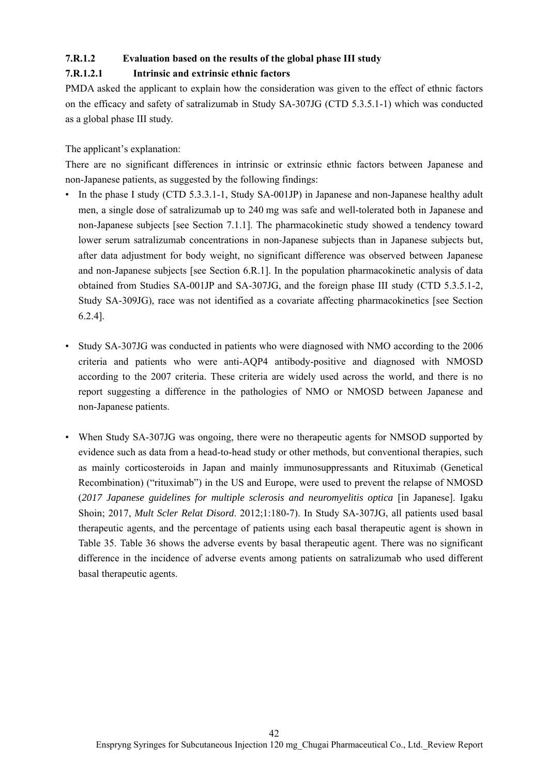## **7.R.1.2 Evaluation based on the results of the global phase III study**

## **7.R.1.2.1 Intrinsic and extrinsic ethnic factors**

PMDA asked the applicant to explain how the consideration was given to the effect of ethnic factors on the efficacy and safety of satralizumab in Study SA-307JG (CTD 5.3.5.1-1) which was conducted as a global phase III study.

The applicant's explanation:

There are no significant differences in intrinsic or extrinsic ethnic factors between Japanese and non-Japanese patients, as suggested by the following findings:

- In the phase I study (CTD 5.3.3.1-1, Study SA-001JP) in Japanese and non-Japanese healthy adult men, a single dose of satralizumab up to 240 mg was safe and well-tolerated both in Japanese and non-Japanese subjects [see Section 7.1.1]. The pharmacokinetic study showed a tendency toward lower serum satralizumab concentrations in non-Japanese subjects than in Japanese subjects but, after data adjustment for body weight, no significant difference was observed between Japanese and non-Japanese subjects [see Section 6.R.1]. In the population pharmacokinetic analysis of data obtained from Studies SA-001JP and SA-307JG, and the foreign phase III study (CTD 5.3.5.1-2, Study SA-309JG), race was not identified as a covariate affecting pharmacokinetics [see Section 6.2.4].
- Study SA-307JG was conducted in patients who were diagnosed with NMO according to the 2006 criteria and patients who were anti-AQP4 antibody-positive and diagnosed with NMOSD according to the 2007 criteria. These criteria are widely used across the world, and there is no report suggesting a difference in the pathologies of NMO or NMOSD between Japanese and non-Japanese patients.
- When Study SA-307JG was ongoing, there were no therapeutic agents for NMSOD supported by evidence such as data from a head-to-head study or other methods, but conventional therapies, such as mainly corticosteroids in Japan and mainly immunosuppressants and Rituximab (Genetical Recombination) ("rituximab") in the US and Europe, were used to prevent the relapse of NMOSD (*2017 Japanese guidelines for multiple sclerosis and neuromyelitis optica* [in Japanese]. Igaku Shoin; 2017, *Mult Scler Relat Disord*. 2012;1:180-7). In Study SA-307JG, all patients used basal therapeutic agents, and the percentage of patients using each basal therapeutic agent is shown in Table 35. Table 36 shows the adverse events by basal therapeutic agent. There was no significant difference in the incidence of adverse events among patients on satralizumab who used different basal therapeutic agents.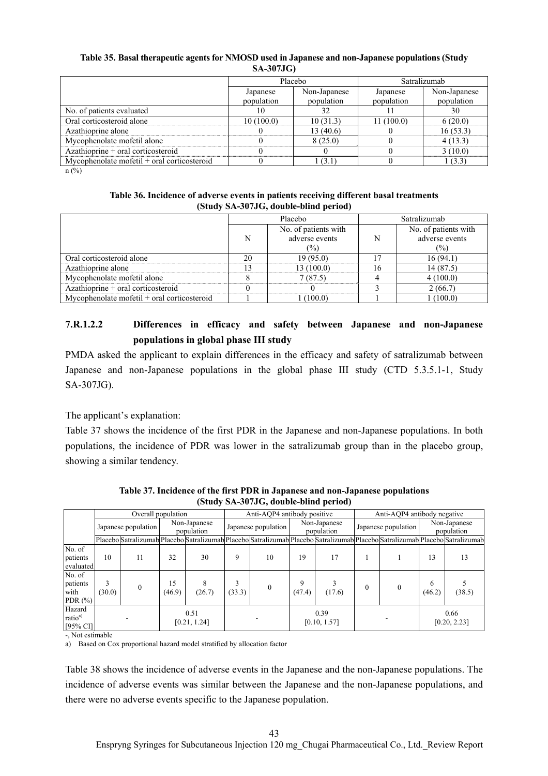#### **Table 35. Basal therapeutic agents for NMOSD used in Japanese and non-Japanese populations (Study SA-307JG)**

|                                               |            | Placebo      | Satralizumab |              |  |
|-----------------------------------------------|------------|--------------|--------------|--------------|--|
|                                               | Japanese   | Non-Japanese | Japanese     | Non-Japanese |  |
|                                               | population | population   | population   | population   |  |
| No. of patients evaluated                     | 10         | 32           |              | 30           |  |
| Oral corticosteroid alone                     | 10(100.0)  | 10(31.3)     | 11(100.0)    | 6(20.0)      |  |
| Azathioprine alone                            |            | 13(40.6)     |              | 16(53.3)     |  |
| Mycophenolate mofetil alone                   |            | 8(25.0)      |              | 4(13.3)      |  |
| Azathioprine + oral corticosteroid            |            |              |              | 3(10.0)      |  |
| Mycophenolate mofetil $+$ oral corticosteroid |            | 1 (3.1)      |              | 1(3.3)       |  |

n (%)

| Table 36. Incidence of adverse events in patients receiving different basal treatments |
|----------------------------------------------------------------------------------------|
| (Study SA-307JG, double-blind period)                                                  |

|                                             |    | Placebo              | Satralizumab |                      |  |
|---------------------------------------------|----|----------------------|--------------|----------------------|--|
|                                             |    | No. of patients with |              | No. of patients with |  |
|                                             | N  | adverse events       | N            | adverse events       |  |
|                                             |    | (%)                  |              | (%)                  |  |
| Oral corticosteroid alone                   | 20 | 19(95.0)             | 17           | 16(94.1)             |  |
| Azathioprine alone                          |    | 13(100.0)            | 16           | 14(87.5)             |  |
| Mycophenolate mofetil alone                 |    | 7(87.5)              |              | 4(100.0)             |  |
| Azathioprine $+$ oral corticosteroid        |    |                      |              | 2(66.7)              |  |
| Mycophenolate mofetil + oral corticosteroid |    | (100.0)              |              | (100.0)              |  |

# **7.R.1.2.2 Differences in efficacy and safety between Japanese and non-Japanese populations in global phase III study**

PMDA asked the applicant to explain differences in the efficacy and safety of satralizumab between Japanese and non-Japanese populations in the global phase III study (CTD 5.3.5.1-1, Study SA-307JG).

The applicant's explanation:

Table 37 shows the incidence of the first PDR in the Japanese and non-Japanese populations. In both populations, the incidence of PDR was lower in the satralizumab group than in the placebo group, showing a similar tendency.

|                                              | Overall population  |          |                            |             | Anti-AOP4 antibody positive |          |                            | Anti-AOP4 antibody negative |                     |          |                            |                                                                                                                               |
|----------------------------------------------|---------------------|----------|----------------------------|-------------|-----------------------------|----------|----------------------------|-----------------------------|---------------------|----------|----------------------------|-------------------------------------------------------------------------------------------------------------------------------|
|                                              | Japanese population |          | Non-Japanese<br>population |             | Japanese population         |          | Non-Japanese<br>population |                             | Japanese population |          | Non-Japanese<br>population |                                                                                                                               |
|                                              |                     |          |                            |             |                             |          |                            |                             |                     |          |                            | Placebo Satralizumab Placebo Satralizumab Placebo Satralizumab Placebo Satralizumab Placebo Satralizumab Placebo Satralizumab |
| No. of<br>patients<br>evaluated              | 10                  | 11       | 32                         | 30          | 9                           | 10       | 19                         | 17                          |                     |          | 13                         | 13                                                                                                                            |
| No. of<br>patients<br>with<br>PDR $(\%)$     | (30.0)              | $\Omega$ | 15<br>(46.9)               | 8<br>(26.7) | 3<br>(33.3)                 | $\theta$ | 9<br>(47.4)                | (17.6)                      | $\theta$            | $\theta$ | 6<br>(46.2)                | (38.5)                                                                                                                        |
| Hazard<br>ratio <sup>a)</sup><br>$[95\%$ CI] |                     |          | 0.51<br>[0.21, 1.24]       |             |                             |          | 0.39<br>[0.10, 1.57]       |                             |                     |          |                            | 0.66<br>[0.20, 2.23]                                                                                                          |

**Table 37. Incidence of the first PDR in Japanese and non-Japanese populations (Study SA-307JG, double-blind period)** 

-, Not estimable

a) Based on Cox proportional hazard model stratified by allocation factor

Table 38 shows the incidence of adverse events in the Japanese and the non-Japanese populations. The incidence of adverse events was similar between the Japanese and the non-Japanese populations, and there were no adverse events specific to the Japanese population.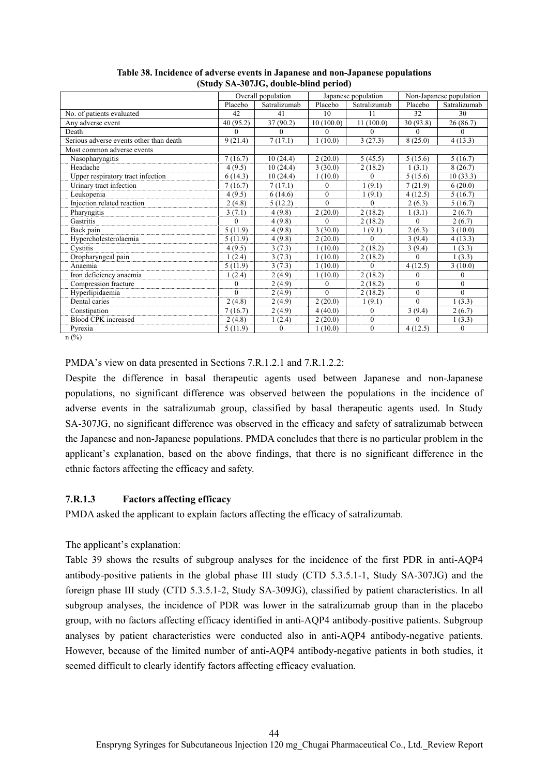|                                         |          | Overall population |           | Japanese population |              | Non-Japanese population |  |  |
|-----------------------------------------|----------|--------------------|-----------|---------------------|--------------|-------------------------|--|--|
|                                         | Placebo  | Satralizumab       | Placebo   | Satralizumab        | Placebo      | Satralizumab            |  |  |
| No. of patients evaluated               | 42       | 41                 | 10        | 11                  | 32           | 30                      |  |  |
| Any adverse event                       | 40(95.2) | 37(90.2)           | 10(100.0) | 11(100.0)           | 30(93.8)     | 26(86.7)                |  |  |
| Death                                   | $\Omega$ | $\Omega$           | $\Omega$  | $\Omega$            | $\Omega$     | $\Omega$                |  |  |
| Serious adverse events other than death | 9(21.4)  | 7(17.1)            | 1(10.0)   | 3(27.3)             | 8(25.0)      | 4(13.3)                 |  |  |
| Most common adverse events              |          |                    |           |                     |              |                         |  |  |
| Nasopharyngitis                         | 7(16.7)  | 10(24.4)           | 2(20.0)   | 5(45.5)             | 5(15.6)      | 5(16.7)                 |  |  |
| Headache                                | 4(9.5)   | 10(24.4)           | 3(30.0)   | 2(18.2)             | 1(3.1)       | 8(26.7)                 |  |  |
| Upper respiratory tract infection       | 6(14.3)  | 10(24.4)           | 1(10.0)   | 0                   | 5(15.6)      | 10(33.3)                |  |  |
| Urinary tract infection                 | 7(16.7)  | 7(17.1)            | $\Omega$  | 1(9.1)              | 7(21.9)      | 6(20.0)                 |  |  |
| Leukopenia                              | 4(9.5)   | 6(14.6)            | $\Omega$  | 1(9.1)              | 4(12.5)      | 5(16.7)                 |  |  |
| Injection related reaction              | 2(4.8)   | 5(12.2)            | $\Omega$  | 0                   | 2(6.3)       | 5(16.7)                 |  |  |
| Pharyngitis                             | 3(7.1)   | 4(9.8)             | 2(20.0)   | 2(18.2)             | 1(3.1)       | 2(6.7)                  |  |  |
| Gastritis                               | $\Omega$ | 4 (9.8)            | $\Omega$  | 2(18.2)             | $\theta$     | 2(6.7)                  |  |  |
| Back pain                               | 5(11.9)  | 4(9.8)             | 3(30.0)   | 1(9.1)              | 2(6.3)       | 3(10.0)                 |  |  |
| Hypercholesterolaemia                   | 5(11.9)  | 4(9.8)             | 2(20.0)   | 0                   | 3(9.4)       | 4(13.3)                 |  |  |
| Cystitis                                | 4(9.5)   | 3(7.3)             | 1(10.0)   | 2(18.2)             | 3(9.4)       | 1(3.3)                  |  |  |
| Oropharyngeal pain                      | 1(2.4)   | 3(7.3)             | 1(10.0)   | 2(18.2)             | $\theta$     | 1(3.3)                  |  |  |
| Anaemia                                 | 5(11.9)  | 3(7.3)             | 1(10.0)   | 0                   | 4(12.5)      | 3(10.0)                 |  |  |
| Iron deficiency anaemia                 | 1(2.4)   | 2(4.9)             | 1(10.0)   | 2(18.2)             | $\theta$     | $\mathbf{0}$            |  |  |
| Compression fracture                    | 0        | 2(4.9)             | $\theta$  | 2(18.2)             | $\theta$     | $\mathbf{0}$            |  |  |
| Hyperlipidaemia                         | $\Omega$ | 2(4.9)             | $\Omega$  | 2(18.2)             | $\mathbf{0}$ | $\theta$                |  |  |
| Dental caries                           | 2(4.8)   | 2(4.9)             | 2(20.0)   | 1(9.1)              | $\Omega$     | 1(3.3)                  |  |  |
| Constipation                            | 7(16.7)  | 2(4.9)             | 4(40.0)   | 0                   | 3(9.4)       | 2(6.7)                  |  |  |
| <b>Blood CPK</b> increased              | 2(4.8)   | 1(2.4)             | 2(20.0)   | $\Omega$            | $\Omega$     | 1(3.3)                  |  |  |
| Pyrexia                                 | 5(11.9)  | 0                  | 1(10.0)   | $\mathbf{0}$        | 4(12.5)      | $\mathbf{0}$            |  |  |

**Table 38. Incidence of adverse events in Japanese and non-Japanese populations (Study SA-307JG, double-blind period)** 

n (%)

PMDA's view on data presented in Sections 7.R.1.2.1 and 7.R.1.2.2:

Despite the difference in basal therapeutic agents used between Japanese and non-Japanese populations, no significant difference was observed between the populations in the incidence of adverse events in the satralizumab group, classified by basal therapeutic agents used. In Study SA-307JG, no significant difference was observed in the efficacy and safety of satralizumab between the Japanese and non-Japanese populations. PMDA concludes that there is no particular problem in the applicant's explanation, based on the above findings, that there is no significant difference in the ethnic factors affecting the efficacy and safety.

#### **7.R.1.3 Factors affecting efficacy**

PMDA asked the applicant to explain factors affecting the efficacy of satralizumab.

#### The applicant's explanation:

Table 39 shows the results of subgroup analyses for the incidence of the first PDR in anti-AQP4 antibody-positive patients in the global phase III study (CTD 5.3.5.1-1, Study SA-307JG) and the foreign phase III study (CTD 5.3.5.1-2, Study SA-309JG), classified by patient characteristics. In all subgroup analyses, the incidence of PDR was lower in the satralizumab group than in the placebo group, with no factors affecting efficacy identified in anti-AQP4 antibody-positive patients. Subgroup analyses by patient characteristics were conducted also in anti-AQP4 antibody-negative patients. However, because of the limited number of anti-AQP4 antibody-negative patients in both studies, it seemed difficult to clearly identify factors affecting efficacy evaluation.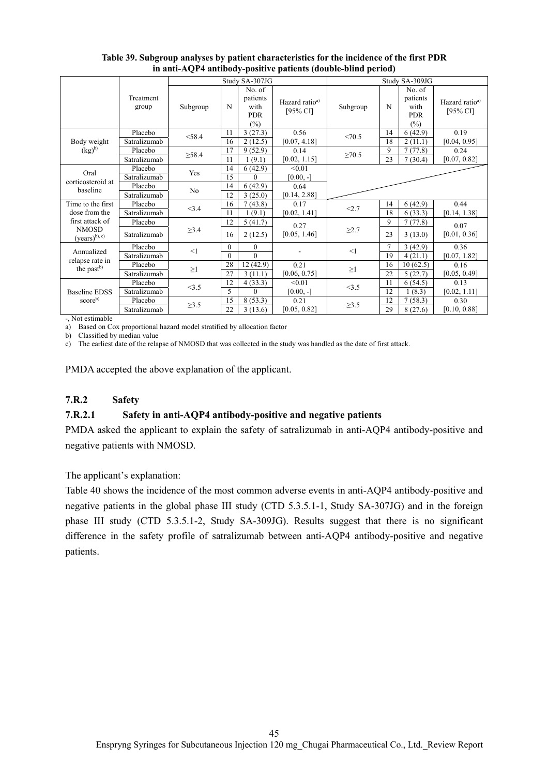|                                          |                    |                |          | Study SA-307JG                                     |                                        | Study SA-309JG |                |                                                 |                                           |
|------------------------------------------|--------------------|----------------|----------|----------------------------------------------------|----------------------------------------|----------------|----------------|-------------------------------------------------|-------------------------------------------|
|                                          | Treatment<br>group | Subgroup       | N        | No. of<br>patients<br>with<br><b>PDR</b><br>$(\%)$ | Hazard ratio <sup>a)</sup><br>[95% CI] | Subgroup       | N              | No. of<br>patients<br>with<br><b>PDR</b><br>(%) | Hazard ratio <sup>a)</sup><br>[95% $CI$ ] |
|                                          | Placebo            | < 58.4         | 11       | 3(27.3)                                            | 0.56                                   | <70.5          | 14             | 6(42.9)                                         | 0.19                                      |
| Body weight                              | Satralizumab       |                | 16       | 2(12.5)                                            | [0.07, 4.18]                           |                | 18             | 2(11.1)                                         | [0.04, 0.95]                              |
| $(kg)^{b}$                               | Placebo            | >58.4          | 17       | 9(52.9)                                            | 0.14                                   | $\geq 70.5$    | 9              | 7(77.8)                                         | 0.24                                      |
|                                          | Satralizumab       |                | 11       | (9.1)                                              | [0.02, 1.15]                           |                | 23             | 7(30.4)                                         | [0.07, 0.82]                              |
| Oral                                     | Placebo            | Yes            | 14       | 6(42.9)                                            | < 0.01                                 |                |                |                                                 |                                           |
| corticosteroid at                        | Satralizumab       |                | 15       | $\Omega$                                           | $[0.00, -]$                            |                |                |                                                 |                                           |
| baseline                                 | Placebo            | N <sub>o</sub> | 14       | 6(42.9)                                            | 0.64                                   |                |                |                                                 |                                           |
|                                          | Satralizumab       |                | 12       | 3(25.0)                                            | [0.14, 2.88]                           |                |                |                                                 |                                           |
| Time to the first                        | Placebo            | <3.4           | 16       | 7(43.8)                                            | 0.17                                   | < 2.7          | 14             | 6(42.9)                                         | 0.44                                      |
| dose from the                            | Satralizumab       |                | 11       | (9.1)                                              | [0.02, 1.41]                           |                | 18             | 6(33.3)                                         | [0.14, 1.38]                              |
| first attack of                          | Placebo            |                | 12       | 5(41.7)                                            | 0.27                                   |                | 9              | 7(77.8)                                         | 0.07                                      |
| <b>NMOSD</b><br>$(years)^{b), c}$        | Satralizumab       | $\geq$ 3.4     | 16       | 2(12.5)                                            | [0.05, 1.46]                           | $\geq$ 2.7     | 23             | 3(13.0)                                         | [0.01, 0.36]                              |
|                                          | Placebo            | <1             | $\theta$ | $\mathbf{0}$                                       |                                        | <1             | $\overline{7}$ | 3(42.9)                                         | 0.36                                      |
| Annualized                               | Satralizumab       |                | $\Omega$ | $\Omega$                                           |                                        |                | 19             | 4(21.1)                                         | [0.07, 1.82]                              |
| relapse rate in<br>the past <sup>b</sup> | Placebo            | $\geq$ 1       | 28       | 12(42.9)                                           | 0.21                                   | $\geq$ 1       | 16             | 10(62.5)                                        | 0.16                                      |
|                                          | Satralizumab       |                | 27       | 3(11.1)                                            | [0.06, 0.75]                           |                | 22             | 5(22.7)                                         | [0.05, 0.49]                              |
|                                          | Placebo            | <3.5           | 12       | 4(33.3)                                            | < 0.01                                 | <3.5           | 11             | 6(54.5)                                         | 0.13                                      |
| Baseline EDSS                            | Satralizumab       |                | 5        | $\Omega$                                           | $[0.00, -]$                            |                | 12             | 1(8.3)                                          | [0.02, 1.11]                              |
| score <sup>b)</sup>                      | Placebo            |                | 15       | 8(53.3)                                            | 0.21                                   |                | 12             | 7(58.3)                                         | 0.30                                      |
|                                          | Satralizumab       | $\geq 3.5$     | 22       | 3(13.6)                                            | [0.05, 0.82]                           | $\geq 3.5$     | 29             | 8(27.6)                                         | [0.10, 0.88]                              |

**Table 39. Subgroup analyses by patient characteristics for the incidence of the first PDR in anti-AQP4 antibody-positive patients (double-blind period)** 

-, Not estimable

a) Based on Cox proportional hazard model stratified by allocation factor

b) Classified by median value

c) The earliest date of the relapse of NMOSD that was collected in the study was handled as the date of first attack.

PMDA accepted the above explanation of the applicant.

## **7.R.2 Safety**

## **7.R.2.1 Safety in anti-AQP4 antibody-positive and negative patients**

PMDA asked the applicant to explain the safety of satralizumab in anti-AQP4 antibody-positive and negative patients with NMOSD.

The applicant's explanation:

Table 40 shows the incidence of the most common adverse events in anti-AQP4 antibody-positive and negative patients in the global phase III study (CTD 5.3.5.1-1, Study SA-307JG) and in the foreign phase III study (CTD 5.3.5.1-2, Study SA-309JG). Results suggest that there is no significant difference in the safety profile of satralizumab between anti-AQP4 antibody-positive and negative patients.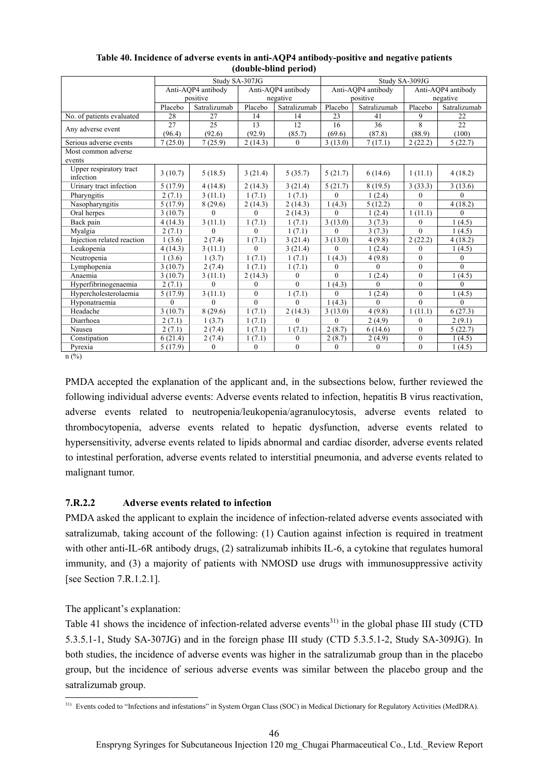|                                      | Study SA-307JG |                    |                  |                    | Study SA-309JG   |                    |                  |                    |  |
|--------------------------------------|----------------|--------------------|------------------|--------------------|------------------|--------------------|------------------|--------------------|--|
|                                      |                | Anti-AOP4 antibody |                  | Anti-AOP4 antibody |                  | Anti-AOP4 antibody |                  | Anti-AQP4 antibody |  |
|                                      |                | positive           |                  | negative           |                  | positive           |                  | negative           |  |
|                                      | Placebo        | Satralizumab       | Placebo          | Satralizumab       | Placebo          | Satralizumab       | Placebo          | Satralizumab       |  |
| No. of patients evaluated            | 28             | 27                 | 14               | 14                 | 23               | 41                 | 9                | 22                 |  |
| Any adverse event                    | 27             | 25                 | 13               | 12                 | 16               | 36                 | 8                | 22                 |  |
|                                      | (96.4)         | (92.6)             | (92.9)           | (85.7)             | (69.6)           | (87.8)             | (88.9)           | (100)              |  |
| Serious adverse events               | 7(25.0)        | 7(25.9)            | 2(14.3)          | $\mathbf{0}$       | 3(13.0)          | 7(17.1)            | 2(22.2)          | 5(22.7)            |  |
| Most common adverse                  |                |                    |                  |                    |                  |                    |                  |                    |  |
| events                               |                |                    |                  |                    |                  |                    |                  |                    |  |
| Upper respiratory tract<br>infection | 3(10.7)        | 5(18.5)            | 3(21.4)          | 5(35.7)            | 5(21.7)          | 6(14.6)            | 1(11.1)          | 4(18.2)            |  |
| Urinary tract infection              | 5(17.9)        | 4(14.8)            | 2(14.3)          | 3(21.4)            | 5(21.7)          | 8(19.5)            | 3(33.3)          | 3(13.6)            |  |
| Pharyngitis                          | 2(7.1)         | 3(11.1)            | 1(7.1)           | 1(7.1)             | $\theta$         | 1(2.4)             | $\boldsymbol{0}$ | $\Omega$           |  |
| Nasopharyngitis                      | 5(17.9)        | 8(29.6)            | 2(14.3)          | 2(14.3)            | 1(4.3)           | 5(12.2)            | $\theta$         | 4(18.2)            |  |
| Oral herpes                          | 3(10.7)        | $\Omega$           | $\Omega$         | 2(14.3)            | $\mathbf{0}$     | 1(2.4)             | 1(11.1)          | $\Omega$           |  |
| Back pain                            | 4(14.3)        | 3(11.1)            | 1(7.1)           | 1(7.1)             | 3(13.0)          | 3(7.3)             | $\boldsymbol{0}$ | 1(4.5)             |  |
| Myalgia                              | 2(7.1)         | $\Omega$           | $\theta$         | 1(7.1)             | $\mathbf{0}$     | 3(7.3)             | $\theta$         | 1(4.5)             |  |
| Injection related reaction           | 1(3.6)         | 2(7.4)             | 1(7.1)           | 3(21.4)            | 3(13.0)          | 4(9.8)             | 2(22.2)          | 4(18.2)            |  |
| Leukopenia                           | 4(14.3)        | 3(11.1)            | $\Omega$         | 3(21.4)            | $\theta$         | 1(2.4)             | $\overline{0}$   | 1(4.5)             |  |
| Neutropenia                          | 1(3.6)         | 1(3.7)             | 1(7.1)           | 1(7.1)             | 1(4.3)           | 4(9.8)             | $\theta$         | $\mathbf{0}$       |  |
| Lymphopenia                          | 3(10.7)        | 2(7.4)             | 1(7.1)           | 1(7.1)             | $\boldsymbol{0}$ | $\theta$           | $\theta$         | $\theta$           |  |
| Anaemia                              | 3(10.7)        | 3(11.1)            | 2(14.3)          | $\mathbf{0}$       | $\overline{0}$   | 1(2.4)             | $\overline{0}$   | 1(4.5)             |  |
| Hyperfibrinogenaemia                 | 2(7.1)         | $\theta$           | $\theta$         | $\theta$           | 1(4.3)           | $\Omega$           | $\theta$         | $\theta$           |  |
| Hypercholesterolaemia                | 5(17.9)        | 3(11.1)            | $\mathbf{0}$     | 1(7.1)             | $\boldsymbol{0}$ | 1(2.4)             | $\overline{0}$   | 1(4.5)             |  |
| Hyponatraemia                        | $\theta$       | $\Omega$           | $\Omega$         | $\theta$           | 1(4.3)           | $\Omega$           | $\theta$         | $\Omega$           |  |
| Headache                             | 3(10.7)        | 8(29.6)            | 1(7.1)           | 2(14.3)            | 3(13.0)          | 4(9.8)             | 1(11.1)          | 6(27.3)            |  |
| Diarrhoea                            | 2(7.1)         | 1(3.7)             | 1(7.1)           | $\theta$           | $\mathbf{0}$     | 2(4.9)             | $\boldsymbol{0}$ | 2(9.1)             |  |
| Nausea                               | 2(7.1)         | 2(7.4)             | 1(7.1)           | 1(7.1)             | 2(8.7)           | 6(14.6)            | $\boldsymbol{0}$ | 5(22.7)            |  |
| Constipation                         | 6(21.4)        | 2(7.4)             | 1(7.1)           | $\boldsymbol{0}$   | 2(8.7)           | 2(4.9)             | $\boldsymbol{0}$ | 1(4.5)             |  |
| Pyrexia                              | 5(17.9)        | $\overline{0}$     | $\boldsymbol{0}$ | $\mathbf{0}$       | $\boldsymbol{0}$ | $\mathbf{0}$       | $\overline{0}$   | 1(4.5)             |  |

| Table 40. Incidence of adverse events in anti-AQP4 antibody-positive and negative patients |
|--------------------------------------------------------------------------------------------|
| (double-blind period)                                                                      |

 $n$  (%)

PMDA accepted the explanation of the applicant and, in the subsections below, further reviewed the following individual adverse events: Adverse events related to infection, hepatitis B virus reactivation, adverse events related to neutropenia/leukopenia/agranulocytosis, adverse events related to thrombocytopenia, adverse events related to hepatic dysfunction, adverse events related to hypersensitivity, adverse events related to lipids abnormal and cardiac disorder, adverse events related to intestinal perforation, adverse events related to interstitial pneumonia, and adverse events related to malignant tumor.

# **7.R.2.2 Adverse events related to infection**

PMDA asked the applicant to explain the incidence of infection-related adverse events associated with satralizumab, taking account of the following: (1) Caution against infection is required in treatment with other anti-IL-6R antibody drugs, (2) satralizumab inhibits IL-6, a cytokine that regulates humoral immunity, and (3) a majority of patients with NMOSD use drugs with immunosuppressive activity [see Section 7.R.1.2.1].

The applicant's explanation:

Table 41 shows the incidence of infection-related adverse events<sup>31)</sup> in the global phase III study (CTD 5.3.5.1-1, Study SA-307JG) and in the foreign phase III study (CTD 5.3.5.1-2, Study SA-309JG). In both studies, the incidence of adverse events was higher in the satralizumab group than in the placebo group, but the incidence of serious adverse events was similar between the placebo group and the satralizumab group.

 $\overline{\phantom{a}}$ <sup>31)</sup> Events coded to "Infections and infestations" in System Organ Class (SOC) in Medical Dictionary for Regulatory Activities (MedDRA).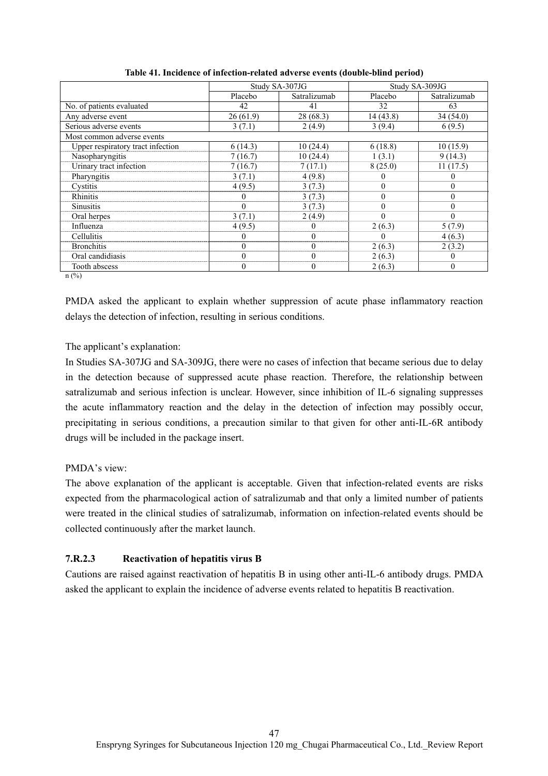|                                   |          | Study SA-307JG |          | Study SA-309JG |
|-----------------------------------|----------|----------------|----------|----------------|
|                                   | Placebo  | Satralizumab   | Placebo  | Satralizumab   |
| No. of patients evaluated         | 42       | 41             | 32       | 63             |
| Any adverse event                 | 26(61.9) | 28 (68.3)      | 14(43.8) | 34(54.0)       |
| Serious adverse events            | 3(7.1)   | 2(4.9)         | 3(9.4)   | 6(9.5)         |
| Most common adverse events        |          |                |          |                |
| Upper respiratory tract infection | 6(14.3)  | 10(24.4)       | 6(18.8)  | 10(15.9)       |
| Nasopharyngitis                   | 7(16.7)  | 10(24.4)       | 1(3.1)   | 9(14.3)        |
| Urinary tract infection           | 7(16.7)  | 7(17.1)        | 8(25.0)  | 11(17.5)       |
| Pharyngitis                       | 3(7.1)   | 4(9.8)         |          | $\theta$       |
| Cystitis                          | 4(9.5)   | 3(7.3)         | $\theta$ | $\theta$       |
| Rhinitis                          | 0        | 3(7.3)         | $\theta$ | $\theta$       |
| <b>Sinusitis</b>                  | 0        | 3(7.3)         | $\Omega$ | $\Omega$       |
| Oral herpes                       | 3(7.1)   | 2(4.9)         | $\Omega$ | $\theta$       |
| Influenza                         | 4 (9.5)  | $\theta$       | 2(6.3)   | 5(7.9)         |
| Cellulitis                        | 0        | $\theta$       | 0        | 4(6.3)         |
| <b>Bronchitis</b>                 | $\theta$ | $\theta$       | 2(6.3)   | 2(3.2)         |
| Oral candidiasis                  | $\theta$ | $\theta$       | 2(6.3)   | $\Omega$       |
| Tooth abscess                     | 0        | $\theta$       | 2(6.3)   | $\Omega$       |

**Table 41. Incidence of infection-related adverse events (double-blind period)** 

n (%)

PMDA asked the applicant to explain whether suppression of acute phase inflammatory reaction delays the detection of infection, resulting in serious conditions.

### The applicant's explanation:

In Studies SA-307JG and SA-309JG, there were no cases of infection that became serious due to delay in the detection because of suppressed acute phase reaction. Therefore, the relationship between satralizumab and serious infection is unclear. However, since inhibition of IL-6 signaling suppresses the acute inflammatory reaction and the delay in the detection of infection may possibly occur, precipitating in serious conditions, a precaution similar to that given for other anti-IL-6R antibody drugs will be included in the package insert.

## PMDA's view:

The above explanation of the applicant is acceptable. Given that infection-related events are risks expected from the pharmacological action of satralizumab and that only a limited number of patients were treated in the clinical studies of satralizumab, information on infection-related events should be collected continuously after the market launch.

## **7.R.2.3 Reactivation of hepatitis virus B**

Cautions are raised against reactivation of hepatitis B in using other anti-IL-6 antibody drugs. PMDA asked the applicant to explain the incidence of adverse events related to hepatitis B reactivation.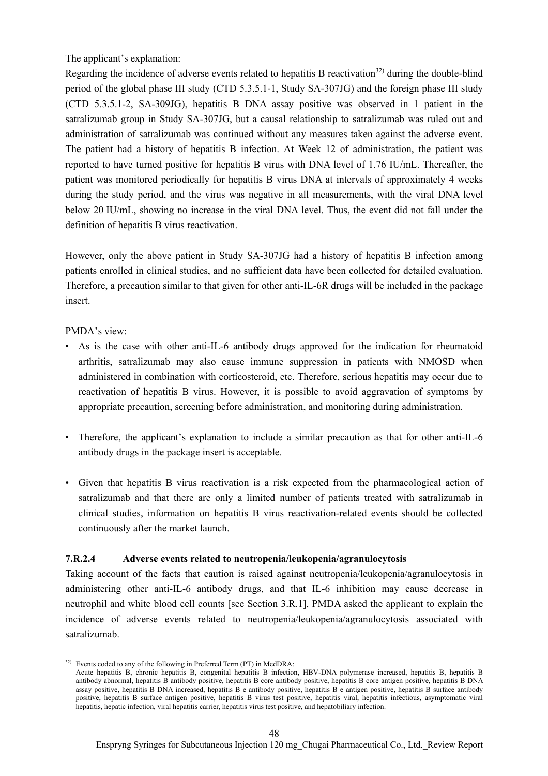### The applicant's explanation:

Regarding the incidence of adverse events related to hepatitis B reactivation<sup>32)</sup> during the double-blind period of the global phase III study (CTD 5.3.5.1-1, Study SA-307JG) and the foreign phase III study (CTD 5.3.5.1-2, SA-309JG), hepatitis B DNA assay positive was observed in 1 patient in the satralizumab group in Study SA-307JG, but a causal relationship to satralizumab was ruled out and administration of satralizumab was continued without any measures taken against the adverse event. The patient had a history of hepatitis B infection. At Week 12 of administration, the patient was reported to have turned positive for hepatitis B virus with DNA level of 1.76 IU/mL. Thereafter, the patient was monitored periodically for hepatitis B virus DNA at intervals of approximately 4 weeks during the study period, and the virus was negative in all measurements, with the viral DNA level below 20 IU/mL, showing no increase in the viral DNA level. Thus, the event did not fall under the definition of hepatitis B virus reactivation.

However, only the above patient in Study SA-307JG had a history of hepatitis B infection among patients enrolled in clinical studies, and no sufficient data have been collected for detailed evaluation. Therefore, a precaution similar to that given for other anti-IL-6R drugs will be included in the package insert.

### PMDA's view:

- As is the case with other anti-IL-6 antibody drugs approved for the indication for rheumatoid arthritis, satralizumab may also cause immune suppression in patients with NMOSD when administered in combination with corticosteroid, etc. Therefore, serious hepatitis may occur due to reactivation of hepatitis B virus. However, it is possible to avoid aggravation of symptoms by appropriate precaution, screening before administration, and monitoring during administration.
- Therefore, the applicant's explanation to include a similar precaution as that for other anti-IL-6 antibody drugs in the package insert is acceptable.
- Given that hepatitis B virus reactivation is a risk expected from the pharmacological action of satralizumab and that there are only a limited number of patients treated with satralizumab in clinical studies, information on hepatitis B virus reactivation-related events should be collected continuously after the market launch.

## **7.R.2.4 Adverse events related to neutropenia/leukopenia/agranulocytosis**

Taking account of the facts that caution is raised against neutropenia/leukopenia/agranulocytosis in administering other anti-IL-6 antibody drugs, and that IL-6 inhibition may cause decrease in neutrophil and white blood cell counts [see Section 3.R.1], PMDA asked the applicant to explain the incidence of adverse events related to neutropenia/leukopenia/agranulocytosis associated with satralizumab.

l  $32)$  Events coded to any of the following in Preferred Term (PT) in MedDRA:

Acute hepatitis B, chronic hepatitis B, congenital hepatitis B infection, HBV-DNA polymerase increased, hepatitis B, hepatitis B antibody abnormal, hepatitis B antibody positive, hepatitis B core antibody positive, hepatitis B core antigen positive, hepatitis B DNA assay positive, hepatitis B DNA increased, hepatitis B e antibody positive, hepatitis B e antigen positive, hepatitis B surface antibody positive, hepatitis B surface antigen positive, hepatitis B virus test positive, hepatitis viral, hepatitis infectious, asymptomatic viral hepatitis, hepatic infection, viral hepatitis carrier, hepatitis virus test positive, and hepatobiliary infection.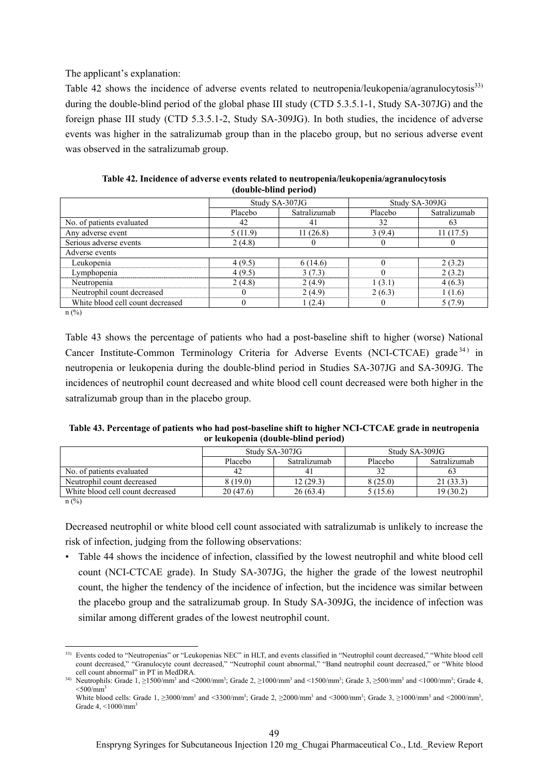The applicant's explanation:

Table 42 shows the incidence of adverse events related to neutropenia/leukopenia/agranulocytosis<sup>33</sup> during the double-blind period of the global phase III study (CTD 5.3.5.1-1, Study SA-307JG) and the foreign phase III study (CTD 5.3.5.1-2, Study SA-309JG). In both studies, the incidence of adverse events was higher in the satralizumab group than in the placebo group, but no serious adverse event was observed in the satralizumab group.

|                                  |          | Study SA-307JG | Study SA-309JG |              |
|----------------------------------|----------|----------------|----------------|--------------|
|                                  | Placebo  | Satralizumab   | Placebo        | Satralizumab |
| No. of patients evaluated        | 42       | 41             | 32             | 63           |
| Any adverse event                | 5(11.9)  | 11(26.8)       | 3(9.4)         | 11(17.5)     |
| Serious adverse events           | 2(4.8)   | O              |                |              |
| Adverse events                   |          |                |                |              |
| Leukopenia                       | 4(9.5)   | 6(14.6)        | $\Omega$       | 2(3.2)       |
| Lymphopenia                      | 4(9.5)   | 3(7.3)         | $\theta$       | 2(3.2)       |
| Neutropenia                      | 2(4.8)   | 2(4.9)         | 1(3.1)         | 4(6.3)       |
| Neutrophil count decreased       | 0        | 2(4.9)         | 2(6.3)         | 1(1.6)       |
| White blood cell count decreased | $\theta$ | 1(2.4)         |                | 5(7.9)       |
| (0,1)                            |          |                |                |              |

**Table 42. Incidence of adverse events related to neutropenia/leukopenia/agranulocytosis (double-blind period)** 

n (%)

Table 43 shows the percentage of patients who had a post-baseline shift to higher (worse) National Cancer Institute-Common Terminology Criteria for Adverse Events (NCI-CTCAE) grade<sup>34)</sup> in neutropenia or leukopenia during the double-blind period in Studies SA-307JG and SA-309JG. The incidences of neutrophil count decreased and white blood cell count decreased were both higher in the satralizumab group than in the placebo group.

**Table 43. Percentage of patients who had post-baseline shift to higher NCI-CTCAE grade in neutropenia or leukopenia (double-blind period)** 

|                                  |          | Study SA-307JG | Study SA-309JG |              |  |
|----------------------------------|----------|----------------|----------------|--------------|--|
|                                  | Placebo  | Satralizumab   | Placebo        | Satralizumab |  |
| No. of patients evaluated        | 42       |                |                | 0.           |  |
| Neutrophil count decreased       | 8(19.0)  | 12 (29.3)      | 8(25.0)        | 21(33.3)     |  |
| White blood cell count decreased | 20(47.6) | 26(63.4)       | 5 (15.6)       | 19 (30.2)    |  |

n (%)

Decreased neutrophil or white blood cell count associated with satralizumab is unlikely to increase the risk of infection, judging from the following observations:

• Table 44 shows the incidence of infection, classified by the lowest neutrophil and white blood cell count (NCI-CTCAE grade). In Study SA-307JG, the higher the grade of the lowest neutrophil count, the higher the tendency of the incidence of infection, but the incidence was similar between the placebo group and the satralizumab group. In Study SA-309JG, the incidence of infection was similar among different grades of the lowest neutrophil count.

 $\overline{\phantom{a}}$ 33) Events coded to "Neutropenias" or "Leukopenias NEC" in HLT, and events classified in "Neutrophil count decreased," "White blood cell count decreased," "Granulocyte count decreased," "Neutrophil count abnormal," "Band neutrophil count decreased," or "White blood cell count abnormal" in PT in MedDRA.

<sup>&</sup>lt;sup>34)</sup> Neutrophils: Grade 1, ≥1500/mm<sup>3</sup> and <2000/mm<sup>3</sup>; Grade 2, ≥1000/mm<sup>3</sup> and <1500/mm<sup>3</sup>; Grade 3, ≥500/mm<sup>3</sup> and <1000/mm<sup>3</sup>; Grade 4,  $< 500/mm<sup>3</sup>$ 

White blood cells: Grade  $1, \geq 3000/\text{mm}^3$  and  $\lt 3300/\text{mm}^3$ ; Grade  $2, \geq 2000/\text{mm}^3$  and  $\lt 3000/\text{mm}^3$ ; Grade  $3, \geq 1000/\text{mm}^3$  and  $\lt 2000/\text{mm}^3$ , Grade 4, <1000/mm<sup>3</sup>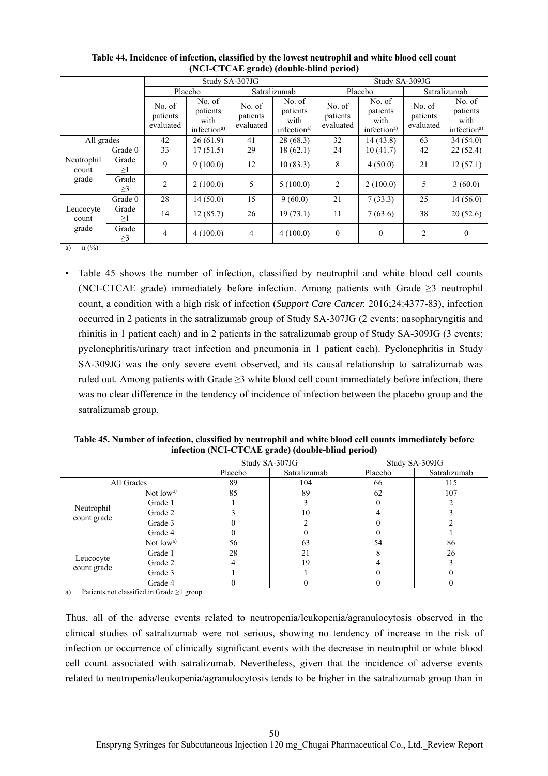|                       |                   |                                 |                                                       | Study SA-307JG                  |                                                       | Study SA-309JG                  |                                                       |                                 |                                                       |  |
|-----------------------|-------------------|---------------------------------|-------------------------------------------------------|---------------------------------|-------------------------------------------------------|---------------------------------|-------------------------------------------------------|---------------------------------|-------------------------------------------------------|--|
|                       |                   |                                 | Placebo                                               | Satralizumab                    |                                                       | Placebo                         |                                                       | Satralizumab                    |                                                       |  |
|                       |                   | No. of<br>patients<br>evaluated | No. of<br>patients<br>with<br>infection <sup>a)</sup> | No. of<br>patients<br>evaluated | No. of<br>patients<br>with<br>infection <sup>a)</sup> | No. of<br>patients<br>evaluated | No. of<br>patients<br>with<br>infection <sup>a)</sup> | No. of<br>patients<br>evaluated | No. of<br>patients<br>with<br>infection <sup>a)</sup> |  |
| All grades            |                   | 42                              | 26(61.9)                                              | 41                              | 28(68.3)                                              | 32                              | 14(43.8)                                              | 63                              | 34(54.0)                                              |  |
|                       | Grade 0           | 33                              | 17(51.5)                                              | 29                              | 18 (62.1)                                             | 24                              | 10(41.7)                                              | 42                              | 22(52.4)                                              |  |
| Neutrophil<br>count   | Grade<br>$\geq$ 1 | 9                               | 9(100.0)                                              | 12                              | 10(83.3)                                              | 8                               | 4(50.0)                                               | 21                              | 12(57.1)                                              |  |
| grade                 | Grade<br>$\geq$ 3 | $\overline{c}$                  | 2(100.0)                                              | 5                               | 5(100.0)                                              | 2                               | 2(100.0)                                              | 5                               | 3(60.0)                                               |  |
|                       | Grade 0           | 28                              | 14(50.0)                                              | 15                              | 9(60.0)                                               | 21                              | 7(33.3)                                               | 25                              | 14(56.0)                                              |  |
| Leucocyte<br>count    | Grade<br>$\geq$ 1 | 14                              | 12(85.7)                                              | 26                              | 19(73.1)                                              | 11                              | 7(63.6)                                               | 38                              | 20(52.6)                                              |  |
| grade<br><b>CALLS</b> | Grade<br>$\geq$ 3 | 4                               | 4(100.0)                                              | $\overline{4}$                  | 4(100.0)                                              | $\theta$                        | $\mathbf{0}$                                          | $\overline{c}$                  | $\theta$                                              |  |

**Table 44. Incidence of infection, classified by the lowest neutrophil and white blood cell count (NCI-CTCAE grade) (double-blind period)** 

a)  $n$  (%)

• Table 45 shows the number of infection, classified by neutrophil and white blood cell counts (NCI-CTCAE grade) immediately before infection. Among patients with Grade ≥3 neutrophil count, a condition with a high risk of infection (*Support Care Cancer.* 2016;24:4377-83), infection occurred in 2 patients in the satralizumab group of Study SA-307JG (2 events; nasopharyngitis and rhinitis in 1 patient each) and in 2 patients in the satralizumab group of Study SA-309JG (3 events; pyelonephritis/urinary tract infection and pneumonia in 1 patient each). Pyelonephritis in Study SA-309JG was the only severe event observed, and its causal relationship to satralizumab was ruled out. Among patients with Grade ≥3 white blood cell count immediately before infection, there was no clear difference in the tendency of incidence of infection between the placebo group and the satralizumab group.

**Table 45. Number of infection, classified by neutrophil and white blood cell counts immediately before infection (NCI-CTCAE grade) (double-blind period)** 

|                           |            | Study SA-307JG |              |         | Study SA-309JG |
|---------------------------|------------|----------------|--------------|---------|----------------|
|                           |            | Placebo        | Satralizumab | Placebo | Satralizumab   |
| All Grades                |            | 89             | 104          | 66      | 115            |
|                           | Not $lowa$ | 85             | 89           | 62      | 107            |
|                           | Grade 1    |                |              |         |                |
| Neutrophil<br>count grade | Grade 2    |                | 10           | 4       |                |
|                           | Grade 3    | 0              |              |         |                |
|                           | Grade 4    |                |              |         |                |
|                           | Not $lowa$ | 56             | 63           | 54      | 86             |
|                           | Grade 1    | 28             | 21           |         | 26             |
| Leucocyte<br>count grade  | Grade 2    | 4              | 19           |         |                |
|                           | Grade 3    |                |              |         |                |
|                           | Grade 4    |                |              |         |                |

a) Patients not classified in Grade  $\geq 1$  group

Thus, all of the adverse events related to neutropenia/leukopenia/agranulocytosis observed in the clinical studies of satralizumab were not serious, showing no tendency of increase in the risk of infection or occurrence of clinically significant events with the decrease in neutrophil or white blood cell count associated with satralizumab. Nevertheless, given that the incidence of adverse events related to neutropenia/leukopenia/agranulocytosis tends to be higher in the satralizumab group than in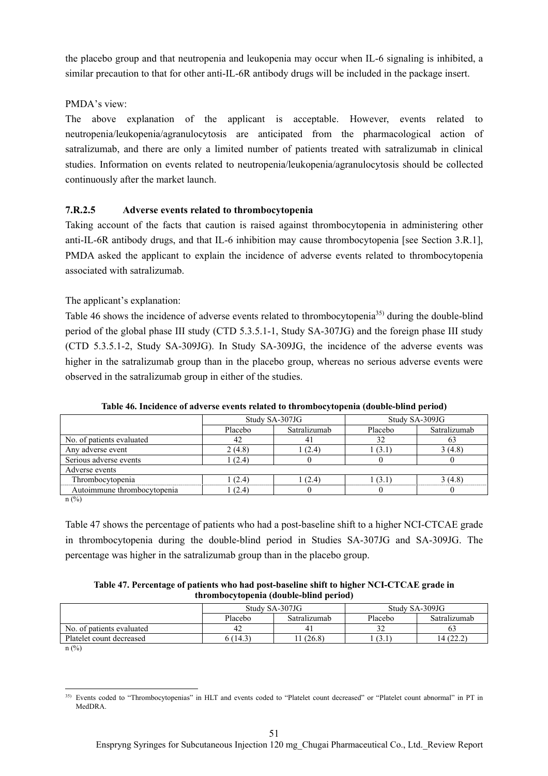the placebo group and that neutropenia and leukopenia may occur when IL-6 signaling is inhibited, a similar precaution to that for other anti-IL-6R antibody drugs will be included in the package insert.

### PMDA's view:

The above explanation of the applicant is acceptable. However, events related to neutropenia/leukopenia/agranulocytosis are anticipated from the pharmacological action of satralizumab, and there are only a limited number of patients treated with satralizumab in clinical studies. Information on events related to neutropenia/leukopenia/agranulocytosis should be collected continuously after the market launch.

## **7.R.2.5 Adverse events related to thrombocytopenia**

Taking account of the facts that caution is raised against thrombocytopenia in administering other anti-IL-6R antibody drugs, and that IL-6 inhibition may cause thrombocytopenia [see Section 3.R.1], PMDA asked the applicant to explain the incidence of adverse events related to thrombocytopenia associated with satralizumab.

## The applicant's explanation:

Table 46 shows the incidence of adverse events related to thrombocytopenia<sup>35)</sup> during the double-blind period of the global phase III study (CTD 5.3.5.1-1, Study SA-307JG) and the foreign phase III study (CTD 5.3.5.1-2, Study SA-309JG). In Study SA-309JG, the incidence of the adverse events was higher in the satralizumab group than in the placebo group, whereas no serious adverse events were observed in the satralizumab group in either of the studies.

|                             |         | Study SA-307JG | Study SA-309JG |              |
|-----------------------------|---------|----------------|----------------|--------------|
|                             | Placebo | Satralizumab   | Placebo        | Satralizumab |
| No. of patients evaluated   | 42      |                | 32             | 03           |
| Any adverse event           | 2(4.8)  | (2.4)          | (3.1)          | 3(4.8)       |
| Serious adverse events      | (2.4)   |                |                |              |
| Adverse events              |         |                |                |              |
| Thrombocytopenia            | (2.4)   | (2.4)          | (3.1)          | 3(4.8)       |
| Autoimmune thrombocytopenia | (2.4)   |                |                |              |
| $\therefore$ (0/)           |         |                |                |              |

**Table 46. Incidence of adverse events related to thrombocytopenia (double-blind period)** 

 $n$  (%)

Table 47 shows the percentage of patients who had a post-baseline shift to a higher NCI-CTCAE grade in thrombocytopenia during the double-blind period in Studies SA-307JG and SA-309JG. The percentage was higher in the satralizumab group than in the placebo group.

**Table 47. Percentage of patients who had post-baseline shift to higher NCI-CTCAE grade in thrombocytopenia (double-blind period)** 

|                           |         | Study SA-307JG | Study SA-309JG |              |  |
|---------------------------|---------|----------------|----------------|--------------|--|
|                           | Placebo | Satralizumab   | Placebo        | Satralizumab |  |
| No. of patients evaluated | 42      |                |                | 0:           |  |
| Platelet count decreased  | (14.3)  | (26.8)         | (3.1)          |              |  |

n (%)

l 35) Events coded to "Thrombocytopenias" in HLT and events coded to "Platelet count decreased" or "Platelet count abnormal" in PT in MedDRA.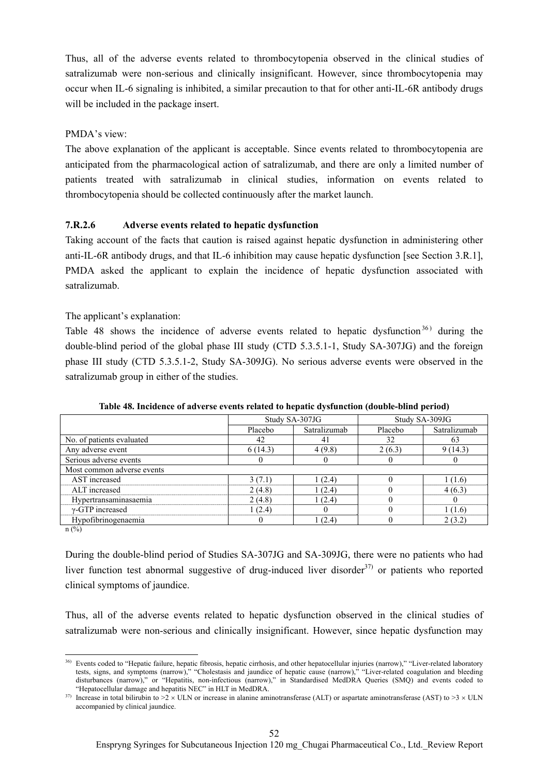Thus, all of the adverse events related to thrombocytopenia observed in the clinical studies of satralizumab were non-serious and clinically insignificant. However, since thrombocytopenia may occur when IL-6 signaling is inhibited, a similar precaution to that for other anti-IL-6R antibody drugs will be included in the package insert.

### PMDA's view:

The above explanation of the applicant is acceptable. Since events related to thrombocytopenia are anticipated from the pharmacological action of satralizumab, and there are only a limited number of patients treated with satralizumab in clinical studies, information on events related to thrombocytopenia should be collected continuously after the market launch.

## **7.R.2.6 Adverse events related to hepatic dysfunction**

Taking account of the facts that caution is raised against hepatic dysfunction in administering other anti-IL-6R antibody drugs, and that IL-6 inhibition may cause hepatic dysfunction [see Section 3.R.1], PMDA asked the applicant to explain the incidence of hepatic dysfunction associated with satralizumab.

### The applicant's explanation:

Table 48 shows the incidence of adverse events related to hepatic dysfunction<sup>36)</sup> during the double-blind period of the global phase III study (CTD 5.3.5.1-1, Study SA-307JG) and the foreign phase III study (CTD 5.3.5.1-2, Study SA-309JG). No serious adverse events were observed in the satralizumab group in either of the studies.

|                            |         | Study SA-307JG | Study SA-309JG |              |
|----------------------------|---------|----------------|----------------|--------------|
|                            | Placebo | Satralizumab   | Placebo        | Satralizumab |
| No. of patients evaluated  | 42      | 41             | 32             | 63           |
| Any adverse event          | 6(14.3) | 4(9.8)         | 2(6.3)         | 9(14.3)      |
| Serious adverse events     |         |                |                |              |
| Most common adverse events |         |                |                |              |
| AST increased              | 3(7.1)  | 1(2.4)         |                | 1 (1.6)      |
| ALT increased              | 2(4.8)  | 1(2.4)         |                | 4(6.3)       |
| Hypertransaminasaemia      | 2(4.8)  | 1(2.4)         |                |              |
| $\gamma$ -GTP increased    | 1(2.4)  | $\theta$       |                | 1(1.6)       |
| Hypofibrinogenaemia        |         | 1(2.4)         |                | 2(3.2)       |
| $\sim$ $\sim$              |         |                |                |              |

**Table 48. Incidence of adverse events related to hepatic dysfunction (double-blind period)** 

n (%)

During the double-blind period of Studies SA-307JG and SA-309JG, there were no patients who had liver function test abnormal suggestive of drug-induced liver disorder<sup>37)</sup> or patients who reported clinical symptoms of jaundice.

Thus, all of the adverse events related to hepatic dysfunction observed in the clinical studies of satralizumab were non-serious and clinically insignificant. However, since hepatic dysfunction may

l 36) Events coded to "Hepatic failure, hepatic fibrosis, hepatic cirrhosis, and other hepatocellular injuries (narrow)," "Liver-related laboratory tests, signs, and symptoms (narrow)," "Cholestasis and jaundice of hepatic cause (narrow)," "Liver-related coagulation and bleeding disturbances (narrow)," or "Hepatitis, non-infectious (narrow)," in Standardised MedDRA Queries (SMQ) and events coded to "Hepatocellular damage and hepatitis NEC" in HLT in MedDRA.

<sup>&</sup>lt;sup>37)</sup> Increase in total bilirubin to  $>2 \times$  ULN or increase in alanine aminotransferase (ALT) or aspartate aminotransferase (AST) to  $>3 \times$  ULN accompanied by clinical jaundice.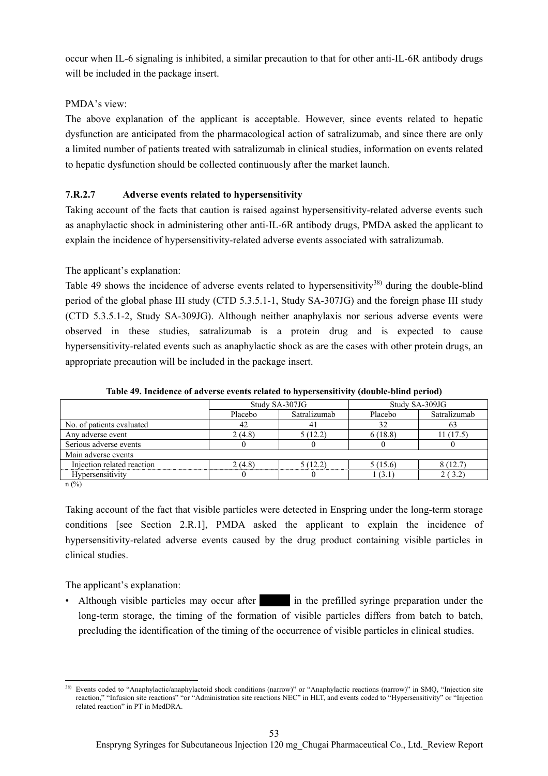occur when IL-6 signaling is inhibited, a similar precaution to that for other anti-IL-6R antibody drugs will be included in the package insert.

## PMDA's view:

The above explanation of the applicant is acceptable. However, since events related to hepatic dysfunction are anticipated from the pharmacological action of satralizumab, and since there are only a limited number of patients treated with satralizumab in clinical studies, information on events related to hepatic dysfunction should be collected continuously after the market launch.

## **7.R.2.7 Adverse events related to hypersensitivity**

Taking account of the facts that caution is raised against hypersensitivity-related adverse events such as anaphylactic shock in administering other anti-IL-6R antibody drugs, PMDA asked the applicant to explain the incidence of hypersensitivity-related adverse events associated with satralizumab.

## The applicant's explanation:

Table 49 shows the incidence of adverse events related to hypersensitivity<sup>38)</sup> during the double-blind period of the global phase III study (CTD 5.3.5.1-1, Study SA-307JG) and the foreign phase III study (CTD 5.3.5.1-2, Study SA-309JG). Although neither anaphylaxis nor serious adverse events were observed in these studies, satralizumab is a protein drug and is expected to cause hypersensitivity-related events such as anaphylactic shock as are the cases with other protein drugs, an appropriate precaution will be included in the package insert.

|                            | Study SA-307JG |              | Study SA-309JG |              |  |
|----------------------------|----------------|--------------|----------------|--------------|--|
|                            | Placebo        | Satralizumab | Placebo        | Satralizumab |  |
| No. of patients evaluated  | 42             | 41           | 32             | 63           |  |
| Any adverse event          | 2(4.8)         | 5(12.2)      | 6(18.8)        | 11 (17.5)    |  |
| Serious adverse events     |                |              |                |              |  |
| Main adverse events        |                |              |                |              |  |
| Injection related reaction | 2(4.8)         | 5(12.2)      | 5(15.6)        | 8(12.7)      |  |
| Hypersensitivity           |                |              | 1 (3.1)        | 2(3.2)       |  |

**Table 49. Incidence of adverse events related to hypersensitivity (double-blind period)** 

 $n$  (%)

Taking account of the fact that visible particles were detected in Enspring under the long-term storage conditions [see Section 2.R.1], PMDA asked the applicant to explain the incidence of hypersensitivity-related adverse events caused by the drug product containing visible particles in clinical studies.

The applicant's explanation:

• Although visible particles may occur after  $\frac{1}{\sqrt{1-\frac{1}{\sqrt{1-\frac{1}{\sqrt{1-\frac{1}{\sqrt{1-\frac{1}{\sqrt{1-\frac{1}{\sqrt{1-\frac{1}{\sqrt{1-\frac{1}{\sqrt{1-\frac{1}{\sqrt{1-\frac{1}{\sqrt{1-\frac{1}{\sqrt{1-\frac{1}{\sqrt{1-\frac{1}{\sqrt{1-\frac{1}{\sqrt{1-\frac{1}{\sqrt{1-\frac{1}{\sqrt{1-\frac{1}{\sqrt{1-\frac{1}{\sqrt{1-\frac{1}{\sqrt{1-\frac{1}{$ long-term storage, the timing of the formation of visible particles differs from batch to batch, precluding the identification of the timing of the occurrence of visible particles in clinical studies.

 $\overline{\phantom{a}}$ <sup>38)</sup> Events coded to "Anaphylactic/anaphylactoid shock conditions (narrow)" or "Anaphylactic reactions (narrow)" in SMQ, "Injection site reaction," "Infusion site reactions" "or "Administration site reactions NEC" in HLT, and events coded to "Hypersensitivity" or "Injection related reaction" in PT in MedDRA.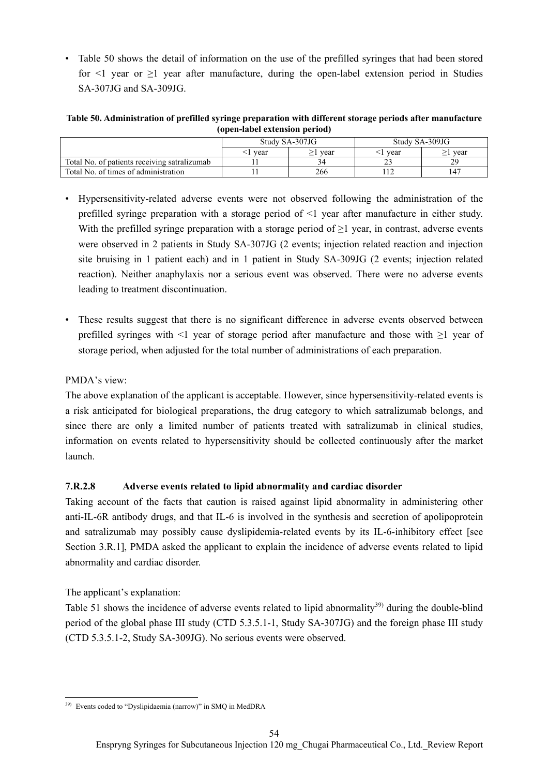• Table 50 shows the detail of information on the use of the prefilled syringes that had been stored for  $\leq 1$  year or  $\geq 1$  year after manufacture, during the open-label extension period in Studies SA-307JG and SA-309JG.

**Table 50. Administration of prefilled syringe preparation with different storage periods after manufacture (open-label extension period)** 

|                                              |      | Study SA-307JG | Study SA-309JG |                 |  |
|----------------------------------------------|------|----------------|----------------|-----------------|--|
|                                              | vear | vear           | vear           | vear            |  |
| Total No. of patients receiving satralizumab |      |                |                | $20^{\circ}$    |  |
| Total No. of times of administration         |      | 266            |                | 14 <sup>7</sup> |  |

- Hypersensitivity-related adverse events were not observed following the administration of the prefilled syringe preparation with a storage period of <1 year after manufacture in either study. With the prefilled syringe preparation with a storage period of  $\geq 1$  year, in contrast, adverse events were observed in 2 patients in Study SA-307JG (2 events; injection related reaction and injection site bruising in 1 patient each) and in 1 patient in Study SA-309JG (2 events; injection related reaction). Neither anaphylaxis nor a serious event was observed. There were no adverse events leading to treatment discontinuation.
- These results suggest that there is no significant difference in adverse events observed between prefilled syringes with <1 year of storage period after manufacture and those with ≥1 year of storage period, when adjusted for the total number of administrations of each preparation.

## PMDA's view:

The above explanation of the applicant is acceptable. However, since hypersensitivity-related events is a risk anticipated for biological preparations, the drug category to which satralizumab belongs, and since there are only a limited number of patients treated with satralizumab in clinical studies, information on events related to hypersensitivity should be collected continuously after the market launch.

## **7.R.2.8 Adverse events related to lipid abnormality and cardiac disorder**

Taking account of the facts that caution is raised against lipid abnormality in administering other anti-IL-6R antibody drugs, and that IL-6 is involved in the synthesis and secretion of apolipoprotein and satralizumab may possibly cause dyslipidemia-related events by its IL-6-inhibitory effect [see Section 3.R.1], PMDA asked the applicant to explain the incidence of adverse events related to lipid abnormality and cardiac disorder.

The applicant's explanation:

Table 51 shows the incidence of adverse events related to lipid abnormality<sup>39)</sup> during the double-blind period of the global phase III study (CTD 5.3.5.1-1, Study SA-307JG) and the foreign phase III study (CTD 5.3.5.1-2, Study SA-309JG). No serious events were observed.

 $\overline{\phantom{a}}$ 39) Events coded to "Dyslipidaemia (narrow)" in SMQ in MedDRA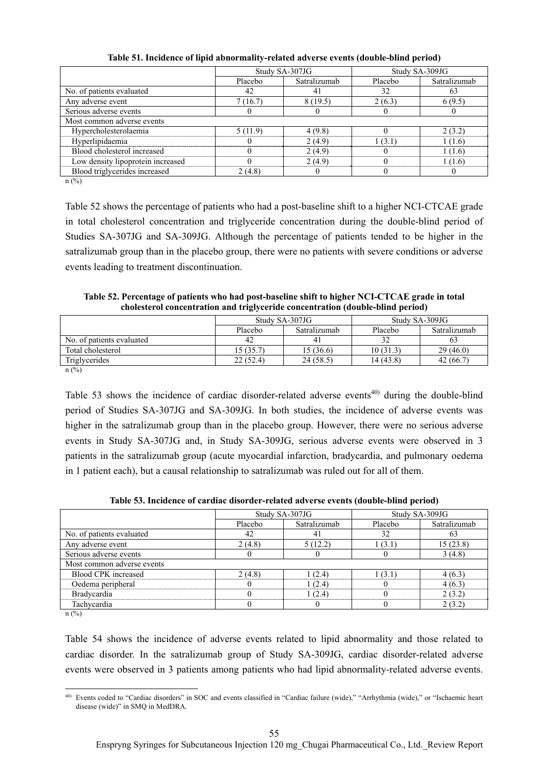|                                   |         | Study SA-307JG |         | Study SA-309JG |  |
|-----------------------------------|---------|----------------|---------|----------------|--|
|                                   | Placebo | Satralizumab   | Placebo | Satralizumab   |  |
| No. of patients evaluated         | 42      | 41             | 32      | 63             |  |
| Any adverse event                 | 7(16.7) | 8(19.5)        | 2(6.3)  | 6(9.5)         |  |
| Serious adverse events            |         |                |         |                |  |
| Most common adverse events        |         |                |         |                |  |
| Hypercholesterolaemia             | 5(11.9) | 4(9.8)         |         | 2(3.2)         |  |
| Hyperlipidaemia                   |         | 2(4.9)         | 1(3.1)  | 1(1.6)         |  |
| Blood cholesterol increased       |         | 2(4.9)         |         | 1(1.6)         |  |
| Low density lipoprotein increased |         | 2(4.9)         |         | 1(1.6)         |  |
| Blood triglycerides increased     | 2(4.8)  |                |         |                |  |
| (0/3)                             |         |                |         |                |  |

**Table 51. Incidence of lipid abnormality-related adverse events (double-blind period)** 

 $n$  (%)

Table 52 shows the percentage of patients who had a post-baseline shift to a higher NCI-CTCAE grade in total cholesterol concentration and triglyceride concentration during the double-blind period of Studies SA-307JG and SA-309JG. Although the percentage of patients tended to be higher in the satralizumab group than in the placebo group, there were no patients with severe conditions or adverse events leading to treatment discontinuation.

**Table 52. Percentage of patients who had post-baseline shift to higher NCI-CTCAE grade in total cholesterol concentration and triglyceride concentration (double-blind period)** 

|                           |           | Study SA-307JG | Study SA-309JG |              |  |
|---------------------------|-----------|----------------|----------------|--------------|--|
|                           | Placebo   | Satralizumab   | Placebo        | Satralizumab |  |
| No. of patients evaluated | 42        | -4.            |                |              |  |
| Total cholesterol         | 15 (35.7) | 15 (36.6)      | 10(31.3)       | 29(46.0)     |  |
| Triglycerides             | 22(52.4)  | 24(58.5)       | 14 (43.8)      | 42 (66.7)    |  |
| (0, 1)                    |           |                |                |              |  |

 $n$  (%)

Table 53 shows the incidence of cardiac disorder-related adverse events<sup>40)</sup> during the double-blind period of Studies SA-307JG and SA-309JG. In both studies, the incidence of adverse events was higher in the satralizumab group than in the placebo group. However, there were no serious adverse events in Study SA-307JG and, in Study SA-309JG, serious adverse events were observed in 3 patients in the satralizumab group (acute myocardial infarction, bradycardia, and pulmonary oedema in 1 patient each), but a causal relationship to satralizumab was ruled out for all of them.

**Table 53. Incidence of cardiac disorder-related adverse events (double-blind period)** 

|                            |                         | Study SA-307JG |         | Study SA-309JG |
|----------------------------|-------------------------|----------------|---------|----------------|
|                            | Satralizumab<br>Placebo |                | Placebo | Satralizumab   |
| No. of patients evaluated  | 42                      | 4 I            | 32      | 0.1            |
| Any adverse event          | 2(4.8)                  | 5(12.2)        | 1(3.1)  | 15(23.8)       |
| Serious adverse events     |                         |                |         | 3(4.8)         |
| Most common adverse events |                         |                |         |                |
| Blood CPK increased        | 2(4.8)                  | (2.4)          | 1(3.1)  | 4(6.3)         |
| Oedema peripheral          |                         | 1(2.4)         |         | 4(6.3)         |
| Bradycardia                |                         | 1(2.4)         |         | 2(3.2)         |
| Tachycardia                |                         |                |         | 2(3.2)         |

 $n$  (%)

Table 54 shows the incidence of adverse events related to lipid abnormality and those related to cardiac disorder. In the satralizumab group of Study SA-309JG, cardiac disorder-related adverse events were observed in 3 patients among patients who had lipid abnormality-related adverse events.

l 40) Events coded to "Cardiac disorders" in SOC and events classified in "Cardiac failure (wide)," "Arrhythmia (wide)," or "Ischaemic heart disease (wide)" in SMQ in MedDRA.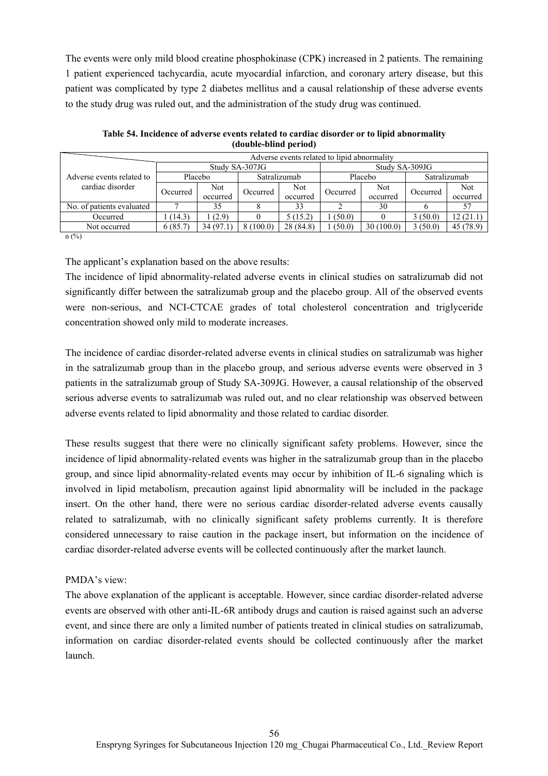The events were only mild blood creatine phosphokinase (CPK) increased in 2 patients. The remaining 1 patient experienced tachycardia, acute myocardial infarction, and coronary artery disease, but this patient was complicated by type 2 diabetes mellitus and a causal relationship of these adverse events to the study drug was ruled out, and the administration of the study drug was continued.

| Adverse events related to lipid abnormality   |          |                 |              |                        |                |                 |              |                        |  |
|-----------------------------------------------|----------|-----------------|--------------|------------------------|----------------|-----------------|--------------|------------------------|--|
| Adverse events related to<br>cardiac disorder |          | Study SA-307JG  |              |                        | Study SA-309JG |                 |              |                        |  |
|                                               | Placebo  |                 | Satralizumab |                        |                | Placebo         | Satralizumab |                        |  |
|                                               | Occurred | Not<br>occurred | Occurred     | <b>Not</b><br>occurred | Occurred       | Not<br>occurred | Occurred     | <b>Not</b><br>occurred |  |
| No. of patients evaluated                     |          | 35              |              | 33                     |                | 30              |              |                        |  |
| Occurred                                      | (14.3)   | (2.9)           |              | 5(15.2)                | (50.0)         |                 | 3(50.0)      | 12(21.1)               |  |
| Not occurred                                  | 6(85.7)  | 34 (97.1)       | 8(100.0)     | 28 (84.8)              | (50.0)         | 30(100.0)       | 3(50.0)      | 45 (78.9)              |  |

**Table 54. Incidence of adverse events related to cardiac disorder or to lipid abnormality (double-blind period)** 

 $n(^{0}_{0})$ 

The applicant's explanation based on the above results:

The incidence of lipid abnormality-related adverse events in clinical studies on satralizumab did not significantly differ between the satralizumab group and the placebo group. All of the observed events were non-serious, and NCI-CTCAE grades of total cholesterol concentration and triglyceride concentration showed only mild to moderate increases.

The incidence of cardiac disorder-related adverse events in clinical studies on satralizumab was higher in the satralizumab group than in the placebo group, and serious adverse events were observed in 3 patients in the satralizumab group of Study SA-309JG. However, a causal relationship of the observed serious adverse events to satralizumab was ruled out, and no clear relationship was observed between adverse events related to lipid abnormality and those related to cardiac disorder.

These results suggest that there were no clinically significant safety problems. However, since the incidence of lipid abnormality-related events was higher in the satralizumab group than in the placebo group, and since lipid abnormality-related events may occur by inhibition of IL-6 signaling which is involved in lipid metabolism, precaution against lipid abnormality will be included in the package insert. On the other hand, there were no serious cardiac disorder-related adverse events causally related to satralizumab, with no clinically significant safety problems currently. It is therefore considered unnecessary to raise caution in the package insert, but information on the incidence of cardiac disorder-related adverse events will be collected continuously after the market launch.

## PMDA's view:

The above explanation of the applicant is acceptable. However, since cardiac disorder-related adverse events are observed with other anti-IL-6R antibody drugs and caution is raised against such an adverse event, and since there are only a limited number of patients treated in clinical studies on satralizumab, information on cardiac disorder-related events should be collected continuously after the market launch.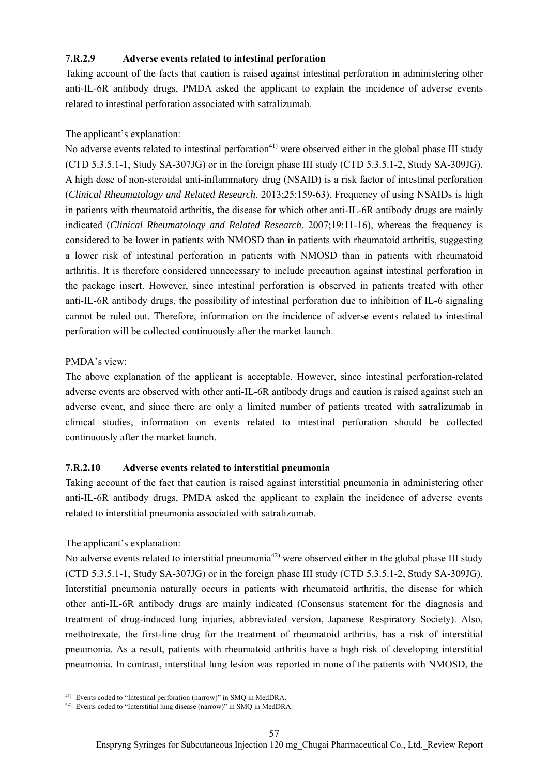### **7.R.2.9 Adverse events related to intestinal perforation**

Taking account of the facts that caution is raised against intestinal perforation in administering other anti-IL-6R antibody drugs, PMDA asked the applicant to explain the incidence of adverse events related to intestinal perforation associated with satralizumab.

### The applicant's explanation:

No adverse events related to intestinal perforation<sup>41)</sup> were observed either in the global phase III study (CTD 5.3.5.1-1, Study SA-307JG) or in the foreign phase III study (CTD 5.3.5.1-2, Study SA-309JG). A high dose of non-steroidal anti-inflammatory drug (NSAID) is a risk factor of intestinal perforation (*Clinical Rheumatology and Related Research*. 2013;25:159-63). Frequency of using NSAIDs is high in patients with rheumatoid arthritis, the disease for which other anti-IL-6R antibody drugs are mainly indicated (*Clinical Rheumatology and Related Research*. 2007;19:11-16), whereas the frequency is considered to be lower in patients with NMOSD than in patients with rheumatoid arthritis, suggesting a lower risk of intestinal perforation in patients with NMOSD than in patients with rheumatoid arthritis. It is therefore considered unnecessary to include precaution against intestinal perforation in the package insert. However, since intestinal perforation is observed in patients treated with other anti-IL-6R antibody drugs, the possibility of intestinal perforation due to inhibition of IL-6 signaling cannot be ruled out. Therefore, information on the incidence of adverse events related to intestinal perforation will be collected continuously after the market launch.

#### PMDA's view:

The above explanation of the applicant is acceptable. However, since intestinal perforation-related adverse events are observed with other anti-IL-6R antibody drugs and caution is raised against such an adverse event, and since there are only a limited number of patients treated with satralizumab in clinical studies, information on events related to intestinal perforation should be collected continuously after the market launch.

## **7.R.2.10 Adverse events related to interstitial pneumonia**

Taking account of the fact that caution is raised against interstitial pneumonia in administering other anti-IL-6R antibody drugs, PMDA asked the applicant to explain the incidence of adverse events related to interstitial pneumonia associated with satralizumab.

#### The applicant's explanation:

No adverse events related to interstitial pneumonia<sup>42)</sup> were observed either in the global phase III study (CTD 5.3.5.1-1, Study SA-307JG) or in the foreign phase III study (CTD 5.3.5.1-2, Study SA-309JG). Interstitial pneumonia naturally occurs in patients with rheumatoid arthritis, the disease for which other anti-IL-6R antibody drugs are mainly indicated (Consensus statement for the diagnosis and treatment of drug-induced lung injuries, abbreviated version, Japanese Respiratory Society). Also, methotrexate, the first-line drug for the treatment of rheumatoid arthritis, has a risk of interstitial pneumonia. As a result, patients with rheumatoid arthritis have a high risk of developing interstitial pneumonia. In contrast, interstitial lung lesion was reported in none of the patients with NMOSD, the

l 41) Events coded to "Intestinal perforation (narrow)" in SMQ in MedDRA.

<sup>42)</sup> Events coded to "Interstitial lung disease (narrow)" in SMQ in MedDRA.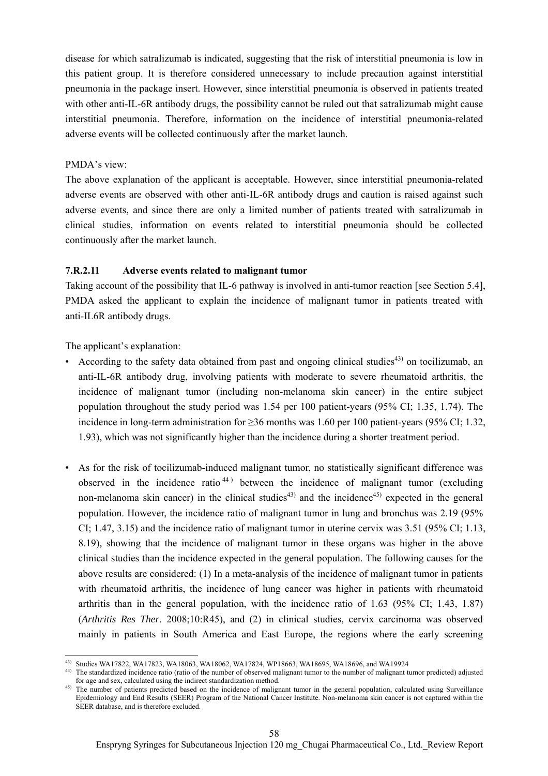disease for which satralizumab is indicated, suggesting that the risk of interstitial pneumonia is low in this patient group. It is therefore considered unnecessary to include precaution against interstitial pneumonia in the package insert. However, since interstitial pneumonia is observed in patients treated with other anti-IL-6R antibody drugs, the possibility cannot be ruled out that satralizumab might cause interstitial pneumonia. Therefore, information on the incidence of interstitial pneumonia-related adverse events will be collected continuously after the market launch.

#### PMDA's view:

The above explanation of the applicant is acceptable. However, since interstitial pneumonia-related adverse events are observed with other anti-IL-6R antibody drugs and caution is raised against such adverse events, and since there are only a limited number of patients treated with satralizumab in clinical studies, information on events related to interstitial pneumonia should be collected continuously after the market launch.

## **7.R.2.11 Adverse events related to malignant tumor**

Taking account of the possibility that IL-6 pathway is involved in anti-tumor reaction [see Section 5.4], PMDA asked the applicant to explain the incidence of malignant tumor in patients treated with anti-IL6R antibody drugs.

The applicant's explanation:

- According to the safety data obtained from past and ongoing clinical studies<sup>43)</sup> on tocilizumab, an anti-IL-6R antibody drug, involving patients with moderate to severe rheumatoid arthritis, the incidence of malignant tumor (including non-melanoma skin cancer) in the entire subject population throughout the study period was 1.54 per 100 patient-years (95% CI; 1.35, 1.74). The incidence in long-term administration for ≥36 months was 1.60 per 100 patient-years (95% CI; 1.32, 1.93), which was not significantly higher than the incidence during a shorter treatment period.
- As for the risk of tocilizumab-induced malignant tumor, no statistically significant difference was observed in the incidence ratio<sup>44)</sup> between the incidence of malignant tumor (excluding non-melanoma skin cancer) in the clinical studies<sup>43)</sup> and the incidence<sup>45)</sup> expected in the general population. However, the incidence ratio of malignant tumor in lung and bronchus was 2.19 (95% CI; 1.47, 3.15) and the incidence ratio of malignant tumor in uterine cervix was 3.51 (95% CI; 1.13, 8.19), showing that the incidence of malignant tumor in these organs was higher in the above clinical studies than the incidence expected in the general population. The following causes for the above results are considered: (1) In a meta-analysis of the incidence of malignant tumor in patients with rheumatoid arthritis, the incidence of lung cancer was higher in patients with rheumatoid arthritis than in the general population, with the incidence ratio of 1.63 (95% CI; 1.43, 1.87) (*Arthritis Res Ther*. 2008;10:R45), and (2) in clinical studies, cervix carcinoma was observed mainly in patients in South America and East Europe, the regions where the early screening

l 43) Studies WA17822, WA17823, WA18063, WA18062, WA17824, WP18663, WA18695, WA18696, and WA19924

<sup>44)</sup> The standardized incidence ratio (ratio of the number of observed malignant tumor to the number of malignant tumor predicted) adjusted for age and sex, calculated using the indirect standardization method.

<sup>&</sup>lt;sup>45)</sup> The number of patients predicted based on the incidence of malignant tumor in the general population, calculated using Surveillance Epidemiology and End Results (SEER) Program of the National Cancer Institute. Non-melanoma skin cancer is not captured within the SEER database, and is therefore excluded.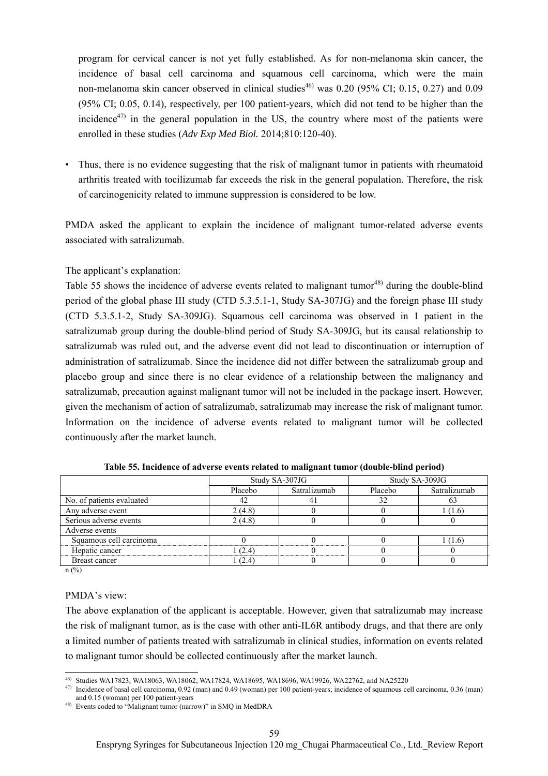program for cervical cancer is not yet fully established. As for non-melanoma skin cancer, the incidence of basal cell carcinoma and squamous cell carcinoma, which were the main non-melanoma skin cancer observed in clinical studies<sup>46)</sup> was 0.20 (95% CI; 0.15, 0.27) and 0.09 (95% CI; 0.05, 0.14), respectively, per 100 patient-years, which did not tend to be higher than the incidence<sup> $47)$ </sup> in the general population in the US, the country where most of the patients were enrolled in these studies (*Adv Exp Med Biol.* 2014;810:120-40).

Thus, there is no evidence suggesting that the risk of malignant tumor in patients with rheumatoid arthritis treated with tocilizumab far exceeds the risk in the general population. Therefore, the risk of carcinogenicity related to immune suppression is considered to be low.

PMDA asked the applicant to explain the incidence of malignant tumor-related adverse events associated with satralizumab.

### The applicant's explanation:

Table 55 shows the incidence of adverse events related to malignant tumor<sup>48)</sup> during the double-blind period of the global phase III study (CTD 5.3.5.1-1, Study SA-307JG) and the foreign phase III study (CTD 5.3.5.1-2, Study SA-309JG). Squamous cell carcinoma was observed in 1 patient in the satralizumab group during the double-blind period of Study SA-309JG, but its causal relationship to satralizumab was ruled out, and the adverse event did not lead to discontinuation or interruption of administration of satralizumab. Since the incidence did not differ between the satralizumab group and placebo group and since there is no clear evidence of a relationship between the malignancy and satralizumab, precaution against malignant tumor will not be included in the package insert. However, given the mechanism of action of satralizumab, satralizumab may increase the risk of malignant tumor. Information on the incidence of adverse events related to malignant tumor will be collected continuously after the market launch.

|                           |         | Study SA-307JG |         | Study SA-309JG |
|---------------------------|---------|----------------|---------|----------------|
|                           | Placebo | Satralizumab   | Placebo | Satralizumab   |
| No. of patients evaluated | 42      | 41             | 32      | 0.2            |
| Any adverse event         | 2(4.8)  |                |         | 1(1.6)         |
| Serious adverse events    | 2(4.8)  |                |         |                |
| Adverse events            |         |                |         |                |
| Squamous cell carcinoma   |         |                |         | 1 (1.6)        |
| Hepatic cancer            | 1 (2.4) |                |         |                |
| Breast cancer             | 1 (2.4) |                |         |                |
|                           |         |                |         |                |

**Table 55. Incidence of adverse events related to malignant tumor (double-blind period)** 

n (%)

#### PMDA's view:

The above explanation of the applicant is acceptable. However, given that satralizumab may increase the risk of malignant tumor, as is the case with other anti-IL6R antibody drugs, and that there are only a limited number of patients treated with satralizumab in clinical studies, information on events related to malignant tumor should be collected continuously after the market launch.

l 46) Studies WA17823, WA18063, WA18062, WA17824, WA18695, WA18696, WA19926, WA22762, and NA25220

<sup>47)</sup> Incidence of basal cell carcinoma, 0.92 (man) and 0.49 (woman) per 100 patient-years; incidence of squamous cell carcinoma, 0.36 (man) and 0.15 (woman) per 100 patient-years

<sup>48)</sup> Events coded to "Malignant tumor (narrow)" in SMQ in MedDRA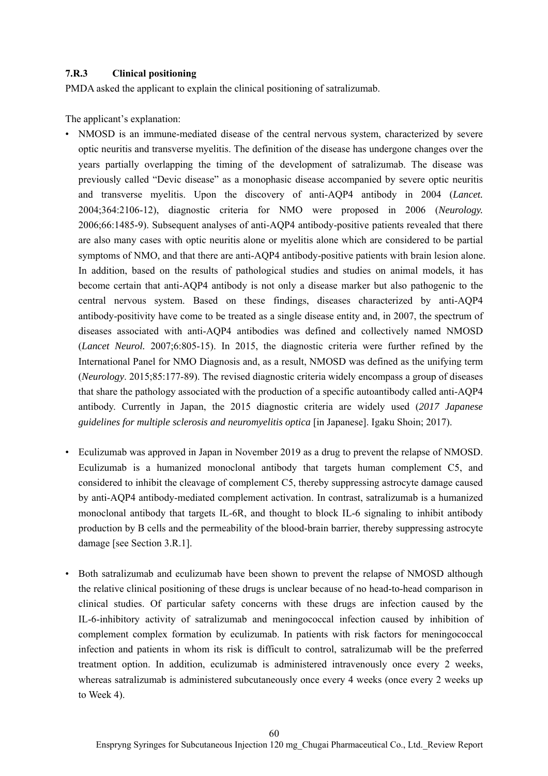### **7.R.3 Clinical positioning**

PMDA asked the applicant to explain the clinical positioning of satralizumab.

The applicant's explanation:

- NMOSD is an immune-mediated disease of the central nervous system, characterized by severe optic neuritis and transverse myelitis. The definition of the disease has undergone changes over the years partially overlapping the timing of the development of satralizumab. The disease was previously called "Devic disease" as a monophasic disease accompanied by severe optic neuritis and transverse myelitis. Upon the discovery of anti-AQP4 antibody in 2004 (*Lancet.* 2004;364:2106-12), diagnostic criteria for NMO were proposed in 2006 (*Neurology.* 2006;66:1485-9). Subsequent analyses of anti-AQP4 antibody-positive patients revealed that there are also many cases with optic neuritis alone or myelitis alone which are considered to be partial symptoms of NMO, and that there are anti-AQP4 antibody-positive patients with brain lesion alone. In addition, based on the results of pathological studies and studies on animal models, it has become certain that anti-AQP4 antibody is not only a disease marker but also pathogenic to the central nervous system. Based on these findings, diseases characterized by anti-AQP4 antibody-positivity have come to be treated as a single disease entity and, in 2007, the spectrum of diseases associated with anti-AQP4 antibodies was defined and collectively named NMOSD (*Lancet Neurol.* 2007;6:805-15). In 2015, the diagnostic criteria were further refined by the International Panel for NMO Diagnosis and, as a result, NMOSD was defined as the unifying term (*Neurology*. 2015;85:177-89). The revised diagnostic criteria widely encompass a group of diseases that share the pathology associated with the production of a specific autoantibody called anti-AQP4 antibody. Currently in Japan, the 2015 diagnostic criteria are widely used (*2017 Japanese guidelines for multiple sclerosis and neuromyelitis optica* [in Japanese]. Igaku Shoin; 2017).
- Eculizumab was approved in Japan in November 2019 as a drug to prevent the relapse of NMOSD. Eculizumab is a humanized monoclonal antibody that targets human complement C5, and considered to inhibit the cleavage of complement C5, thereby suppressing astrocyte damage caused by anti-AQP4 antibody-mediated complement activation. In contrast, satralizumab is a humanized monoclonal antibody that targets IL-6R, and thought to block IL-6 signaling to inhibit antibody production by B cells and the permeability of the blood-brain barrier, thereby suppressing astrocyte damage [see Section 3.R.1].
- Both satralizumab and eculizumab have been shown to prevent the relapse of NMOSD although the relative clinical positioning of these drugs is unclear because of no head-to-head comparison in clinical studies. Of particular safety concerns with these drugs are infection caused by the IL-6-inhibitory activity of satralizumab and meningococcal infection caused by inhibition of complement complex formation by eculizumab. In patients with risk factors for meningococcal infection and patients in whom its risk is difficult to control, satralizumab will be the preferred treatment option. In addition, eculizumab is administered intravenously once every 2 weeks, whereas satralizumab is administered subcutaneously once every 4 weeks (once every 2 weeks up to Week 4).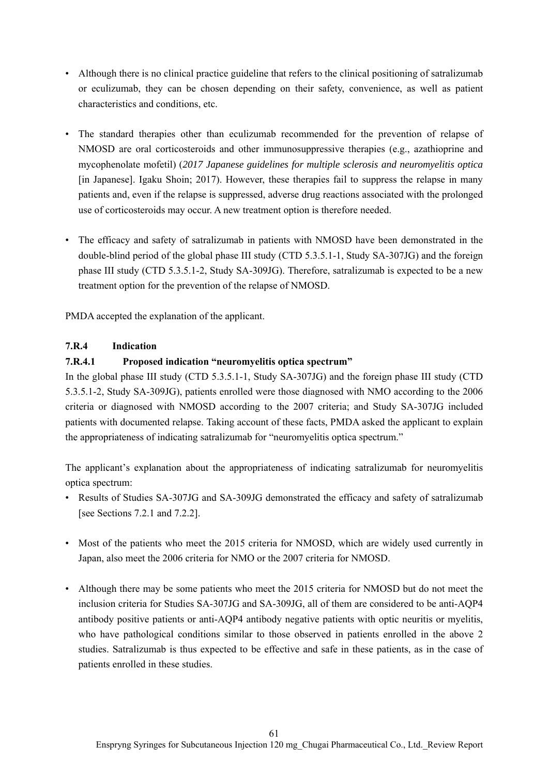- Although there is no clinical practice guideline that refers to the clinical positioning of satralizumab or eculizumab, they can be chosen depending on their safety, convenience, as well as patient characteristics and conditions, etc.
- The standard therapies other than eculizumab recommended for the prevention of relapse of NMOSD are oral corticosteroids and other immunosuppressive therapies (e.g., azathioprine and mycophenolate mofetil) (*2017 Japanese guidelines for multiple sclerosis and neuromyelitis optica*  [in Japanese]. Igaku Shoin; 2017). However, these therapies fail to suppress the relapse in many patients and, even if the relapse is suppressed, adverse drug reactions associated with the prolonged use of corticosteroids may occur. A new treatment option is therefore needed.
- The efficacy and safety of satralizumab in patients with NMOSD have been demonstrated in the double-blind period of the global phase III study (CTD 5.3.5.1-1, Study SA-307JG) and the foreign phase III study (CTD 5.3.5.1-2, Study SA-309JG). Therefore, satralizumab is expected to be a new treatment option for the prevention of the relapse of NMOSD.

PMDA accepted the explanation of the applicant.

## **7.R.4 Indication**

## **7.R.4.1 Proposed indication "neuromyelitis optica spectrum"**

In the global phase III study (CTD 5.3.5.1-1, Study SA-307JG) and the foreign phase III study (CTD 5.3.5.1-2, Study SA-309JG), patients enrolled were those diagnosed with NMO according to the 2006 criteria or diagnosed with NMOSD according to the 2007 criteria; and Study SA-307JG included patients with documented relapse. Taking account of these facts, PMDA asked the applicant to explain the appropriateness of indicating satralizumab for "neuromyelitis optica spectrum."

The applicant's explanation about the appropriateness of indicating satralizumab for neuromyelitis optica spectrum:

- Results of Studies SA-307JG and SA-309JG demonstrated the efficacy and safety of satralizumab [see Sections 7.2.1 and 7.2.2].
- Most of the patients who meet the 2015 criteria for NMOSD, which are widely used currently in Japan, also meet the 2006 criteria for NMO or the 2007 criteria for NMOSD.
- Although there may be some patients who meet the 2015 criteria for NMOSD but do not meet the inclusion criteria for Studies SA-307JG and SA-309JG, all of them are considered to be anti-AQP4 antibody positive patients or anti-AQP4 antibody negative patients with optic neuritis or myelitis, who have pathological conditions similar to those observed in patients enrolled in the above 2 studies. Satralizumab is thus expected to be effective and safe in these patients, as in the case of patients enrolled in these studies.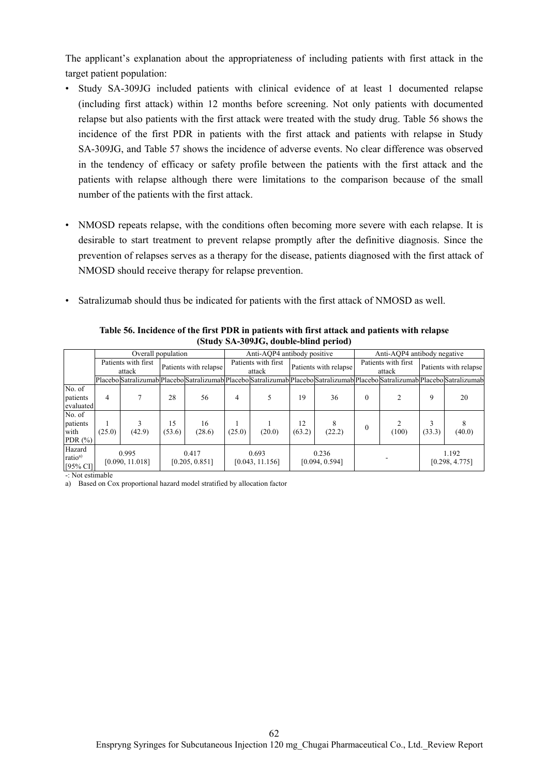The applicant's explanation about the appropriateness of including patients with first attack in the target patient population:

- Study SA-309JG included patients with clinical evidence of at least 1 documented relapse (including first attack) within 12 months before screening. Not only patients with documented relapse but also patients with the first attack were treated with the study drug. Table 56 shows the incidence of the first PDR in patients with the first attack and patients with relapse in Study SA-309JG, and Table 57 shows the incidence of adverse events. No clear difference was observed in the tendency of efficacy or safety profile between the patients with the first attack and the patients with relapse although there were limitations to the comparison because of the small number of the patients with the first attack.
- NMOSD repeats relapse, with the conditions often becoming more severe with each relapse. It is desirable to start treatment to prevent relapse promptly after the definitive diagnosis. Since the prevention of relapses serves as a therapy for the disease, patients diagnosed with the first attack of NMOSD should receive therapy for relapse prevention.
- Satralizumab should thus be indicated for patients with the first attack of NMOSD as well.

|                                              |                               | Overall population                                                                                                            |                         |              |                               | Anti-AQP4 antibody positive |                         |             |                               | Anti-AOP4 antibody negative |                       |                         |  |
|----------------------------------------------|-------------------------------|-------------------------------------------------------------------------------------------------------------------------------|-------------------------|--------------|-------------------------------|-----------------------------|-------------------------|-------------|-------------------------------|-----------------------------|-----------------------|-------------------------|--|
|                                              | Patients with first<br>attack |                                                                                                                               | Patients with relapse   |              | Patients with first<br>attack |                             | Patients with relapse   |             | Patients with first<br>attack |                             | Patients with relapse |                         |  |
|                                              |                               | Placebo Satralizumab Placebo Satralizumab Placebo Satralizumab Placebo Satralizumab Placebo Satralizumab Placebo Satralizumab |                         |              |                               |                             |                         |             |                               |                             |                       |                         |  |
| No. of<br>patients<br>evaluated              | 4                             |                                                                                                                               | 28                      | 56           | 4                             |                             | 19                      | 36          | 0                             |                             | 9                     | 20                      |  |
| No. of<br>patients<br>with<br>PDR $(\%)$     | (25.0)                        | (42.9)                                                                                                                        | 15<br>(53.6)            | 16<br>(28.6) | (25.0)                        | (20.0)                      | 12<br>(63.2)            | 8<br>(22.2) | 0                             | (100)                       | 3<br>(33.3)           | 8<br>(40.0)             |  |
| Hazard<br>ratio <sup>a)</sup><br>$[95\%$ CI] | 0.995<br>[0.090, 11.018]      |                                                                                                                               | 0.417<br>[0.205, 0.851] |              | 0.693<br>[0.043, 11.156]      |                             | 0.236<br>[0.094, 0.594] |             |                               |                             |                       | 1.192<br>[0.298, 4.775] |  |

**Table 56. Incidence of the first PDR in patients with first attack and patients with relapse (Study SA-309JG, double-blind period)** 

-: Not estimable

a) Based on Cox proportional hazard model stratified by allocation factor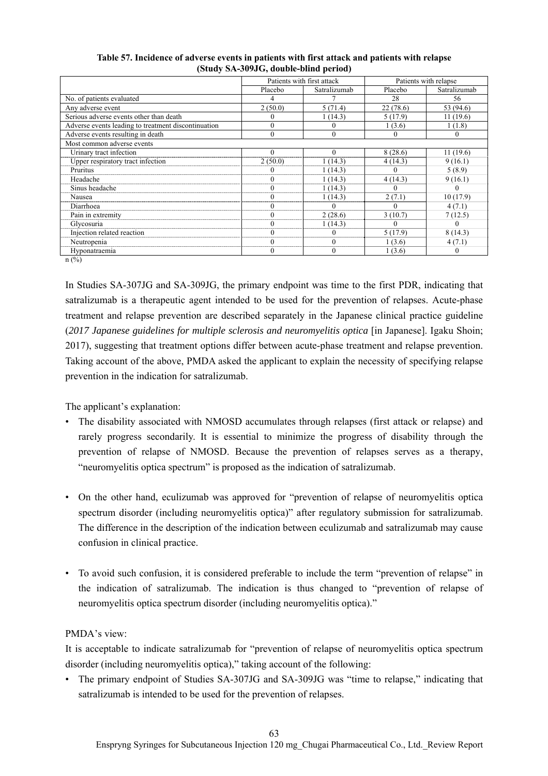|                                                     |          | Patients with first attack |           | Patients with relapse |  |
|-----------------------------------------------------|----------|----------------------------|-----------|-----------------------|--|
|                                                     | Placebo  | Satralizumab               | Placebo   | Satralizumab          |  |
| No. of patients evaluated                           |          |                            | 28        | 56                    |  |
| Any adverse event                                   | 2(50.0)  | 5(71.4)                    | 22 (78.6) | 53 (94.6)             |  |
| Serious adverse events other than death             | $_{0}$   | 1(14.3)                    | 5(17.9)   | 11(19.6)              |  |
| Adverse events leading to treatment discontinuation |          |                            | 1(3.6)    | 1(1.8)                |  |
| Adverse events resulting in death                   | $\theta$ | $\theta$                   | 0         | 0                     |  |
| Most common adverse events                          |          |                            |           |                       |  |
| Urinary tract infection                             | $\Omega$ | $\Omega$                   | 8(28.6)   | 11(19.6)              |  |
| Upper respiratory tract infection                   | 2(50.0)  | 1(14.3)                    | 4(14.3)   | 9(16.1)               |  |
| Pruritus                                            |          | 1(14.3)                    | $\Omega$  | 5(8.9)                |  |
| Headache                                            | 0        | 1(14.3)                    | 4(14.3)   | 9(16.1)               |  |
| Sinus headache                                      | 0        | 1(14.3)                    |           |                       |  |
| Nausea                                              | 0        | 1(14.3)                    | 2(7.1)    | 10(17.9)              |  |
| Diarrhoea                                           |          |                            | 0         | 4(7.1)                |  |
| Pain in extremity                                   | $\theta$ | 2(28.6)                    | 3(10.7)   | 7(12.5)               |  |
| Glycosuria                                          | 0        | 1(14.3)                    | $\theta$  |                       |  |
| Injection related reaction                          | $\theta$ | $^{(1)}$                   | 5(17.9)   | 8(14.3)               |  |
| Neutropenia                                         | 0        | $\theta$                   | 1(3.6)    | 4(7.1)                |  |
| Hyponatraemia                                       | 0        | $\theta$                   | 1(3.6)    |                       |  |
| $n$ (%)                                             |          |                            |           |                       |  |

#### **Table 57. Incidence of adverse events in patients with first attack and patients with relapse (Study SA-309JG, double-blind period)**

In Studies SA-307JG and SA-309JG, the primary endpoint was time to the first PDR, indicating that satralizumab is a therapeutic agent intended to be used for the prevention of relapses. Acute-phase treatment and relapse prevention are described separately in the Japanese clinical practice guideline (*2017 Japanese guidelines for multiple sclerosis and neuromyelitis optica* [in Japanese]. Igaku Shoin; 2017), suggesting that treatment options differ between acute-phase treatment and relapse prevention. Taking account of the above, PMDA asked the applicant to explain the necessity of specifying relapse prevention in the indication for satralizumab.

The applicant's explanation:

- The disability associated with NMOSD accumulates through relapses (first attack or relapse) and rarely progress secondarily. It is essential to minimize the progress of disability through the prevention of relapse of NMOSD. Because the prevention of relapses serves as a therapy, "neuromyelitis optica spectrum" is proposed as the indication of satralizumab.
- On the other hand, eculizumab was approved for "prevention of relapse of neuromyelitis optica spectrum disorder (including neuromyelitis optica)" after regulatory submission for satralizumab. The difference in the description of the indication between eculizumab and satralizumab may cause confusion in clinical practice.
- To avoid such confusion, it is considered preferable to include the term "prevention of relapse" in the indication of satralizumab. The indication is thus changed to "prevention of relapse of neuromyelitis optica spectrum disorder (including neuromyelitis optica)."

## PMDA's view:

It is acceptable to indicate satralizumab for "prevention of relapse of neuromyelitis optica spectrum disorder (including neuromyelitis optica)," taking account of the following:

• The primary endpoint of Studies SA-307JG and SA-309JG was "time to relapse," indicating that satralizumab is intended to be used for the prevention of relapses.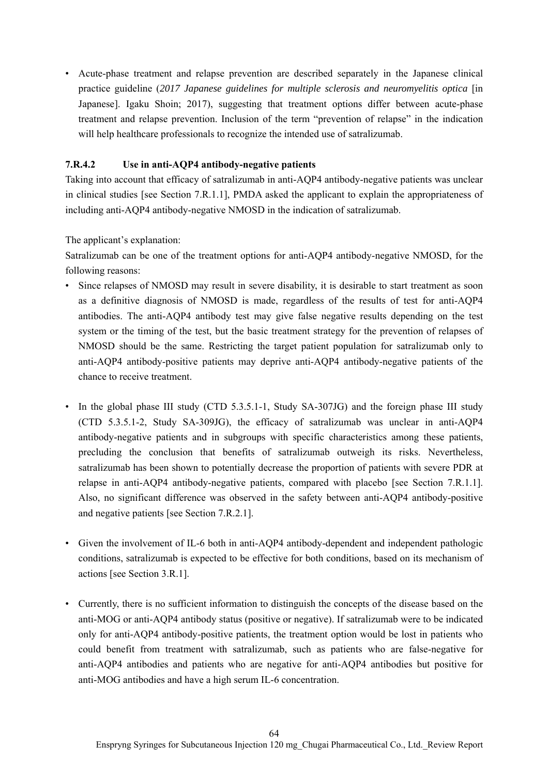• Acute-phase treatment and relapse prevention are described separately in the Japanese clinical practice guideline (2017 Japanese guidelines for multiple sclerosis and neuromyelitis optica [in Japanese]. Igaku Shoin; 2017), suggesting that treatment options differ between acute-phase treatment and relapse prevention. Inclusion of the term "prevention of relapse" in the indication will help healthcare professionals to recognize the intended use of satralizumab.

## **7.R.4.2 Use in anti-AQP4 antibody-negative patients**

Taking into account that efficacy of satralizumab in anti-AQP4 antibody-negative patients was unclear in clinical studies [see Section 7.R.1.1], PMDA asked the applicant to explain the appropriateness of including anti-AQP4 antibody-negative NMOSD in the indication of satralizumab.

The applicant's explanation:

Satralizumab can be one of the treatment options for anti-AQP4 antibody-negative NMOSD, for the following reasons:

- Since relapses of NMOSD may result in severe disability, it is desirable to start treatment as soon as a definitive diagnosis of NMOSD is made, regardless of the results of test for anti-AQP4 antibodies. The anti-AQP4 antibody test may give false negative results depending on the test system or the timing of the test, but the basic treatment strategy for the prevention of relapses of NMOSD should be the same. Restricting the target patient population for satralizumab only to anti-AQP4 antibody-positive patients may deprive anti-AQP4 antibody-negative patients of the chance to receive treatment.
- In the global phase III study (CTD 5.3.5.1-1, Study SA-307JG) and the foreign phase III study (CTD 5.3.5.1-2, Study SA-309JG), the efficacy of satralizumab was unclear in anti-AQP4 antibody-negative patients and in subgroups with specific characteristics among these patients, precluding the conclusion that benefits of satralizumab outweigh its risks. Nevertheless, satralizumab has been shown to potentially decrease the proportion of patients with severe PDR at relapse in anti-AQP4 antibody-negative patients, compared with placebo [see Section 7.R.1.1]. Also, no significant difference was observed in the safety between anti-AQP4 antibody-positive and negative patients [see Section 7.R.2.1].
- Given the involvement of IL-6 both in anti-AQP4 antibody-dependent and independent pathologic conditions, satralizumab is expected to be effective for both conditions, based on its mechanism of actions [see Section 3.R.1].
- Currently, there is no sufficient information to distinguish the concepts of the disease based on the anti-MOG or anti-AQP4 antibody status (positive or negative). If satralizumab were to be indicated only for anti-AQP4 antibody-positive patients, the treatment option would be lost in patients who could benefit from treatment with satralizumab, such as patients who are false-negative for anti-AQP4 antibodies and patients who are negative for anti-AQP4 antibodies but positive for anti-MOG antibodies and have a high serum IL-6 concentration.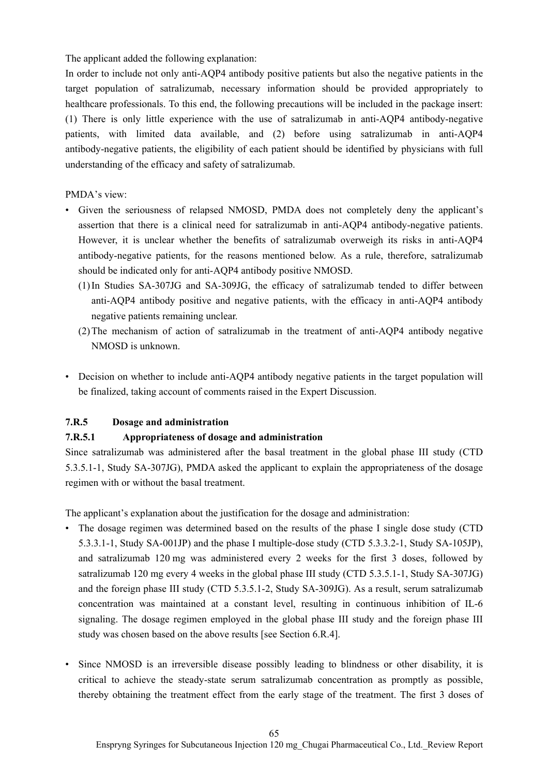The applicant added the following explanation:

In order to include not only anti-AQP4 antibody positive patients but also the negative patients in the target population of satralizumab, necessary information should be provided appropriately to healthcare professionals. To this end, the following precautions will be included in the package insert: (1) There is only little experience with the use of satralizumab in anti-AQP4 antibody-negative patients, with limited data available, and (2) before using satralizumab in anti-AQP4 antibody-negative patients, the eligibility of each patient should be identified by physicians with full understanding of the efficacy and safety of satralizumab.

### PMDA's view:

- Given the seriousness of relapsed NMOSD, PMDA does not completely deny the applicant's assertion that there is a clinical need for satralizumab in anti-AQP4 antibody-negative patients. However, it is unclear whether the benefits of satralizumab overweigh its risks in anti-AQP4 antibody-negative patients, for the reasons mentioned below. As a rule, therefore, satralizumab should be indicated only for anti-AQP4 antibody positive NMOSD.
	- (1) In Studies SA-307JG and SA-309JG, the efficacy of satralizumab tended to differ between anti-AQP4 antibody positive and negative patients, with the efficacy in anti-AQP4 antibody negative patients remaining unclear.
	- (2) The mechanism of action of satralizumab in the treatment of anti-AQP4 antibody negative NMOSD is unknown.
- Decision on whether to include anti-AQP4 antibody negative patients in the target population will be finalized, taking account of comments raised in the Expert Discussion.

## **7.R.5 Dosage and administration**

## **7.R.5.1 Appropriateness of dosage and administration**

Since satralizumab was administered after the basal treatment in the global phase III study (CTD 5.3.5.1-1, Study SA-307JG), PMDA asked the applicant to explain the appropriateness of the dosage regimen with or without the basal treatment.

The applicant's explanation about the justification for the dosage and administration:

- The dosage regimen was determined based on the results of the phase I single dose study (CTD 5.3.3.1-1, Study SA-001JP) and the phase I multiple-dose study (CTD 5.3.3.2-1, Study SA-105JP), and satralizumab 120 mg was administered every 2 weeks for the first 3 doses, followed by satralizumab 120 mg every 4 weeks in the global phase III study (CTD 5.3.5.1-1, Study SA-307JG) and the foreign phase III study (CTD 5.3.5.1-2, Study SA-309JG). As a result, serum satralizumab concentration was maintained at a constant level, resulting in continuous inhibition of IL-6 signaling. The dosage regimen employed in the global phase III study and the foreign phase III study was chosen based on the above results [see Section 6.R.4].
- Since NMOSD is an irreversible disease possibly leading to blindness or other disability, it is critical to achieve the steady-state serum satralizumab concentration as promptly as possible, thereby obtaining the treatment effect from the early stage of the treatment. The first 3 doses of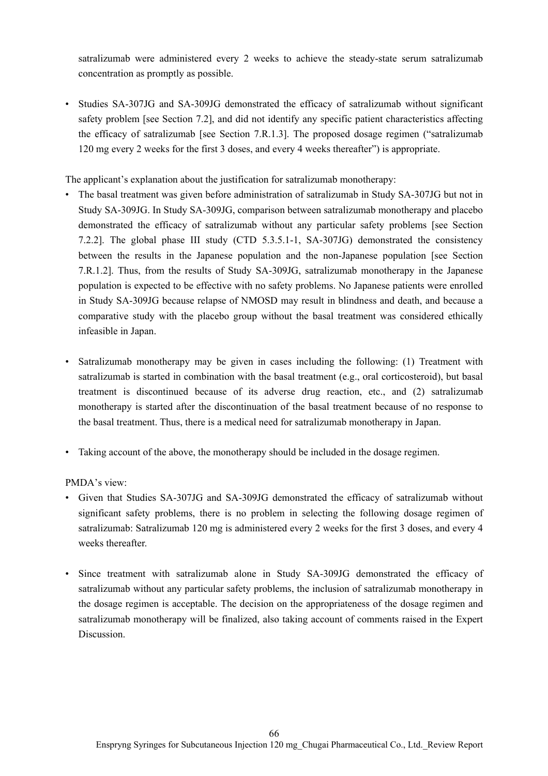satralizumab were administered every 2 weeks to achieve the steady-state serum satralizumab concentration as promptly as possible.

• Studies SA-307JG and SA-309JG demonstrated the efficacy of satralizumab without significant safety problem [see Section 7.2], and did not identify any specific patient characteristics affecting the efficacy of satralizumab [see Section 7.R.1.3]. The proposed dosage regimen ("satralizumab 120 mg every 2 weeks for the first 3 doses, and every 4 weeks thereafter") is appropriate.

The applicant's explanation about the justification for satralizumab monotherapy:

- The basal treatment was given before administration of satralizumab in Study SA-307JG but not in Study SA-309JG. In Study SA-309JG, comparison between satralizumab monotherapy and placebo demonstrated the efficacy of satralizumab without any particular safety problems [see Section 7.2.2]. The global phase III study (CTD 5.3.5.1-1, SA-307JG) demonstrated the consistency between the results in the Japanese population and the non-Japanese population [see Section 7.R.1.2]. Thus, from the results of Study SA-309JG, satralizumab monotherapy in the Japanese population is expected to be effective with no safety problems. No Japanese patients were enrolled in Study SA-309JG because relapse of NMOSD may result in blindness and death, and because a comparative study with the placebo group without the basal treatment was considered ethically infeasible in Japan.
- Satralizumab monotherapy may be given in cases including the following: (1) Treatment with satralizumab is started in combination with the basal treatment (e.g., oral corticosteroid), but basal treatment is discontinued because of its adverse drug reaction, etc., and (2) satralizumab monotherapy is started after the discontinuation of the basal treatment because of no response to the basal treatment. Thus, there is a medical need for satralizumab monotherapy in Japan.
- Taking account of the above, the monotherapy should be included in the dosage regimen.

PMDA's view:

- Given that Studies SA-307JG and SA-309JG demonstrated the efficacy of satralizumab without significant safety problems, there is no problem in selecting the following dosage regimen of satralizumab: Satralizumab 120 mg is administered every 2 weeks for the first 3 doses, and every 4 weeks thereafter.
- Since treatment with satralizumab alone in Study SA-309JG demonstrated the efficacy of satralizumab without any particular safety problems, the inclusion of satralizumab monotherapy in the dosage regimen is acceptable. The decision on the appropriateness of the dosage regimen and satralizumab monotherapy will be finalized, also taking account of comments raised in the Expert Discussion.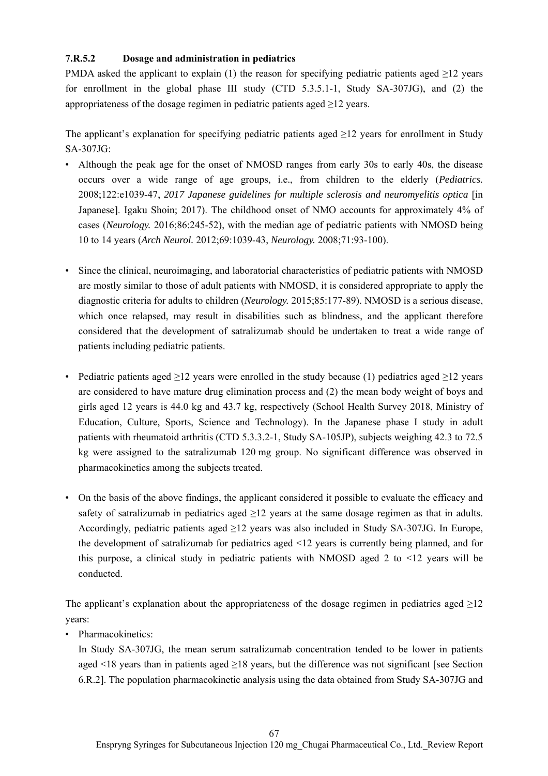## **7.R.5.2 Dosage and administration in pediatrics**

PMDA asked the applicant to explain (1) the reason for specifying pediatric patients aged  $\geq$ 12 years for enrollment in the global phase III study (CTD 5.3.5.1-1, Study SA-307JG), and (2) the appropriateness of the dosage regimen in pediatric patients aged  $\geq$ 12 years.

The applicant's explanation for specifying pediatric patients aged  $\geq$ 12 years for enrollment in Study SA-307JG:

- Although the peak age for the onset of NMOSD ranges from early 30s to early 40s, the disease occurs over a wide range of age groups, i.e., from children to the elderly (*Pediatrics.* 2008;122:e1039-47, *2017 Japanese guidelines for multiple sclerosis and neuromyelitis optica* [in Japanese]. Igaku Shoin; 2017). The childhood onset of NMO accounts for approximately 4% of cases (*Neurology.* 2016;86:245-52), with the median age of pediatric patients with NMOSD being 10 to 14 years (*Arch Neurol.* 2012;69:1039-43, *Neurology.* 2008;71:93-100).
- Since the clinical, neuroimaging, and laboratorial characteristics of pediatric patients with NMOSD are mostly similar to those of adult patients with NMOSD, it is considered appropriate to apply the diagnostic criteria for adults to children (*Neurology.* 2015;85:177-89). NMOSD is a serious disease, which once relapsed, may result in disabilities such as blindness, and the applicant therefore considered that the development of satralizumab should be undertaken to treat a wide range of patients including pediatric patients.
- Pediatric patients aged  $\geq$ 12 years were enrolled in the study because (1) pediatrics aged  $\geq$ 12 years are considered to have mature drug elimination process and (2) the mean body weight of boys and girls aged 12 years is 44.0 kg and 43.7 kg, respectively (School Health Survey 2018, Ministry of Education, Culture, Sports, Science and Technology). In the Japanese phase I study in adult patients with rheumatoid arthritis (CTD 5.3.3.2-1, Study SA-105JP), subjects weighing 42.3 to 72.5 kg were assigned to the satralizumab 120 mg group. No significant difference was observed in pharmacokinetics among the subjects treated.
- On the basis of the above findings, the applicant considered it possible to evaluate the efficacy and safety of satralizumab in pediatrics aged  $\geq$ 12 years at the same dosage regimen as that in adults. Accordingly, pediatric patients aged  $\geq$ 12 years was also included in Study SA-307JG. In Europe, the development of satralizumab for pediatrics aged <12 years is currently being planned, and for this purpose, a clinical study in pediatric patients with NMOSD aged 2 to <12 years will be conducted.

The applicant's explanation about the appropriateness of the dosage regimen in pediatrics aged  $\geq$ 12 years:

• Pharmacokinetics:

In Study SA-307JG, the mean serum satralizumab concentration tended to be lower in patients aged  $\leq$ 18 years than in patients aged  $\geq$ 18 years, but the difference was not significant [see Section 6.R.2]. The population pharmacokinetic analysis using the data obtained from Study SA-307JG and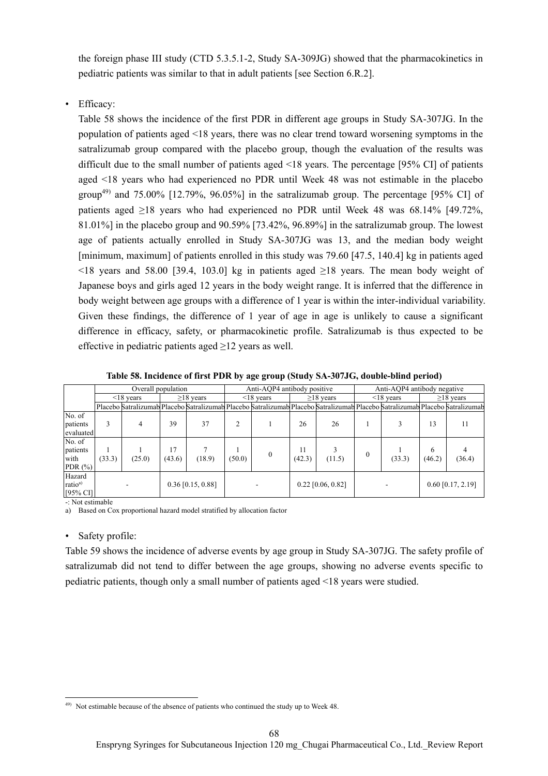the foreign phase III study (CTD 5.3.5.1-2, Study SA-309JG) showed that the pharmacokinetics in pediatric patients was similar to that in adult patients [see Section 6.R.2].

• Efficacy:

Table 58 shows the incidence of the first PDR in different age groups in Study SA-307JG. In the population of patients aged <18 years, there was no clear trend toward worsening symptoms in the satralizumab group compared with the placebo group, though the evaluation of the results was difficult due to the small number of patients aged <18 years. The percentage [95% CI] of patients aged <18 years who had experienced no PDR until Week 48 was not estimable in the placebo group<sup>49)</sup> and 75.00% [12.79%, 96.05%] in the satralizumab group. The percentage [95% CI] of patients aged ≥18 years who had experienced no PDR until Week 48 was 68.14% [49.72%, 81.01%] in the placebo group and 90.59% [73.42%, 96.89%] in the satralizumab group. The lowest age of patients actually enrolled in Study SA-307JG was 13, and the median body weight [minimum, maximum] of patients enrolled in this study was 79.60 [47.5, 140.4] kg in patients aged  $\leq$ 18 years and 58.00 [39.4, 103.0] kg in patients aged  $\geq$ 18 years. The mean body weight of Japanese boys and girls aged 12 years in the body weight range. It is inferred that the difference in body weight between age groups with a difference of 1 year is within the inter-individual variability. Given these findings, the difference of 1 year of age in age is unlikely to cause a significant difference in efficacy, safety, or pharmacokinetic profile. Satralizumab is thus expected to be effective in pediatric patients aged  $\geq$ 12 years as well.

|                                                      | Overall population  |                 |                 | Anti-AOP4 antibody positive |                 |                                                                                                                               | Anti-AOP4 antibody negative |        |                 |                     |                 |        |
|------------------------------------------------------|---------------------|-----------------|-----------------|-----------------------------|-----------------|-------------------------------------------------------------------------------------------------------------------------------|-----------------------------|--------|-----------------|---------------------|-----------------|--------|
|                                                      |                     | $\leq$ 18 years | $\geq$ 18 years |                             | $\leq$ 18 years |                                                                                                                               | $\geq$ 18 years             |        | $\leq$ 18 years |                     | $\geq$ 18 years |        |
|                                                      |                     |                 |                 |                             |                 | Placebo Satralizumab Placebo Satralizumab Placebo Satralizumab Placebo Satralizumab Placebo Satralizumab Placebo Satralizumab |                             |        |                 |                     |                 |        |
| No. of<br>patients<br>evaluated                      | 3                   | 4               | 39              | 37                          |                 |                                                                                                                               | 26                          | 26     |                 |                     | 13              | 11     |
| No. of<br>patients<br>with<br>PDR $(\% )$            | (33.3)              | (25.0)          | 17<br>(43.6)    | (18.9)                      | (50.0)          | 0                                                                                                                             | 11<br>(42.3)                | (11.5) | 0               | (33.3)              | 6<br>(46.2)     | (36.4) |
| Hazard<br>ratio <sup>a)</sup><br>$[95\% \text{ CI}]$ | $0.36$ [0.15, 0.88] |                 |                 |                             |                 | $0.22$ [0.06, 0.82]                                                                                                           |                             |        |                 | $0.60$ [0.17, 2.19] |                 |        |

**Table 58. Incidence of first PDR by age group (Study SA-307JG, double-blind period)** 

-: Not estimable

a) Based on Cox proportional hazard model stratified by allocation factor

#### • Safety profile:

Table 59 shows the incidence of adverse events by age group in Study SA-307JG. The safety profile of satralizumab did not tend to differ between the age groups, showing no adverse events specific to pediatric patients, though only a small number of patients aged <18 years were studied.

 $\overline{\phantom{a}}$ 49) Not estimable because of the absence of patients who continued the study up to Week 48.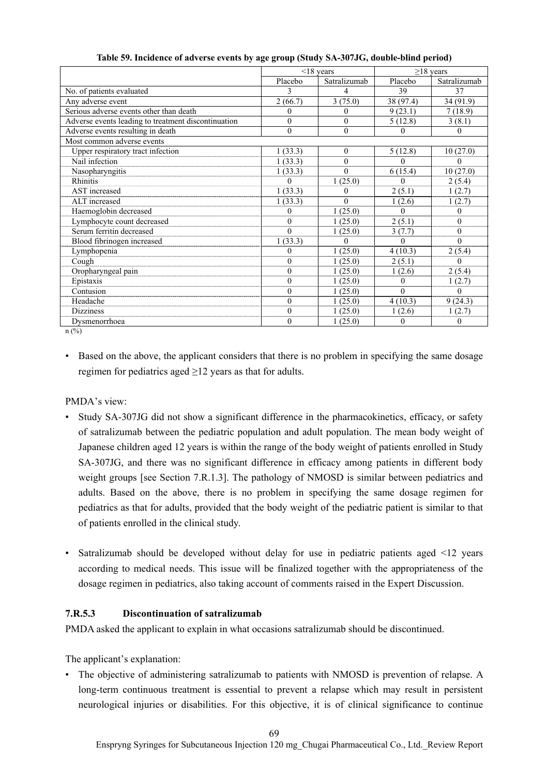|                                                     | $<$ 18 years |              | $\geq$ 18 years |              |
|-----------------------------------------------------|--------------|--------------|-----------------|--------------|
|                                                     | Placebo      | Satralizumab | Placebo         | Satralizumab |
| No. of patients evaluated                           | 3            | 4            | 39              | 37           |
| Any adverse event                                   | 2(66.7)      | 3(75.0)      | 38 (97.4)       | 34 (91.9)    |
| Serious adverse events other than death             | $\theta$     | 0            | 9(23.1)         | 7(18.9)      |
| Adverse events leading to treatment discontinuation | $\theta$     | $\theta$     | 5(12.8)         | 3(8.1)       |
| Adverse events resulting in death                   | $\mathbf{0}$ | $\mathbf{0}$ | $\Omega$        | 0            |
| Most common adverse events                          |              |              |                 |              |
| Upper respiratory tract infection                   | 1(33.3)      | $\theta$     | 5(12.8)         | 10(27.0)     |
| Nail infection                                      | 1(33.3)      | $\theta$     |                 | 0            |
| Nasopharyngitis                                     | 1(33.3)      | $\theta$     | 6(15.4)         | 10(27.0)     |
| <b>Rhinitis</b>                                     |              | 1(25.0)      |                 | 2(5.4)       |
| AST increased                                       | 1(33.3)      | 0            | 2(5.1)          | 1(2.7)       |
| ALT increased                                       | 1(33.3)      | $\Omega$     | 1(2.6)          | 1(2.7)       |
| Haemoglobin decreased                               | 0            | 1(25.0)      | $\Omega$        | 0            |
| Lymphocyte count decreased                          | $\theta$     | 1(25.0)      | 2(5.1)          | $\theta$     |
| Serum ferritin decreased                            | $\Omega$     | 1(25.0)      | 3(7.7)          | $\theta$     |
| Blood fibrinogen increased                          | 1(33.3)      | $\theta$     | $\Omega$        | $\theta$     |
| Lymphopenia                                         | $\Omega$     | 1(25.0)      | 4(10.3)         | 2(5.4)       |
| Cough                                               | $\theta$     | 1(25.0)      | 2(5.1)          | $\theta$     |
| Oropharyngeal pain                                  | $\theta$     | 1(25.0)      | 1(2.6)          | 2(5.4)       |
| Epistaxis                                           | $\theta$     | 1(25.0)      | $\Omega$        | 1(2.7)       |
| Contusion                                           | $\theta$     | 1(25.0)      | $\Omega$        | $\Omega$     |
| Headache                                            | $\theta$     | 1(25.0)      | 4(10.3)         | 9(24.3)      |
| <b>Dizziness</b>                                    | $\mathbf{0}$ | 1(25.0)      | 1(2.6)          | 1(2.7)       |
| Dysmenorrhoea                                       | $\theta$     | 1(25.0)      | $\Omega$        | $\Omega$     |

**Table 59. Incidence of adverse events by age group (Study SA-307JG, double-blind period)** 

 $n$  (%)

• Based on the above, the applicant considers that there is no problem in specifying the same dosage regimen for pediatrics aged  $\geq$ 12 years as that for adults.

PMDA's view:

- Study SA-307JG did not show a significant difference in the pharmacokinetics, efficacy, or safety of satralizumab between the pediatric population and adult population. The mean body weight of Japanese children aged 12 years is within the range of the body weight of patients enrolled in Study SA-307JG, and there was no significant difference in efficacy among patients in different body weight groups [see Section 7.R.1.3]. The pathology of NMOSD is similar between pediatrics and adults. Based on the above, there is no problem in specifying the same dosage regimen for pediatrics as that for adults, provided that the body weight of the pediatric patient is similar to that of patients enrolled in the clinical study.
- Satralizumab should be developed without delay for use in pediatric patients aged <12 years according to medical needs. This issue will be finalized together with the appropriateness of the dosage regimen in pediatrics, also taking account of comments raised in the Expert Discussion.

#### **7.R.5.3 Discontinuation of satralizumab**

PMDA asked the applicant to explain in what occasions satralizumab should be discontinued.

The applicant's explanation:

• The objective of administering satralizumab to patients with NMOSD is prevention of relapse. A long-term continuous treatment is essential to prevent a relapse which may result in persistent neurological injuries or disabilities. For this objective, it is of clinical significance to continue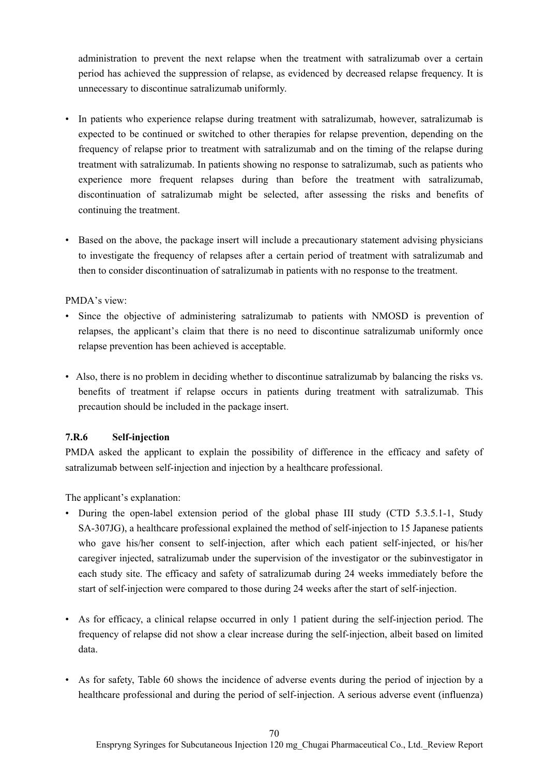administration to prevent the next relapse when the treatment with satralizumab over a certain period has achieved the suppression of relapse, as evidenced by decreased relapse frequency. It is unnecessary to discontinue satralizumab uniformly.

- In patients who experience relapse during treatment with satralizumab, however, satralizumab is expected to be continued or switched to other therapies for relapse prevention, depending on the frequency of relapse prior to treatment with satralizumab and on the timing of the relapse during treatment with satralizumab. In patients showing no response to satralizumab, such as patients who experience more frequent relapses during than before the treatment with satralizumab, discontinuation of satralizumab might be selected, after assessing the risks and benefits of continuing the treatment.
- Based on the above, the package insert will include a precautionary statement advising physicians to investigate the frequency of relapses after a certain period of treatment with satralizumab and then to consider discontinuation of satralizumab in patients with no response to the treatment.

#### PMDA's view:

- Since the objective of administering satralizumab to patients with NMOSD is prevention of relapses, the applicant's claim that there is no need to discontinue satralizumab uniformly once relapse prevention has been achieved is acceptable.
- Also, there is no problem in deciding whether to discontinue satralizumab by balancing the risks vs. benefits of treatment if relapse occurs in patients during treatment with satralizumab. This precaution should be included in the package insert.

#### **7.R.6 Self-injection**

PMDA asked the applicant to explain the possibility of difference in the efficacy and safety of satralizumab between self-injection and injection by a healthcare professional.

The applicant's explanation:

- During the open-label extension period of the global phase III study (CTD 5.3.5.1-1, Study SA-307JG), a healthcare professional explained the method of self-injection to 15 Japanese patients who gave his/her consent to self-injection, after which each patient self-injected, or his/her caregiver injected, satralizumab under the supervision of the investigator or the subinvestigator in each study site. The efficacy and safety of satralizumab during 24 weeks immediately before the start of self-injection were compared to those during 24 weeks after the start of self-injection.
- As for efficacy, a clinical relapse occurred in only 1 patient during the self-injection period. The frequency of relapse did not show a clear increase during the self-injection, albeit based on limited data.
- As for safety, Table 60 shows the incidence of adverse events during the period of injection by a healthcare professional and during the period of self-injection. A serious adverse event (influenza)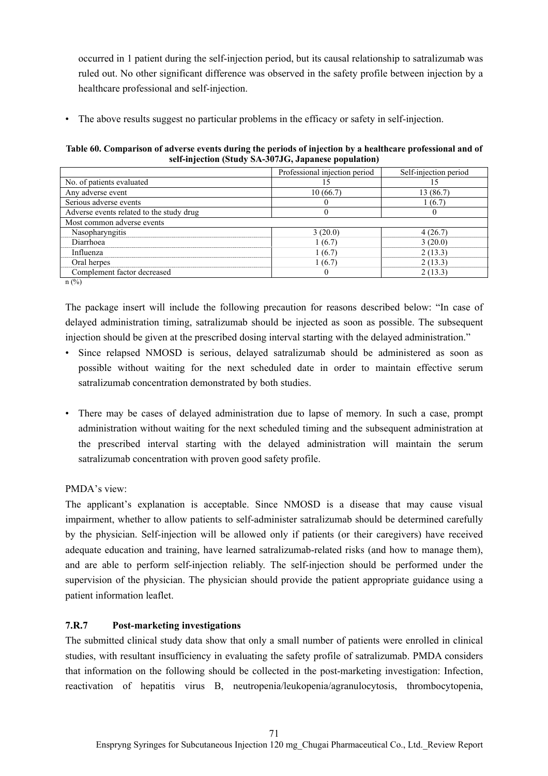occurred in 1 patient during the self-injection period, but its causal relationship to satralizumab was ruled out. No other significant difference was observed in the safety profile between injection by a healthcare professional and self-injection.

• The above results suggest no particular problems in the efficacy or safety in self-injection.

**Table 60. Comparison of adverse events during the periods of injection by a healthcare professional and of self-injection (Study SA-307JG, Japanese population)** 

| Professional injection period | Self-injection period |
|-------------------------------|-----------------------|
| 15                            | 15                    |
| 10(66.7)                      | 13 (86.7)             |
|                               | 1 (6.7)               |
|                               |                       |
|                               |                       |
| 3(20.0)                       | 4(26.7)               |
| 1(6.7)                        | 3(20.0)               |
| 1(6.7)                        | 2(13.3)               |
| 1(6.7)                        | 2(13.3)               |
| $\theta$                      | 2(13.3)               |
|                               |                       |

n (%)

The package insert will include the following precaution for reasons described below: "In case of delayed administration timing, satralizumab should be injected as soon as possible. The subsequent injection should be given at the prescribed dosing interval starting with the delayed administration."

- Since relapsed NMOSD is serious, delayed satralizumab should be administered as soon as possible without waiting for the next scheduled date in order to maintain effective serum satralizumab concentration demonstrated by both studies.
- There may be cases of delayed administration due to lapse of memory. In such a case, prompt administration without waiting for the next scheduled timing and the subsequent administration at the prescribed interval starting with the delayed administration will maintain the serum satralizumab concentration with proven good safety profile.

## PMDA's view:

The applicant's explanation is acceptable. Since NMOSD is a disease that may cause visual impairment, whether to allow patients to self-administer satralizumab should be determined carefully by the physician. Self-injection will be allowed only if patients (or their caregivers) have received adequate education and training, have learned satralizumab-related risks (and how to manage them), and are able to perform self-injection reliably. The self-injection should be performed under the supervision of the physician. The physician should provide the patient appropriate guidance using a patient information leaflet.

## **7.R.7 Post-marketing investigations**

The submitted clinical study data show that only a small number of patients were enrolled in clinical studies, with resultant insufficiency in evaluating the safety profile of satralizumab. PMDA considers that information on the following should be collected in the post-marketing investigation: Infection, reactivation of hepatitis virus B, neutropenia/leukopenia/agranulocytosis, thrombocytopenia,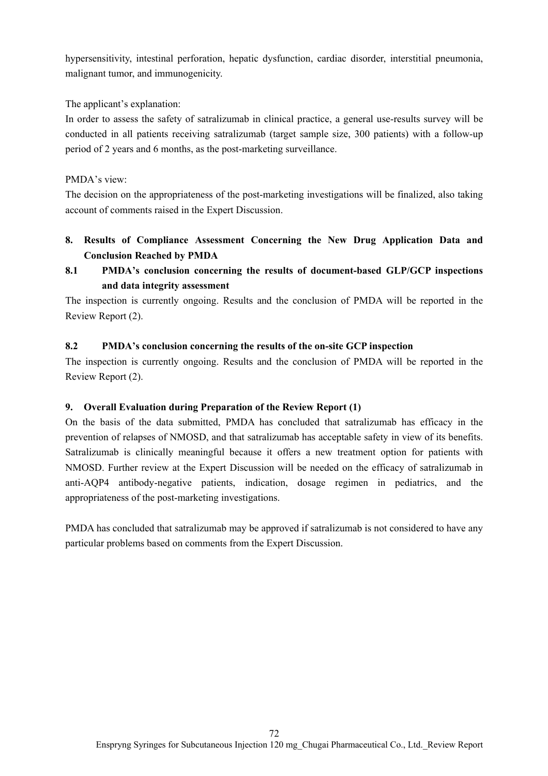hypersensitivity, intestinal perforation, hepatic dysfunction, cardiac disorder, interstitial pneumonia, malignant tumor, and immunogenicity.

The applicant's explanation:

In order to assess the safety of satralizumab in clinical practice, a general use-results survey will be conducted in all patients receiving satralizumab (target sample size, 300 patients) with a follow-up period of 2 years and 6 months, as the post-marketing surveillance.

### PMDA's view:

The decision on the appropriateness of the post-marketing investigations will be finalized, also taking account of comments raised in the Expert Discussion.

- **8. Results of Compliance Assessment Concerning the New Drug Application Data and Conclusion Reached by PMDA**
- **8.1 PMDA's conclusion concerning the results of document-based GLP/GCP inspections and data integrity assessment**

The inspection is currently ongoing. Results and the conclusion of PMDA will be reported in the Review Report (2).

## **8.2 PMDA's conclusion concerning the results of the on-site GCP inspection**

The inspection is currently ongoing. Results and the conclusion of PMDA will be reported in the Review Report (2).

#### **9. Overall Evaluation during Preparation of the Review Report (1)**

On the basis of the data submitted, PMDA has concluded that satralizumab has efficacy in the prevention of relapses of NMOSD, and that satralizumab has acceptable safety in view of its benefits. Satralizumab is clinically meaningful because it offers a new treatment option for patients with NMOSD. Further review at the Expert Discussion will be needed on the efficacy of satralizumab in anti-AQP4 antibody-negative patients, indication, dosage regimen in pediatrics, and the appropriateness of the post-marketing investigations.

PMDA has concluded that satralizumab may be approved if satralizumab is not considered to have any particular problems based on comments from the Expert Discussion.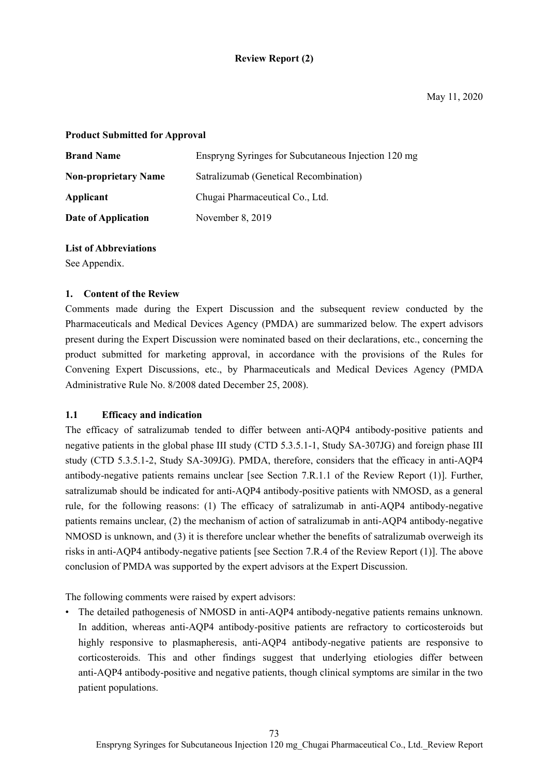### **Review Report (2)**

#### **Product Submitted for Approval**

| <b>Brand Name</b>           | Enspryng Syringes for Subcutaneous Injection 120 mg |
|-----------------------------|-----------------------------------------------------|
| <b>Non-proprietary Name</b> | Satralizumab (Genetical Recombination)              |
| Applicant                   | Chugai Pharmaceutical Co., Ltd.                     |
| Date of Application         | November 8, 2019                                    |

#### **List of Abbreviations**

See Appendix.

#### **1. Content of the Review**

Comments made during the Expert Discussion and the subsequent review conducted by the Pharmaceuticals and Medical Devices Agency (PMDA) are summarized below. The expert advisors present during the Expert Discussion were nominated based on their declarations, etc., concerning the product submitted for marketing approval, in accordance with the provisions of the Rules for Convening Expert Discussions, etc., by Pharmaceuticals and Medical Devices Agency (PMDA Administrative Rule No. 8/2008 dated December 25, 2008).

#### **1.1 Efficacy and indication**

The efficacy of satralizumab tended to differ between anti-AQP4 antibody-positive patients and negative patients in the global phase III study (CTD 5.3.5.1-1, Study SA-307JG) and foreign phase III study (CTD 5.3.5.1-2, Study SA-309JG). PMDA, therefore, considers that the efficacy in anti-AQP4 antibody-negative patients remains unclear [see Section 7.R.1.1 of the Review Report (1)]. Further, satralizumab should be indicated for anti-AQP4 antibody-positive patients with NMOSD, as a general rule, for the following reasons: (1) The efficacy of satralizumab in anti-AQP4 antibody-negative patients remains unclear, (2) the mechanism of action of satralizumab in anti-AQP4 antibody-negative NMOSD is unknown, and (3) it is therefore unclear whether the benefits of satralizumab overweigh its risks in anti-AQP4 antibody-negative patients [see Section 7.R.4 of the Review Report (1)]. The above conclusion of PMDA was supported by the expert advisors at the Expert Discussion.

The following comments were raised by expert advisors:

• The detailed pathogenesis of NMOSD in anti-AQP4 antibody-negative patients remains unknown. In addition, whereas anti-AQP4 antibody-positive patients are refractory to corticosteroids but highly responsive to plasmapheresis, anti-AQP4 antibody-negative patients are responsive to corticosteroids. This and other findings suggest that underlying etiologies differ between anti-AQP4 antibody-positive and negative patients, though clinical symptoms are similar in the two patient populations.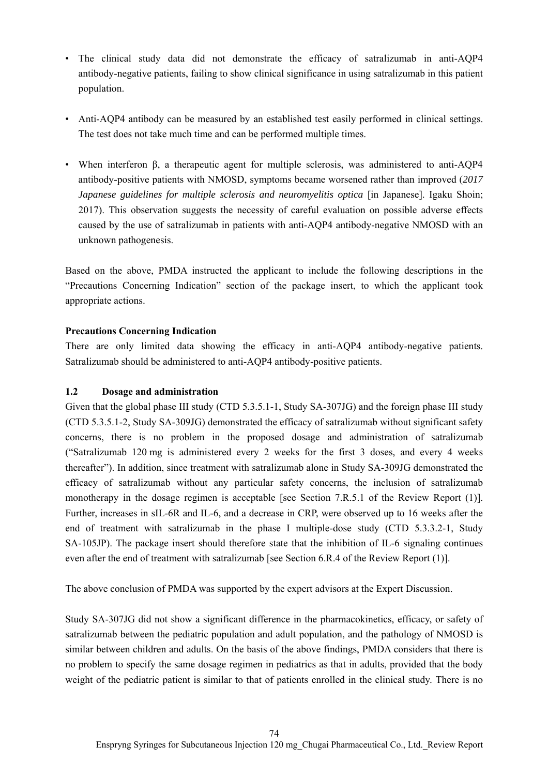- The clinical study data did not demonstrate the efficacy of satralizumab in anti-AQP4 antibody-negative patients, failing to show clinical significance in using satralizumab in this patient population.
- Anti-AQP4 antibody can be measured by an established test easily performed in clinical settings. The test does not take much time and can be performed multiple times.
- When interferon β, a therapeutic agent for multiple sclerosis, was administered to anti-AQP4 antibody-positive patients with NMOSD, symptoms became worsened rather than improved (*2017 Japanese guidelines for multiple sclerosis and neuromyelitis optica* [in Japanese]. Igaku Shoin; 2017). This observation suggests the necessity of careful evaluation on possible adverse effects caused by the use of satralizumab in patients with anti-AQP4 antibody-negative NMOSD with an unknown pathogenesis.

Based on the above, PMDA instructed the applicant to include the following descriptions in the "Precautions Concerning Indication" section of the package insert, to which the applicant took appropriate actions.

#### **Precautions Concerning Indication**

There are only limited data showing the efficacy in anti-AQP4 antibody-negative patients. Satralizumab should be administered to anti-AQP4 antibody-positive patients.

#### **1.2 Dosage and administration**

Given that the global phase III study (CTD 5.3.5.1-1, Study SA-307JG) and the foreign phase III study (CTD 5.3.5.1-2, Study SA-309JG) demonstrated the efficacy of satralizumab without significant safety concerns, there is no problem in the proposed dosage and administration of satralizumab ("Satralizumab 120 mg is administered every 2 weeks for the first 3 doses, and every 4 weeks thereafter"). In addition, since treatment with satralizumab alone in Study SA-309JG demonstrated the efficacy of satralizumab without any particular safety concerns, the inclusion of satralizumab monotherapy in the dosage regimen is acceptable [see Section 7.R.5.1 of the Review Report (1)]. Further, increases in sIL-6R and IL-6, and a decrease in CRP, were observed up to 16 weeks after the end of treatment with satralizumab in the phase I multiple-dose study (CTD 5.3.3.2-1, Study SA-105JP). The package insert should therefore state that the inhibition of IL-6 signaling continues even after the end of treatment with satralizumab [see Section 6.R.4 of the Review Report (1)].

The above conclusion of PMDA was supported by the expert advisors at the Expert Discussion.

Study SA-307JG did not show a significant difference in the pharmacokinetics, efficacy, or safety of satralizumab between the pediatric population and adult population, and the pathology of NMOSD is similar between children and adults. On the basis of the above findings, PMDA considers that there is no problem to specify the same dosage regimen in pediatrics as that in adults, provided that the body weight of the pediatric patient is similar to that of patients enrolled in the clinical study. There is no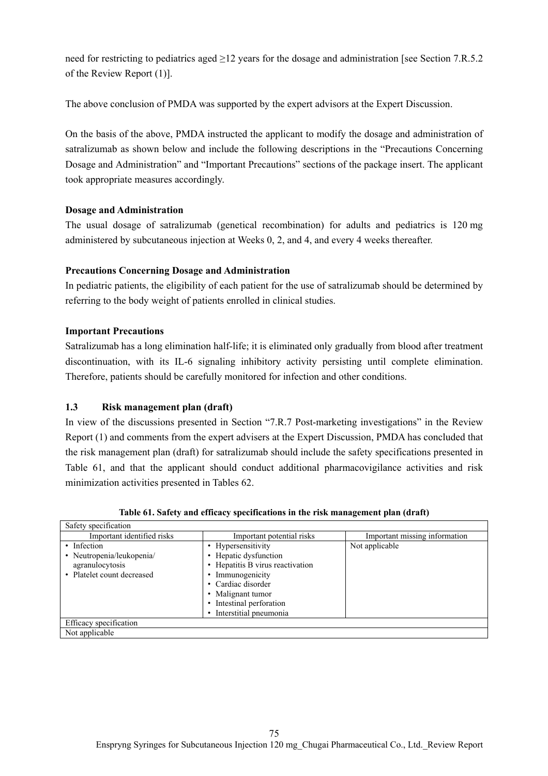need for restricting to pediatrics aged ≥12 years for the dosage and administration [see Section 7.R.5.2 of the Review Report (1)].

The above conclusion of PMDA was supported by the expert advisors at the Expert Discussion.

On the basis of the above, PMDA instructed the applicant to modify the dosage and administration of satralizumab as shown below and include the following descriptions in the "Precautions Concerning Dosage and Administration" and "Important Precautions" sections of the package insert. The applicant took appropriate measures accordingly.

#### **Dosage and Administration**

The usual dosage of satralizumab (genetical recombination) for adults and pediatrics is 120 mg administered by subcutaneous injection at Weeks 0, 2, and 4, and every 4 weeks thereafter.

#### **Precautions Concerning Dosage and Administration**

In pediatric patients, the eligibility of each patient for the use of satralizumab should be determined by referring to the body weight of patients enrolled in clinical studies.

#### **Important Precautions**

Satralizumab has a long elimination half-life; it is eliminated only gradually from blood after treatment discontinuation, with its IL-6 signaling inhibitory activity persisting until complete elimination. Therefore, patients should be carefully monitored for infection and other conditions.

#### **1.3 Risk management plan (draft)**

In view of the discussions presented in Section "7.R.7 Post-marketing investigations" in the Review Report (1) and comments from the expert advisers at the Expert Discussion, PMDA has concluded that the risk management plan (draft) for satralizumab should include the safety specifications presented in Table 61, and that the applicant should conduct additional pharmacovigilance activities and risk minimization activities presented in Tables 62.

| Safety specification       |                                |                               |
|----------------------------|--------------------------------|-------------------------------|
| Important identified risks | Important potential risks      | Important missing information |
| • Infection                | • Hypersensitivity             | Not applicable                |
| • Neutropenia/leukopenia/  | Hepatic dysfunction            |                               |
| agranulocytosis            | Hepatitis B virus reactivation |                               |
| • Platelet count decreased | Immunogenicity                 |                               |
|                            | • Cardiac disorder             |                               |
|                            | Malignant tumor<br>$\bullet$   |                               |
|                            | Intestinal perforation         |                               |
|                            | Interstitial pneumonia         |                               |
| Efficacy specification     |                                |                               |
| Not applicable             |                                |                               |

**Table 61. Safety and efficacy specifications in the risk management plan (draft)**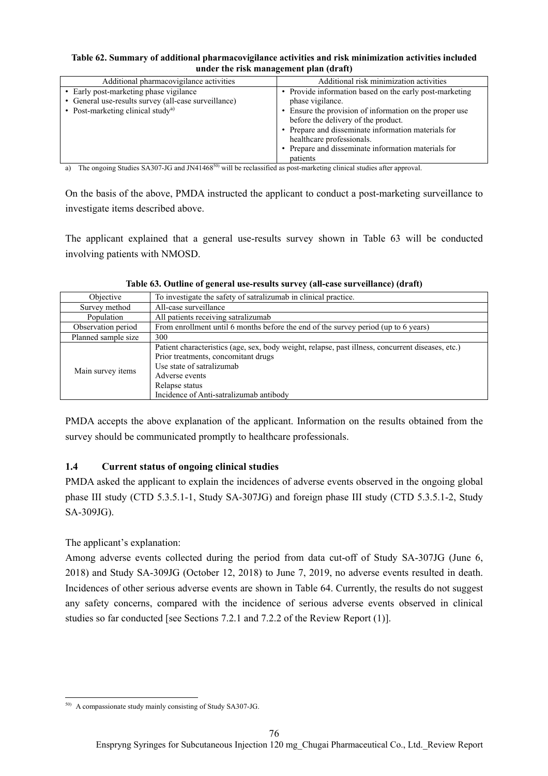#### **Table 62. Summary of additional pharmacovigilance activities and risk minimization activities included under the risk management plan (draft)**

| Additional pharmacovigilance activities              | Additional risk minimization activities                 |
|------------------------------------------------------|---------------------------------------------------------|
| • Early post-marketing phase vigilance               | • Provide information based on the early post-marketing |
| • General use-results survey (all-case surveillance) | phase vigilance.                                        |
| • Post-marketing clinical study <sup>a)</sup>        | • Ensure the provision of information on the proper use |
|                                                      | before the delivery of the product.                     |
|                                                      | • Prepare and disseminate information materials for     |
|                                                      | healthcare professionals.                               |
|                                                      | • Prepare and disseminate information materials for     |
|                                                      | patients                                                |
| $\cdots$                                             |                                                         |

a) The ongoing Studies SA307-JG and JN41468 $^{50}$  will be reclassified as post-marketing clinical studies after approval.

On the basis of the above, PMDA instructed the applicant to conduct a post-marketing surveillance to investigate items described above.

The applicant explained that a general use-results survey shown in Table 63 will be conducted involving patients with NMOSD.

| Objective           | To investigate the safety of satralizumab in clinical practice.                                                                                                                                                                                      |
|---------------------|------------------------------------------------------------------------------------------------------------------------------------------------------------------------------------------------------------------------------------------------------|
| Survey method       | All-case surveillance                                                                                                                                                                                                                                |
| Population          | All patients receiving satralizumab                                                                                                                                                                                                                  |
| Observation period  | From enrollment until 6 months before the end of the survey period (up to 6 years)                                                                                                                                                                   |
| Planned sample size | 300                                                                                                                                                                                                                                                  |
| Main survey items   | Patient characteristics (age, sex, body weight, relapse, past illness, concurrent diseases, etc.)<br>Prior treatments, concomitant drugs<br>Use state of satralizumab<br>Adverse events<br>Relapse status<br>Incidence of Anti-satralizumab antibody |

**Table 63. Outline of general use-results survey (all-case surveillance) (draft)** 

PMDA accepts the above explanation of the applicant. Information on the results obtained from the survey should be communicated promptly to healthcare professionals.

## **1.4 Current status of ongoing clinical studies**

PMDA asked the applicant to explain the incidences of adverse events observed in the ongoing global phase III study (CTD 5.3.5.1-1, Study SA-307JG) and foreign phase III study (CTD 5.3.5.1-2, Study SA-309JG).

The applicant's explanation:

Among adverse events collected during the period from data cut-off of Study SA-307JG (June 6, 2018) and Study SA-309JG (October 12, 2018) to June 7, 2019, no adverse events resulted in death. Incidences of other serious adverse events are shown in Table 64. Currently, the results do not suggest any safety concerns, compared with the incidence of serious adverse events observed in clinical studies so far conducted [see Sections 7.2.1 and 7.2.2 of the Review Report (1)].

 $\overline{\phantom{a}}$ 50) A compassionate study mainly consisting of Study SA307-JG.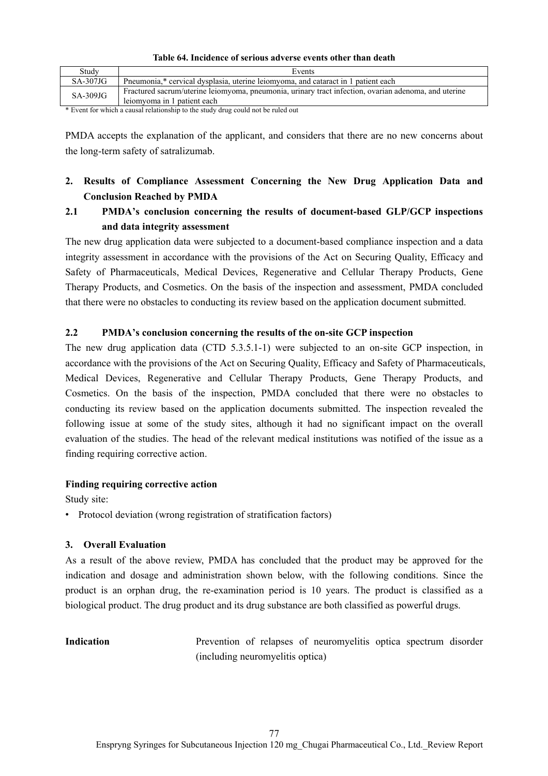| Table 64. Incidence of serious adverse events other than death |  |
|----------------------------------------------------------------|--|
|----------------------------------------------------------------|--|

| Studv                 | Events                                                                                                                              |
|-----------------------|-------------------------------------------------------------------------------------------------------------------------------------|
| $SA-307JG$            | Pneumonia,* cervical dysplasia, uterine leiomyoma, and cataract in 1 patient each                                                   |
| $SA-309JG$            | Fractured sacrum/uterine leiomyoma, pneumonia, urinary tract infection, ovarian adenoma, and uterine<br>leiomyoma in 1 patient each |
| $\sim$ $\blacksquare$ |                                                                                                                                     |

\* Event for which a causal relationship to the study drug could not be ruled out

PMDA accepts the explanation of the applicant, and considers that there are no new concerns about the long-term safety of satralizumab.

## **2. Results of Compliance Assessment Concerning the New Drug Application Data and Conclusion Reached by PMDA**

## **2.1 PMDA's conclusion concerning the results of document-based GLP/GCP inspections and data integrity assessment**

The new drug application data were subjected to a document-based compliance inspection and a data integrity assessment in accordance with the provisions of the Act on Securing Quality, Efficacy and Safety of Pharmaceuticals, Medical Devices, Regenerative and Cellular Therapy Products, Gene Therapy Products, and Cosmetics. On the basis of the inspection and assessment, PMDA concluded that there were no obstacles to conducting its review based on the application document submitted.

#### **2.2 PMDA's conclusion concerning the results of the on-site GCP inspection**

The new drug application data (CTD 5.3.5.1-1) were subjected to an on-site GCP inspection, in accordance with the provisions of the Act on Securing Quality, Efficacy and Safety of Pharmaceuticals, Medical Devices, Regenerative and Cellular Therapy Products, Gene Therapy Products, and Cosmetics. On the basis of the inspection, PMDA concluded that there were no obstacles to conducting its review based on the application documents submitted. The inspection revealed the following issue at some of the study sites, although it had no significant impact on the overall evaluation of the studies. The head of the relevant medical institutions was notified of the issue as a finding requiring corrective action.

#### **Finding requiring corrective action**

Study site:

• Protocol deviation (wrong registration of stratification factors)

#### **3. Overall Evaluation**

As a result of the above review, PMDA has concluded that the product may be approved for the indication and dosage and administration shown below, with the following conditions. Since the product is an orphan drug, the re-examination period is 10 years. The product is classified as a biological product. The drug product and its drug substance are both classified as powerful drugs.

**Indication Prevention** of relapses of neuromyelitis optica spectrum disorder (including neuromyelitis optica)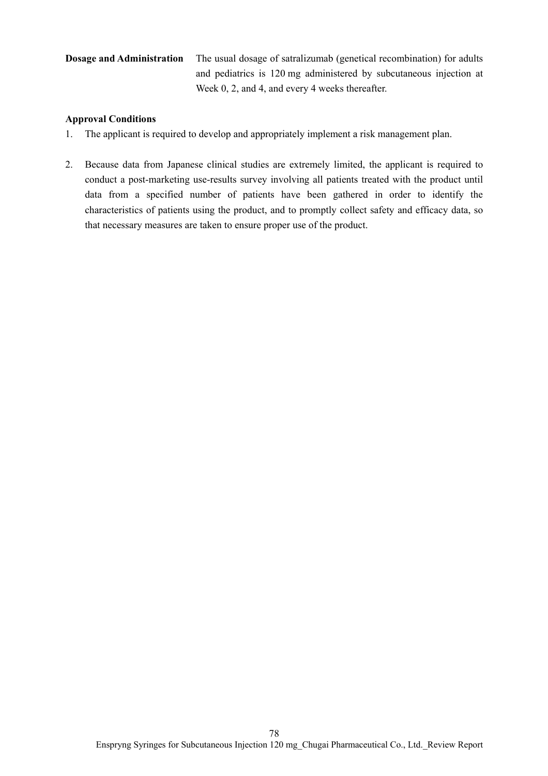# **Dosage and Administration** The usual dosage of satralizumab (genetical recombination) for adults and pediatrics is 120 mg administered by subcutaneous injection at Week 0, 2, and 4, and every 4 weeks thereafter.

### **Approval Conditions**

- 1. The applicant is required to develop and appropriately implement a risk management plan.
- 2. Because data from Japanese clinical studies are extremely limited, the applicant is required to conduct a post-marketing use-results survey involving all patients treated with the product until data from a specified number of patients have been gathered in order to identify the characteristics of patients using the product, and to promptly collect safety and efficacy data, so that necessary measures are taken to ensure proper use of the product.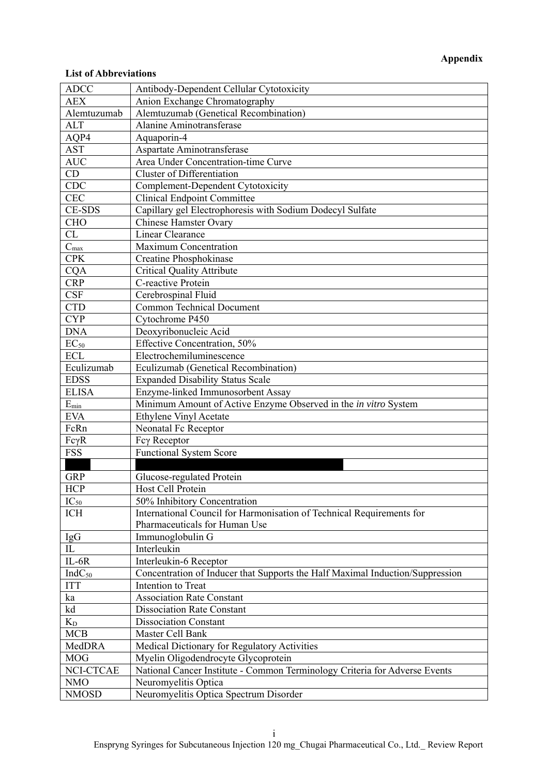# **Appendix**

#### **List of Abbreviations**

| <b>ADCC</b>              | Antibody-Dependent Cellular Cytotoxicity                                      |
|--------------------------|-------------------------------------------------------------------------------|
| <b>AEX</b>               | Anion Exchange Chromatography                                                 |
| Alemtuzumab              | Alemtuzumab (Genetical Recombination)                                         |
| <b>ALT</b>               | <b>Alanine Aminotransferase</b>                                               |
| AQP4                     | Aquaporin-4                                                                   |
| <b>AST</b>               | Aspartate Aminotransferase                                                    |
| <b>AUC</b>               | Area Under Concentration-time Curve                                           |
| CD                       | <b>Cluster of Differentiation</b>                                             |
| <b>CDC</b>               | Complement-Dependent Cytotoxicity                                             |
| <b>CEC</b>               | <b>Clinical Endpoint Committee</b>                                            |
| <b>CE-SDS</b>            | Capillary gel Electrophoresis with Sodium Dodecyl Sulfate                     |
| <b>CHO</b>               | <b>Chinese Hamster Ovary</b>                                                  |
| CL                       | Linear Clearance                                                              |
| $\overline{C_{max}}$     | <b>Maximum Concentration</b>                                                  |
| <b>CPK</b>               | Creatine Phosphokinase                                                        |
| <b>CQA</b>               | <b>Critical Quality Attribute</b>                                             |
| <b>CRP</b>               | C-reactive Protein                                                            |
| <b>CSF</b>               | Cerebrospinal Fluid                                                           |
| <b>CTD</b>               | <b>Common Technical Document</b>                                              |
| <b>CYP</b>               | Cytochrome P450                                                               |
| <b>DNA</b>               |                                                                               |
|                          | Deoxyribonucleic Acid                                                         |
| $EC_{50}$<br><b>ECL</b>  | Effective Concentration, 50%<br>Electrochemiluminescence                      |
|                          |                                                                               |
| Eculizumab               | Eculizumab (Genetical Recombination)                                          |
| <b>EDSS</b>              | <b>Expanded Disability Status Scale</b>                                       |
| <b>ELISA</b>             | Enzyme-linked Immunosorbent Assay                                             |
| $E_{\rm min}$            | Minimum Amount of Active Enzyme Observed in the in vitro System               |
| <b>EVA</b>               | Ethylene Vinyl Acetate                                                        |
| FcRn                     | Neonatal Fc Receptor                                                          |
| $Fc\gamma R$             | Fcγ Receptor                                                                  |
| <b>FSS</b>               | <b>Functional System Score</b>                                                |
|                          |                                                                               |
| <b>GRP</b>               | Glucose-regulated Protein                                                     |
| <b>HCP</b>               | Host Cell Protein                                                             |
| $IC_{50}$                | 50% Inhibitory Concentration                                                  |
| ICH                      | International Council for Harmonisation of Technical Requirements for         |
|                          | Pharmaceuticals for Human Use                                                 |
| $\underline{\text{IgG}}$ | Immunoglobulin G                                                              |
| $\rm IL$                 | Interleukin                                                                   |
| $IL-6R$                  | Interleukin-6 Receptor                                                        |
| $IndC_{50}$              | Concentration of Inducer that Supports the Half Maximal Induction/Suppression |
| <b>ITT</b>               | Intention to Treat                                                            |
| ka                       | <b>Association Rate Constant</b>                                              |
| kd                       | <b>Dissociation Rate Constant</b>                                             |
| $K_D$                    | <b>Dissociation Constant</b>                                                  |
| <b>MCB</b>               | Master Cell Bank                                                              |
| MedDRA                   | Medical Dictionary for Regulatory Activities                                  |
| <b>MOG</b>               | Myelin Oligodendrocyte Glycoprotein                                           |
| NCI-CTCAE                | National Cancer Institute - Common Terminology Criteria for Adverse Events    |
| <b>NMO</b>               | Neuromyelitis Optica                                                          |
| <b>NMOSD</b>             | Neuromyelitis Optica Spectrum Disorder                                        |